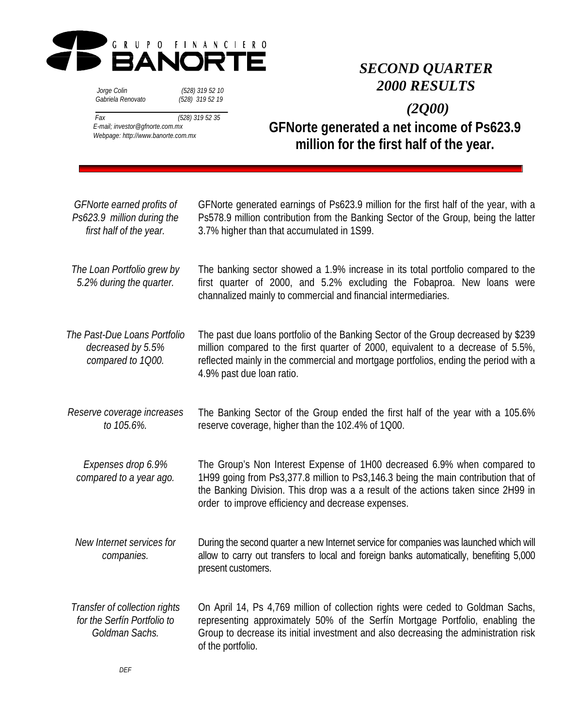

 *Jorge Colin (528) 319 52 10 Gabriela Renovato (528) 319 52 19*

# *SECOND QUARTER 2000 RESULTS*

 *Fax (528) 319 52 35 E-mail; investor@gfnorte.com.mx Webpage: http://www.banorte.com.mx*

**GFNorte generated a net income of Ps623.9 million for the first half of the year.**  *(2Q00)*

| GFNorte earned profits of<br>Ps623.9 million during the<br>first half of the year. | GFNorte generated earnings of Ps623.9 million for the first half of the year, with a<br>Ps578.9 million contribution from the Banking Sector of the Group, being the latter<br>3.7% higher than that accumulated in 1S99.                                                                                 |
|------------------------------------------------------------------------------------|-----------------------------------------------------------------------------------------------------------------------------------------------------------------------------------------------------------------------------------------------------------------------------------------------------------|
| The Loan Portfolio grew by<br>5.2% during the quarter.                             | The banking sector showed a 1.9% increase in its total portfolio compared to the<br>first quarter of 2000, and 5.2% excluding the Fobaproa. New loans were<br>channalized mainly to commercial and financial intermediaries.                                                                              |
| The Past-Due Loans Portfolio<br>decreased by 5.5%<br>compared to 1Q00.             | The past due loans portfolio of the Banking Sector of the Group decreased by \$239<br>million compared to the first quarter of 2000, equivalent to a decrease of 5.5%,<br>reflected mainly in the commercial and mortgage portfolios, ending the period with a<br>4.9% past due loan ratio.               |
| Reserve coverage increases<br>to 105.6%.                                           | The Banking Sector of the Group ended the first half of the year with a 105.6%<br>reserve coverage, higher than the 102.4% of 1Q00.                                                                                                                                                                       |
| Expenses drop 6.9%<br>compared to a year ago.                                      | The Group's Non Interest Expense of 1H00 decreased 6.9% when compared to<br>1H99 going from Ps3,377.8 million to Ps3,146.3 being the main contribution that of<br>the Banking Division. This drop was a a result of the actions taken since 2H99 in<br>order to improve efficiency and decrease expenses. |
| New Internet services for<br>companies.                                            | During the second quarter a new Internet service for companies was launched which will<br>allow to carry out transfers to local and foreign banks automatically, benefiting 5,000<br>present customers.                                                                                                   |
| Transfer of collection rights<br>for the Serfín Portfolio to<br>Goldman Sachs.     | On April 14, Ps 4,769 million of collection rights were ceded to Goldman Sachs,<br>representing approximately 50% of the Serfín Mortgage Portfolio, enabling the<br>Group to decrease its initial investment and also decreasing the administration risk<br>of the portfolio.                             |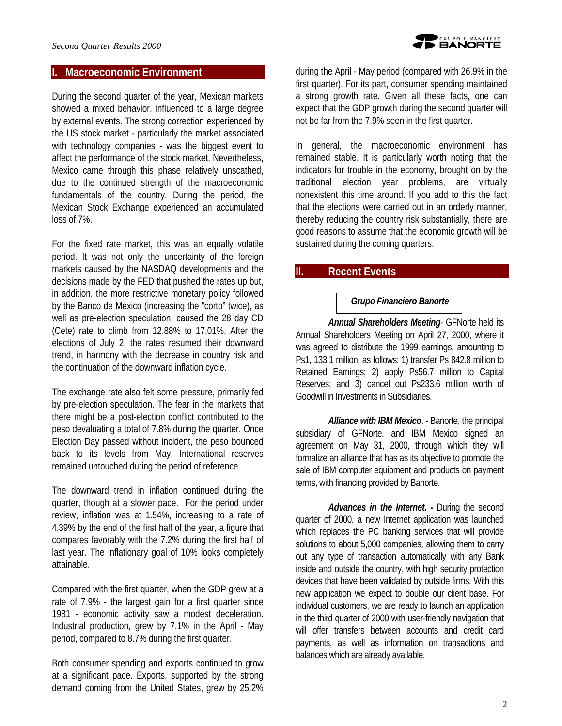### **I. Macroeconomic Environment**

During the second quarter of the year, Mexican markets showed a mixed behavior, influenced to a large degree by external events. The strong correction experienced by the US stock market - particularly the market associated with technology companies - was the biggest event to affect the performance of the stock market. Nevertheless, Mexico came through this phase relatively unscathed, due to the continued strength of the macroeconomic fundamentals of the country. During the period, the Mexican Stock Exchange experienced an accumulated loss of 7%.

For the fixed rate market, this was an equally volatile period. It was not only the uncertainty of the foreign markets caused by the NASDAQ developments and the decisions made by the FED that pushed the rates up but, in addition, the more restrictive monetary policy followed by the Banco de México (increasing the "corto" twice), as well as pre-election speculation, caused the 28 day CD (Cete) rate to climb from 12.88% to 17.01%. After the elections of July 2, the rates resumed their downward trend, in harmony with the decrease in country risk and the continuation of the downward inflation cycle.

The exchange rate also felt some pressure, primarily fed by pre-election speculation. The fear in the markets that there might be a post-election conflict contributed to the peso devaluating a total of 7.8% during the quarter. Once Election Day passed without incident, the peso bounced back to its levels from May. International reserves remained untouched during the period of reference.

The downward trend in inflation continued during the quarter, though at a slower pace. For the period under review, inflation was at 1.54%, increasing to a rate of 4.39% by the end of the first half of the year, a figure that compares favorably with the 7.2% during the first half of last year. The inflationary goal of 10% looks completely attainable.

Compared with the first quarter, when the GDP grew at a rate of 7.9% - the largest gain for a first quarter since 1981 - economic activity saw a modest deceleration. Industrial production, grew by 7.1% in the April - May period, compared to 8.7% during the first quarter.

Both consumer spending and exports continued to grow at a significant pace. Exports, supported by the strong demand coming from the United States, grew by 25.2%

during the April - May period (compared with 26.9% in the first quarter). For its part, consumer spending maintained a strong growth rate. Given all these facts, one can expect that the GDP growth during the second quarter will not be far from the 7.9% seen in the first quarter.

In general, the macroeconomic environment has remained stable. It is particularly worth noting that the indicators for trouble in the economy, brought on by the traditional election year problems, are virtually nonexistent this time around. If you add to this the fact that the elections were carried out in an orderly manner, thereby reducing the country risk substantially, there are good reasons to assume that the economic growth will be sustained during the coming quarters.

# **II. Recent Events**

### *Grupo Financiero Banorte*

*Annual Shareholders Meeting*- GFNorte held its Annual Shareholders Meeting on April 27, 2000, where it was agreed to distribute the 1999 earnings, amounting to Ps1, 133.1 million, as follows: 1) transfer Ps 842.8 million to Retained Earnings; 2) apply Ps56.7 million to Capital Reserves; and 3) cancel out Ps233.6 million worth of Goodwill in Investments in Subsidiaries.

*Alliance with IBM Mexico*. - Banorte, the principal subsidiary of GFNorte, and IBM Mexico signed an agreement on May 31, 2000, through which they will formalize an alliance that has as its objective to promote the sale of IBM computer equipment and products on payment terms, with financing provided by Banorte.

*Advances in the Internet. -* During the second quarter of 2000, a new Internet application was launched which replaces the PC banking services that will provide solutions to about 5,000 companies, allowing them to carry out any type of transaction automatically with any Bank inside and outside the country, with high security protection devices that have been validated by outside firms. With this new application we expect to double our client base. For individual customers, we are ready to launch an application in the third quarter of 2000 with user-friendly navigation that will offer transfers between accounts and credit card payments, as well as information on transactions and balances which are already available.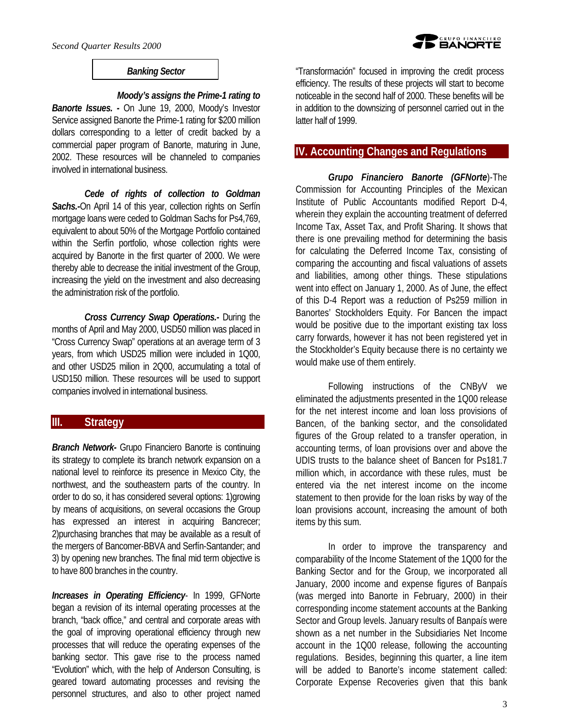involved in international business.

### *Banking Sector*

*Moody's assigns the Prime-1 rating to Banorte Issues. -* On June 19, 2000, Moody's Investor Service assigned Banorte the Prime-1 rating for \$200 million dollars corresponding to a letter of credit backed by a commercial paper program of Banorte, maturing in June, 2002. These resources will be channeled to companies

*Cede of rights of collection to Goldman Sachs.-*On April 14 of this year, collection rights on Serfín mortgage loans were ceded to Goldman Sachs for Ps4,769, equivalent to about 50% of the Mortgage Portfolio contained within the Serfín portfolio, whose collection rights were acquired by Banorte in the first quarter of 2000. We were thereby able to decrease the initial investment of the Group, increasing the yield on the investment and also decreasing the administration risk of the portfolio.

*Cross Currency Swap Operations.-* During the months of April and May 2000, USD50 million was placed in "Cross Currency Swap" operations at an average term of 3 years, from which USD25 million were included in 1Q00, and other USD25 milion in 2Q00, accumulating a total of USD150 million. These resources will be used to support companies involved in international business.

# **III. Strategy**

*Branch Network-* Grupo Financiero Banorte is continuing its strategy to complete its branch network expansion on a national level to reinforce its presence in Mexico City, the northwest, and the southeastern parts of the country. In order to do so, it has considered several options: 1)growing by means of acquisitions, on several occasions the Group has expressed an interest in acquiring Bancrecer; 2)purchasing branches that may be available as a result of the mergers of Bancomer-BBVA and Serfín-Santander; and 3) by opening new branches. The final mid term objective is to have 800 branches in the country.

*Increases in Operating Efficiency*- In 1999, GFNorte began a revision of its internal operating processes at the branch, "back office," and central and corporate areas with the goal of improving operational efficiency through new processes that will reduce the operating expenses of the banking sector. This gave rise to the process named "Evolution" which, with the help of Anderson Consulting, is geared toward automating processes and revising the personnel structures, and also to other project named

"Transformación" focused in improving the credit process efficiency. The results of these projects will start to become noticeable in the second half of 2000. These benefits will be in addition to the downsizing of personnel carried out in the latter half of 1999.

## **IV. Accounting Changes and Regulations**

*Grupo Financiero Banorte (GFNorte*)-The Commission for Accounting Principles of the Mexican Institute of Public Accountants modified Report D-4, wherein they explain the accounting treatment of deferred Income Tax, Asset Tax, and Profit Sharing. It shows that there is one prevailing method for determining the basis for calculating the Deferred Income Tax, consisting of comparing the accounting and fiscal valuations of assets and liabilities, among other things. These stipulations went into effect on January 1, 2000. As of June, the effect of this D-4 Report was a reduction of Ps259 million in Banortes' Stockholders Equity. For Bancen the impact would be positive due to the important existing tax loss carry forwards, however it has not been registered yet in the Stockholder's Equity because there is no certainty we would make use of them entirely.

Following instructions of the CNByV we eliminated the adjustments presented in the 1Q00 release for the net interest income and loan loss provisions of Bancen, of the banking sector, and the consolidated figures of the Group related to a transfer operation, in accounting terms, of loan provisions over and above the UDIS trusts to the balance sheet of Bancen for Ps181.7 million which, in accordance with these rules, must be entered via the net interest income on the income statement to then provide for the loan risks by way of the loan provisions account, increasing the amount of both items by this sum.

In order to improve the transparency and comparability of the Income Statement of the 1Q00 for the Banking Sector and for the Group, we incorporated all January, 2000 income and expense figures of Banpaís (was merged into Banorte in February, 2000) in their corresponding income statement accounts at the Banking Sector and Group levels. January results of Banpaís were shown as a net number in the Subsidiaries Net Income account in the 1Q00 release, following the accounting regulations. Besides, beginning this quarter, a line item will be added to Banorte's income statement called: Corporate Expense Recoveries given that this bank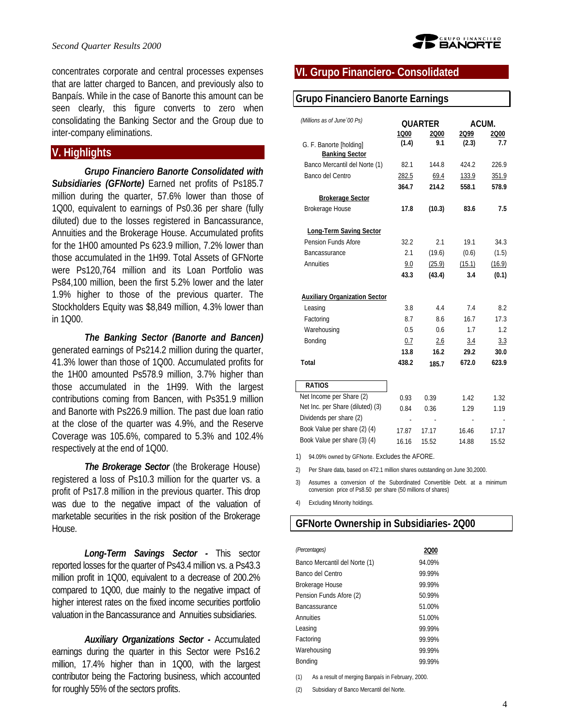concentrates corporate and central processes expenses that are latter charged to Bancen, and previously also to Banpaís. While in the case of Banorte this amount can be seen clearly, this figure converts to zero when consolidating the Banking Sector and the Group due to inter-company eliminations.

# **V. Highlights**

*Grupo Financiero Banorte Consolidated with Subsidiaries (GFNorte)* Earned net profits of Ps185.7 million during the quarter, 57.6% lower than those of 1Q00, equivalent to earnings of Ps0.36 per share (fully diluted) due to the losses registered in Bancassurance, Annuities and the Brokerage House. Accumulated profits for the 1H00 amounted Ps 623.9 million, 7.2% lower than those accumulated in the 1H99. Total Assets of GFNorte were Ps120,764 million and its Loan Portfolio was Ps84,100 million, been the first 5.2% lower and the later 1.9% higher to those of the previous quarter. The Stockholders Equity was \$8,849 million, 4.3% lower than in 1Q00.

*The Banking Sector (Banorte and Bancen)* generated earnings of Ps214.2 million during the quarter, 41.3% lower than those of 1Q00. Accumulated profits for the 1H00 amounted Ps578.9 million, 3.7% higher than those accumulated in the 1H99. With the largest contributions coming from Bancen, with Ps351.9 million and Banorte with Ps226.9 million. The past due loan ratio at the close of the quarter was 4.9%, and the Reserve Coverage was 105.6%, compared to 5.3% and 102.4% respectively at the end of 1Q00.

*The Brokerage Sector* (the Brokerage House) registered a loss of Ps10.3 million for the quarter vs. a profit of Ps17.8 million in the previous quarter. This drop was due to the negative impact of the valuation of marketable securities in the risk position of the Brokerage House.

*Long-Term Savings Sector -* This sector reported losses for the quarter of Ps43.4 million vs. a Ps43.3 million profit in 1Q00, equivalent to a decrease of 200.2% compared to 1Q00, due mainly to the negative impact of higher interest rates on the fixed income securities portfolio valuation in the Bancassurance and Annuities subsidiaries.

*Auxiliary Organizations Sector -* Accumulated earnings during the quarter in this Sector were Ps16.2 million, 17.4% higher than in 1Q00, with the largest contributor being the Factoring business, which accounted for roughly 55% of the sectors profits.

# **VI. Grupo Financiero- Consolidated**

# **Grupo Financiero Banorte Earnings**

| (Millions as of June '00 Ps)         |       | <b>QUARTER</b> |        | ACUM.  |  |  |
|--------------------------------------|-------|----------------|--------|--------|--|--|
|                                      | 1000  | 2000           | 2Q99   | 2000   |  |  |
| G. F. Banorte [holding]              | (1.4) | 9.1            | (2.3)  | 7.7    |  |  |
| <b>Banking Sector</b>                |       |                |        |        |  |  |
| Banco Mercantil del Norte (1)        | 82.1  | 144.8          | 424.2  | 226.9  |  |  |
| Banco del Centro                     | 282.5 | 69.4           | 133.9  | 351.9  |  |  |
|                                      | 364.7 | 214.2          | 558.1  | 578.9  |  |  |
| <b>Brokerage Sector</b>              |       |                |        |        |  |  |
| Brokerage House                      | 17.8  | (10.3)         | 83.6   | 7.5    |  |  |
| <b>Long-Term Saving Sector</b>       |       |                |        |        |  |  |
| Pension Funds Afore                  | 32.2  | 2.1            | 19.1   | 34.3   |  |  |
| Bancassurance                        | 2.1   | (19.6)         | (0.6)  | (1.5)  |  |  |
| Annuities                            | 9.0   | (25.9)         | (15.1) | (16.9) |  |  |
|                                      | 43.3  | (43.4)         | 3.4    | (0.1)  |  |  |
| <b>Auxiliary Organization Sector</b> |       |                |        |        |  |  |
| Leasing                              | 3.8   | 4.4            | 7.4    | 8.2    |  |  |
| Factoring                            | 8.7   | 86             | 16.7   | 17.3   |  |  |
| Warehousing                          | 0.5   | 0.6            | 1.7    | 1.2    |  |  |
| Bonding                              | 0.7   | 2.6            | 3.4    | 3.3    |  |  |
|                                      | 13.8  | 16.2           | 29.2   | 30.0   |  |  |
| Total                                | 438.2 | 185.7          | 672.0  | 623.9  |  |  |
| <b>RATIOS</b>                        |       |                |        |        |  |  |
| Net Income per Share (2)             | 0.93  | 0.39           | 142    | 1.32   |  |  |
| Net Inc. per Share (diluted) (3)     | 0.84  | 0.36           | 1.29   | 1.19   |  |  |
| Dividends per share (2)              | ä,    | ä,             |        |        |  |  |
| Book Value per share (2) (4)         | 17.87 | 17 17          | 16.46  | 17.17  |  |  |
| Book Value per share (3) (4)         | 16.16 | 15.52          | 14.88  | 15.52  |  |  |

1) 94.09% owned by GFNorte. Excludes the AFORE.

2) Per Share data, based on 472.1 million shares outstanding on June 30,2000.

3) Assumes a conversion of the Subordinated Convertible Debt. at a minimum conversion price of Ps8.50 per share (50 millions of shares)

4) Excluding Minority holdings.

# **GFNorte Ownership in Subsidiaries- 2Q00**

| (Percentages)                 | 200    |
|-------------------------------|--------|
| Banco Mercantil del Norte (1) | 94 09% |
| Banco del Centro              | 99 99% |
| Brokerage House               | 99 99% |
| Pension Funds Afore (2)       | 50 99% |
| Bancassurance                 | 51 00% |
| Annuities                     | 51 00% |
| Leasing                       | 99 99% |
| Factoring                     | 99 99% |
| Warehousing                   | 99 99% |
| Bonding                       | 99 99% |

(1) As a result of merging Banpaís in February, 2000.

(2) Subsidiary of Banco Mercantil del Norte.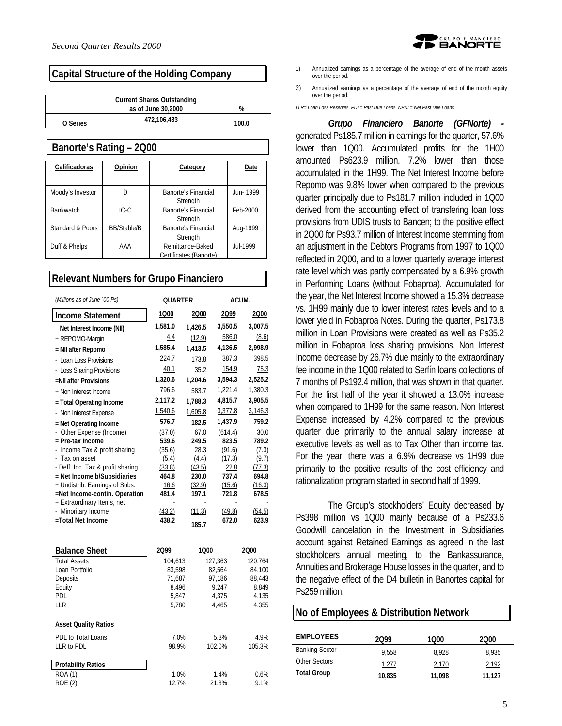### **Capital Structure of the Holding Company**

|          | <b>Current Shares Outstanding</b> |       |
|----------|-----------------------------------|-------|
|          | as of June 30,2000                | %     |
| O Series | 472,106,483                       | 100.0 |

### **Banorte's Rating – 2Q00**

| Calificadoras    | Opinion            | Category               | Date            |
|------------------|--------------------|------------------------|-----------------|
|                  |                    |                        |                 |
| Moody's Investor |                    | Banorte's Financial    | Jun-1999        |
|                  |                    | Strenath               |                 |
| <b>Bankwatch</b> | $IC-C$             | Banorte's Financial    | Feb-2000        |
|                  |                    | Strenath               |                 |
| Standard & Poors | <b>BB/Stable/B</b> | Banorte's Financial    | Aug-1999        |
|                  |                    | Strenath               |                 |
| Duff & Phelps    | AAA                | Remittance-Baked       | <b>Jul-1999</b> |
|                  |                    | Certificates (Banorte) |                 |

### **Relevant Numbers for Grupo Financiero**

| (Millions as of June '00 Ps)      | <b>OUARTER</b> |         | ACUM.   |         |
|-----------------------------------|----------------|---------|---------|---------|
| Income Statement                  | 1000           | 2000    | 2099    | 2000    |
| Net Interest Income (NII)         | 1,581.0        | 1,426.5 | 3,550.5 | 3,007.5 |
| + REPOMO-Margin                   | 4.4            | (12.9)  | 586.0   | (8.6)   |
| = NII after Repomo                | 1,585.4        | 1,413.5 | 4,136.5 | 2,998.9 |
| - Loan Loss Provisions            | 224.7          | 173.8   | 387.3   | 398.5   |
| - Loss Sharing Provisions         | 40.1           | 35.2    | 154.9   | 75.3    |
| =NII after Provisions             | 1,320.6        | 1,204.6 | 3,594.3 | 2,525.2 |
| + Non Interest Income             | 796.6          | 583.7   | 1,221.4 | 1,380.3 |
| = Total Operating Income          | 2,117.2        | 1,788.3 | 4,815.7 | 3,905.5 |
| - Non Interest Expense            | 1,540.6        | 1.605.8 | 3,377.8 | 3,146.3 |
| = Net Operating Income            | 576.7          | 182.5   | 1,437.9 | 759.2   |
| Other Expense (Income)            | (37.0)         | 67.0    | (614.4) | 30.0    |
| $=$ Pre-tax Income                | 539.6          | 249.5   | 823.5   | 789.2   |
| Income Tax & profit sharing       | (35.6)         | 28.3    | (91.6)  | (7.3)   |
| - Tax on asset                    | (5.4)          | (4.4)   | (17.3)  | (9.7)   |
| - Deff. Inc. Tax & profit sharing | (33.8)         | (43.5)  | 22.8    | (77.3)  |
| $=$ Net Income b/Subsidiaries     | 464.8          | 230.0   | 737.4   | 694.8   |
| + Undistrib. Earnings of Subs.    | 16.6           | (32.9)  | (15.6)  | (16.3)  |
| =Net Income-contin. Operation     | 481.4          | 197.1   | 721.8   | 678.5   |
| + Extraordinary Items, net        |                |         |         |         |
| - Minoritary Income               | (43.2)         | (11.3)  | (49.8)  | (54.5)  |
| =Total Net Income                 | 438.2          | 185.7   | 672.0   | 623.9   |

| <b>Balance Sheet</b>        | 2Q99    | 1000    | 2000    |
|-----------------------------|---------|---------|---------|
| <b>Total Assets</b>         | 104.613 | 127,363 | 120,764 |
| Loan Portfolio              | 83.598  | 82.564  | 84.100  |
| Deposits                    | 71.687  | 97.186  | 88,443  |
| Equity                      | 8.496   | 9.247   | 8.849   |
| <b>PDL</b>                  | 5.847   | 4.375   | 4,135   |
| LLR                         | 5.780   | 4.465   | 4.355   |
|                             |         |         |         |
| <b>Asset Quality Ratios</b> |         |         |         |
| PDL to Total Loans          | 7.0%    | 5.3%    | 4.9%    |
| $LLR$ to $PDL$              | 98.9%   | 102.0%  | 105.3%  |
|                             |         |         |         |
| <b>Profability Ratios</b>   |         |         |         |
| <b>ROA (1)</b>              | 1.0%    | 1.4%    | 0.6%    |
| ROE (2)                     | 12.7%   | 21.3%   | 9.1%    |



- 1) Annualized earnings as a percentage of the average of end of the month assets over the period.
- 2) Annualized earnings as a percentage of the average of end of the month equity over the period.

*LLR= Loan Loss Reserves, PDL= Past Due Loans, NPDL= Net Past Due Loans*

*Grupo Financiero Banorte (GFNorte)*  generated Ps185.7 million in earnings for the quarter, 57.6% lower than 1Q00. Accumulated profits for the 1H00 amounted Ps623.9 million, 7.2% lower than those accumulated in the 1H99. The Net Interest Income before Repomo was 9.8% lower when compared to the previous quarter principally due to Ps181.7 million included in 1Q00 derived from the accounting effect of transfering loan loss provisions from UDIS trusts to Bancen; to the positive effect in 2Q00 for Ps93.7 million of Interest Income stemming from an adjustment in the Debtors Programs from 1997 to 1Q00 reflected in 2Q00, and to a lower quarterly average interest rate level which was partly compensated by a 6.9% growth in Performing Loans (without Fobaproa). Accumulated for the year, the Net Interest Income showed a 15.3% decrease vs. 1H99 mainly due to lower interest rates levels and to a lower yield in Fobaproa Notes. During the quarter, Ps173.8 million in Loan Provisions were created as well as Ps35.2 million in Fobaproa loss sharing provisions. Non Interest Income decrease by 26.7% due mainly to the extraordinary fee income in the 1Q00 related to Serfín loans collections of 7 months of Ps192.4 million, that was shown in that quarter. For the first half of the year it showed a 13.0% increase when compared to 1H99 for the same reason. Non Interest Expense increased by 4.2% compared to the previous quarter due primarily to the annual salary increase at executive levels as well as to Tax Other than income tax. For the year, there was a 6.9% decrease vs 1H99 due primarily to the positive results of the cost efficiency and rationalization program started in second half of 1999.

The Group's stockholders' Equity decreased by Ps398 million vs 1Q00 mainly because of a Ps233.6 Goodwill cancelation in the Investment in Subsidiaries account against Retained Earnings as agreed in the last stockholders annual meeting, to the Bankassurance, Annuities and Brokerage House losses in the quarter, and to the negative effect of the D4 bulletin in Banortes capital for Ps259 million.

### **No of Employees & Distribution Network**

| <b>EMPLOYEES</b>      | 2099   | 1000   | 2000   |
|-----------------------|--------|--------|--------|
| <b>Banking Sector</b> | 9.558  | 8.928  | 8.935  |
| <b>Other Sectors</b>  | 1,277  | 2,170  | 2,192  |
| <b>Total Group</b>    | 10,835 | 11,098 | 11.127 |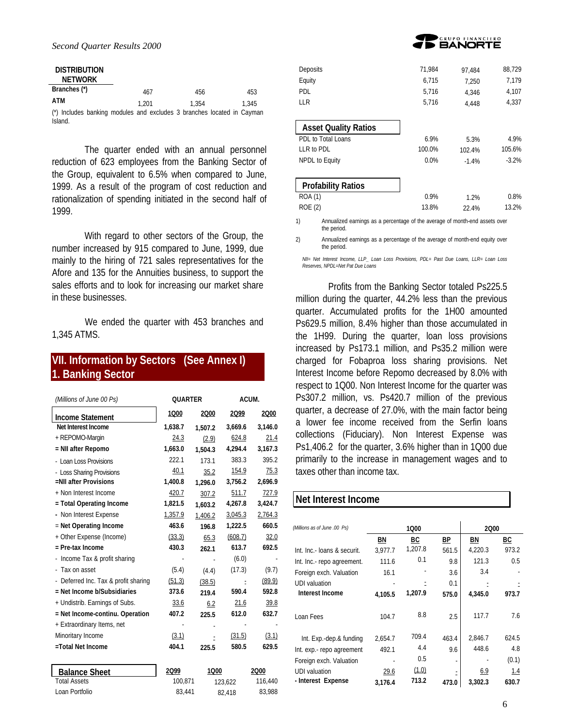| <b>DISTRIBUTION</b><br><b>NETWORK</b>                                             |       |       |  |       |
|-----------------------------------------------------------------------------------|-------|-------|--|-------|
| Branches (*)                                                                      | 467   | 456   |  | 453   |
| ATM                                                                               | 1.201 | 1.354 |  | 1.345 |
| (*) Includes banking modules and excludes 3 branches located in Cayman<br>Island. |       |       |  |       |

The quarter ended with an annual personnel reduction of 623 employees from the Banking Sector of the Group, equivalent to 6.5% when compared to June, 1999. As a result of the program of cost reduction and rationalization of spending initiated in the second half of 1999.

With regard to other sectors of the Group, the number increased by 915 compared to June, 1999, due mainly to the hiring of 721 sales representatives for the Afore and 135 for the Annuities business, to support the sales efforts and to look for increasing our market share in these businesses.

We ended the quarter with 453 branches and 1,345 ATMS.

# **VII. Information by Sectors (See Annex I) 1. Banking Sector**

| (Millions of June 00 Ps)             | <b>QUARTER</b> |         |         | ACUM.   |
|--------------------------------------|----------------|---------|---------|---------|
| <b>Income Statement</b>              | 1000           | 2000    | 2Q99    | 2000    |
| Net Interest Income                  | 1,638.7        | 1,507.2 | 3,669.6 | 3,146.0 |
| + REPOMO-Margin                      | 24.3           | (2.9)   | 624.8   | 21.4    |
| = NII after Repomo                   | 1,663.0        | 1,504.3 | 4,294.4 | 3,167.3 |
| - Loan Loss Provisions               | 222.1          | 173.1   | 383.3   | 395.2   |
| - Loss Sharing Provisions            | 40.1           | 35.2    | 154.9   | 75.3    |
| =NII after Provisions                | 1,400.8        | 1.296.0 | 3,756.2 | 2,696.9 |
| + Non Interest Income                | 420.7          | 307.2   | 511.7   | 727.9   |
| = Total Operating Income             | 1,821.5        | 1,603.2 | 4,267.8 | 3,424.7 |
| - Non Interest Expense               | 1,357.9        | 1,406.2 | 3,045.3 | 2,764.3 |
| $=$ Net Operating Income             | 463.6          | 196.8   | 1,222.5 | 660.5   |
| + Other Expense (Income)             | (33.3)         | 65.3    | (608.7) | 32.0    |
| $=$ Pre-tax Income                   | 430.3          | 262.1   | 613.7   | 692.5   |
| Income Tax & profit sharing          |                |         | (6.0)   |         |
| Tax on asset                         | (5.4)          | (4.4)   | (17.3)  | (9.7)   |
| - Deferred Inc. Tax & profit sharing | (51.3)         | (38.5)  |         | (89.9)  |
| $=$ Net Income b/Subsidiaries        | 373.6          | 219.4   | 590.4   | 592.8   |
| + Undistrib. Earnings of Subs.       | 33.6           | 6.2     | 21.6    | 39.8    |
| = Net Income-continu. Operation      | 407.2          | 225.5   | 612.0   | 632.7   |
| + Extraordinary Items, net           |                |         |         |         |
| Minoritary Income                    | (3.1)          |         | (31.5)  | (3.1)   |
| =Total Net Income                    | 404.1          | 225.5   | 580.5   | 629.5   |
| <b>Balance Sheet</b>                 | 2099           | 1000    |         | 2000    |
| <b>Total Assets</b>                  | 100,871        |         | 123,622 | 116,440 |
| Loan Portfolio                       | 83,441         |         | 82,418  | 83,988  |



| Deposits                    | 71,984 | 97.484  | 88,729  |
|-----------------------------|--------|---------|---------|
| Equity                      | 6.715  | 7.250   | 7,179   |
| PDL                         | 5.716  | 4.346   | 4,107   |
| LL R                        | 5.716  | 4.448   | 4,337   |
|                             |        |         |         |
| <b>Asset Quality Ratios</b> |        |         |         |
| PDL to Total Loans          | 6.9%   | 5.3%    | 4.9%    |
| LLR to PDL                  | 100.0% | 102.4%  | 105.6%  |
| NPDL to Equity              | 0.0%   | $-1.4%$ | $-3.2%$ |
|                             |        |         |         |
| <b>Profability Ratios</b>   |        |         |         |
| <b>ROA (1)</b>              | 0.9%   | 1.2%    | 0.8%    |
| ROE (2)                     | 13.8%  | 22.4%   | 13.2%   |
|                             |        |         |         |

1) Annualized earnings as a percentage of the average of month-end assets over the period.

2) Annualized earnings as a percentage of the average of month-end equity over the period.

*NII= Net Interest Income, LLP\_ Loan Loss Provisions, PDL= Past Due Loans, LLR= Loan Loss Reserves, NPDL=Net Pat Due Loans*

Profits from the Banking Sector totaled Ps225.5 million during the quarter, 44.2% less than the previous quarter. Accumulated profits for the 1H00 amounted Ps629.5 million, 8.4% higher than those accumulated in the 1H99. During the quarter, loan loss provisions increased by Ps173.1 million, and Ps35.2 million were charged for Fobaproa loss sharing provisions. Net Interest Income before Repomo decreased by 8.0% with respect to 1Q00. Non Interest Income for the quarter was Ps307.2 million, vs. Ps420.7 million of the previous quarter, a decrease of 27.0%, with the main factor being a lower fee income received from the Serfin loans collections (Fiduciary). Non Interest Expense was Ps1,406.2 for the quarter, 3.6% higher than in 1Q00 due primarily to the increase in management wages and to taxes other than income tax.

### **Net Interest Income**

| (Millions as of June .00 Ps) |         | 1000      |           | 2000    |       |
|------------------------------|---------|-----------|-----------|---------|-------|
|                              | ΒN      | <u>BC</u> | <u>BP</u> | ΒN      | BC    |
| Int. Inc.- Ioans & securit.  | 3.977.7 | 1,207.8   | 561.5     | 4,220.3 | 973.2 |
| Int. Inc.- repo agreement.   | 111.6   | 0.1       | 9.8       | 121.3   | 0.5   |
| Foreign exch. Valuation      | 16.1    |           | 3.6       | 3.4     |       |
| UDI valuation                |         |           | 0.1       |         |       |
| Interest Income              | 4,105.5 | 1,207.9   | 575.0     | 4,345.0 | 973.7 |
| Loan Fees                    | 104.7   | 8.8       | 2.5       | 117.7   | 7.6   |
| Int. Exp.-dep.& funding      | 2.654.7 | 709.4     | 463.4     | 2,846.7 | 624.5 |
| Int. exp.- repo agreement    | 492.1   | 4.4       | 9.6       | 448.6   | 4.8   |
| Foreign exch. Valuation      |         | 0.5       | ٠         |         | (0.1) |
| <b>UDI</b> valuation         | 29.6    | (1.0)     | ٠         | 6.9     | 1.4   |
| - Interest Expense           | 3.176.4 | 713.2     | 473.0     | 3,302.3 | 630.7 |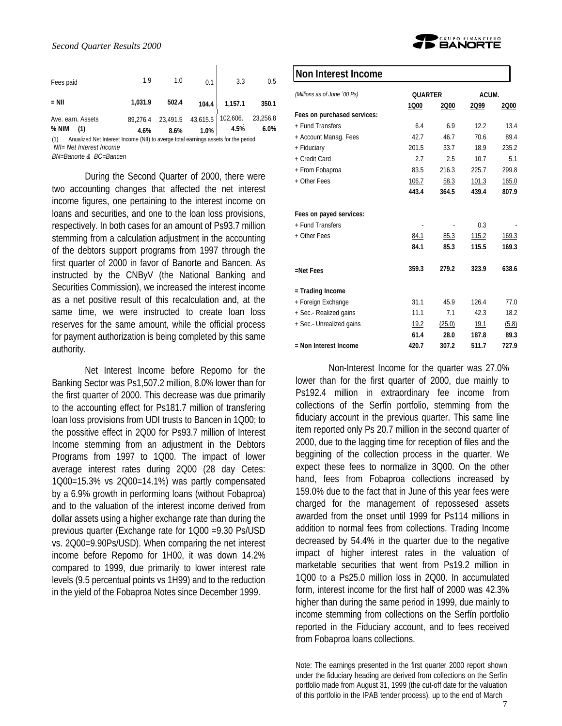| 1.9<br>1.0<br>0.1<br>3.3<br>Fees paid<br>502.4 | Ave. earn. Assets<br>$%$ NIM<br>(1) | 1,031.9<br>4.6% | 89,276.4 23,491.5 43,615.5 102,606. 23,256.8<br>8.6% | $1.0\%$ | 104.4 1,157.1<br>4.5% | 350.1<br>6.0% |
|------------------------------------------------|-------------------------------------|-----------------|------------------------------------------------------|---------|-----------------------|---------------|
|                                                | $=$ NII                             |                 |                                                      |         |                       | 0.5           |

(1) Anualized Net Interest Income (NII) to averge total earnings assets for the period.  *NII= Net Interest Income*

*BN=Banorte & BC=Bancen*

During the Second Quarter of 2000, there were two accounting changes that affected the net interest income figures, one pertaining to the interest income on loans and securities, and one to the loan loss provisions, respectively. In both cases for an amount of Ps93.7 million stemming from a calculation adjustment in the accounting of the debtors support programs from 1997 through the first quarter of 2000 in favor of Banorte and Bancen. As instructed by the CNByV (the National Banking and Securities Commission), we increased the interest income as a net positive result of this recalculation and, at the same time, we were instructed to create loan loss reserves for the same amount, while the official process for payment authorization is being completed by this same authority.

Net Interest Income before Repomo for the Banking Sector was Ps1,507.2 million, 8.0% lower than for the first quarter of 2000. This decrease was due primarily to the accounting effect for Ps181.7 million of transfering loan loss provisions from UDI trusts to Bancen in 1Q00; to the possitive effect in 2Q00 for Ps93.7 million of Interest Income stemming from an adjustment in the Debtors Programs from 1997 to 1Q00. The impact of lower average interest rates during 2Q00 (28 day Cetes: 1Q00=15.3% vs 2Q00=14.1%) was partly compensated by a 6.9% growth in performing loans (without Fobaproa) and to the valuation of the interest income derived from dollar assets using a higher exchange rate than during the previous quarter (Exchange rate for 1Q00 =9.30 Ps/USD vs. 2Q00=9.90Ps/USD). When comparing the net interest income before Repomo for 1H00, it was down 14.2% compared to 1999, due primarily to lower interest rate levels (9.5 percentual points vs 1H99) and to the reduction in the yield of the Fobaproa Notes since December 1999.



### **Non Interest Income**

| (Millions as of June '00 Ps) | <b>OUARTER</b> |        | ACUM. |       |  |
|------------------------------|----------------|--------|-------|-------|--|
|                              | 1Q00           | 2000   | 2Q99  | 2000  |  |
| Fees on purchased services:  |                |        |       |       |  |
| + Fund Transfers             | 6.4            | 6.9    | 12.2  | 13.4  |  |
| + Account Manag. Fees        | 42.7           | 46.7   | 70.6  | 89.4  |  |
| + Fiduciary                  | 201.5          | 33.7   | 18.9  | 235.2 |  |
| + Credit Card                | 2.7            | 2.5    | 10.7  | 5.1   |  |
| + From Fobaproa              | 83.5           | 216.3  | 225.7 | 299.8 |  |
| + Other Fees                 | 106.7          | 58.3   | 101.3 | 165.0 |  |
|                              | 443.4          | 364.5  | 439.4 | 807.9 |  |
| Fees on payed services:      |                |        |       |       |  |
| + Fund Transfers             |                |        | 0.3   |       |  |
| + Other Fees                 | 84.1           | 85.3   | 115.2 | 169.3 |  |
|                              | 84.1           | 85.3   | 115.5 | 169.3 |  |
| $=$ Net Fees                 | 359.3          | 279.2  | 323.9 | 638.6 |  |
| = Trading Income             |                |        |       |       |  |
| + Foreign Exchange           | 31.1           | 45.9   | 126.4 | 77.0  |  |
| + Sec.- Realized gains       | 11.1           | 7.1    | 42.3  | 18.2  |  |
| + Sec.- Unrealized gains     | 19.2           | (25.0) | 19.1  | (5.8) |  |
|                              | 61.4           | 28.0   | 187.8 | 89.3  |  |
| = Non Interest Income        | 420.7          | 307.2  | 511.7 | 727.9 |  |

Non-Interest Income for the quarter was 27.0% lower than for the first quarter of 2000, due mainly to Ps192.4 million in extraordinary fee income from collections of the Serfín portfolio, stemming from the fiduciary account in the previous quarter. This same line item reported only Ps 20.7 million in the second quarter of 2000, due to the lagging time for reception of files and the beggining of the collection process in the quarter. We expect these fees to normalize in 3Q00. On the other hand, fees from Fobaproa collections increased by 159.0% due to the fact that in June of this year fees were charged for the management of repossesed assets awarded from the onset until 1999 for Ps114 millions in addition to normal fees from collections. Trading Income decreased by 54.4% in the quarter due to the negative impact of higher interest rates in the valuation of marketable securities that went from Ps19.2 million in 1Q00 to a Ps25.0 million loss in 2Q00. In accumulated form, interest income for the first half of 2000 was 42.3% higher than during the same period in 1999, due mainly to income stemming from collections on the Serfín portfolio reported in the Fiduciary account, and to fees received from Fobaproa loans collections.

Note: The earnings presented in the first quarter 2000 report shown under the fiduciary heading are derived from collections on the Serfín portfolio made from August 31, 1999 (the cut-off date for the valuation of this portfolio in the IPAB tender process), up to the end of March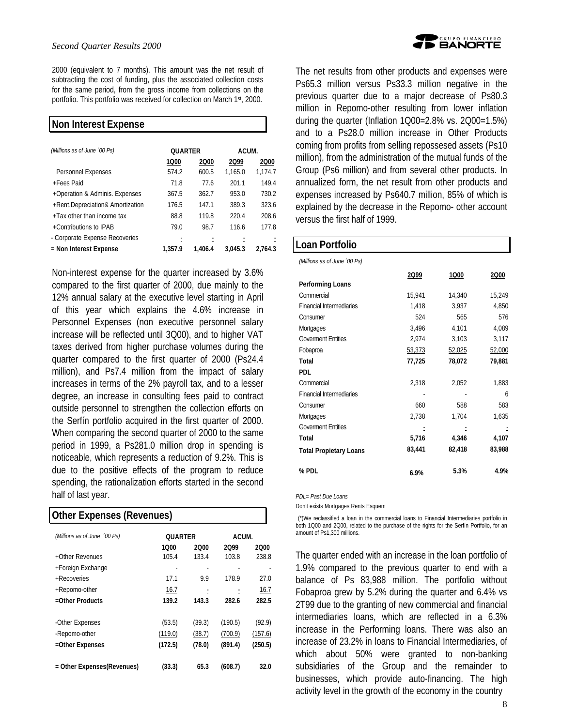2000 (equivalent to 7 months). This amount was the net result of subtracting the cost of funding, plus the associated collection costs for the same period, from the gross income from collections on the portfolio. This portfolio was received for collection on March 1st, 2000.

| Non Interest Expense              |                |         |         |         |
|-----------------------------------|----------------|---------|---------|---------|
| (Millions as of June '00 Ps)      | <b>OUARTER</b> |         | ACUM.   |         |
|                                   | 1Q00           | 2000    | 2Q99    | 2000    |
| Personnel Expenses                | 574.2          | 600.5   | 1.165.0 | 1.174.7 |
| +Fees Paid                        | 71.8           | 776     | 201.1   | 149.4   |
| +Operation & Adminis. Expenses    | 367.5          | 362.7   | 953.0   | 730.2   |
| +Rent, Depreciation& Amortization | 176.5          | 147.1   | 389.3   | 323.6   |
| $+$ Tax other than income tax     | 88.8           | 119.8   | 220.4   | 208.6   |
| +Contributions to IPAB            | 79 Q           | 98.7    | 116.6   | 177.8   |
| - Corporate Expense Recoveries    |                |         |         |         |
| = Non Interest Expense            | 1.357.9        | 1.406.4 | 3.045.3 | 2.764.3 |

Non-interest expense for the quarter increased by 3.6% compared to the first quarter of 2000, due mainly to the 12% annual salary at the executive level starting in April of this year which explains the 4.6% increase in Personnel Expenses (non executive personnel salary increase will be reflected until 3Q00), and to higher VAT taxes derived from higher purchase volumes during the quarter compared to the first quarter of 2000 (Ps24.4 million), and Ps7.4 million from the impact of salary increases in terms of the 2% payroll tax, and to a lesser degree, an increase in consulting fees paid to contract outside personnel to strengthen the collection efforts on the Serfín portfolio acquired in the first quarter of 2000. When comparing the second quarter of 2000 to the same period in 1999, a Ps281.0 million drop in spending is noticeable, which represents a reduction of 9.2%. This is due to the positive effects of the program to reduce spending, the rationalization efforts started in the second half of last year.

|  | Other Expenses (Revenues) |  |
|--|---------------------------|--|
|--|---------------------------|--|

| (Millions as of June<br>00 Ps) |         | <b>OUARTER</b> |         | ACUM.   |  |  |
|--------------------------------|---------|----------------|---------|---------|--|--|
|                                | 1Q00    | 2000           | 2Q99    | 2000    |  |  |
| +Other Revenues                | 105.4   | 133.4          | 103.8   | 238.8   |  |  |
| +Foreign Exchange              |         |                |         |         |  |  |
| +Recoveries                    | 171     | 9.9            | 178.9   | 27.0    |  |  |
| +Repomo-other                  | 16.7    |                |         | 16.7    |  |  |
| $=$ Other Products             | 139.2   | 143.3          | 282.6   | 282.5   |  |  |
| -Other Expenses                | (53.5)  | (39.3)         | (190.5) | (92.9)  |  |  |
| -Repomo-other                  | (119.0) | (38.7)         | (700.9) | (157.6) |  |  |
| =Other Expenses                | (172.5) | (78.0)         | (891.4) | (250.5) |  |  |
| = Other Expenses(Revenues)     | (33.3)  | 65.3           | (608.7) | 32.0    |  |  |



The net results from other products and expenses were Ps65.3 million versus Ps33.3 million negative in the previous quarter due to a major decrease of Ps80.3 million in Repomo-other resulting from lower inflation during the quarter (Inflation 1Q00=2.8% vs. 2Q00=1.5%) and to a Ps28.0 million increase in Other Products coming from profits from selling repossesed assets (Ps10 million), from the administration of the mutual funds of the Group (Ps6 million) and from several other products. In annualized form, the net result from other products and expenses increased by Ps640.7 million, 85% of which is explained by the decrease in the Repomo- other account versus the first half of 1999.

# **Loan Portfolio** *(Millions as of June ´00 Ps)* **2Q99 1Q00 2Q00 Performing Loans** Commercial 15,941 14,340 15,249 Financial Intermediaries 1,418 3,937 4,850 Consumer 524 565 576 Mortgages 3,496 4,101 4,089 Goverment Entities 2,974 3,103 3,117 Fobaproa 53,373 52,025 52,000 **Total 77,725 78,072 79,881 PDL** Commercial 2,318 2,052 1,883 Financial Intermediaries **6** Consumer 660 588 583 Mortgages 2,738 1,704 1,635 Goverment Entities **Total 5,716 4,346 4,107 Total Propietary Loans 83,441 82,418 83,988 % PDL 6.9% 5.3% 4.9%** *PDL= Past Due Loans*

Don't exists Mortgages Rents Esquem

 (\*)We reclassified a loan in the commercial loans to Financial Intermediaries portfolio in both 1Q00 and 2Q00, related to the purchase of the rights for the Serfín Portfolio, for an amount of Ps1,300 millions.

The quarter ended with an increase in the loan portfolio of 1.9% compared to the previous quarter to end with a balance of Ps 83,988 million. The portfolio without Fobaproa grew by 5.2% during the quarter and 6.4% vs 2T99 due to the granting of new commercial and financial intermediaries loans, which are reflected in a 6.3% increase in the Performing loans. There was also an increase of 23.2% in loans to Financial Intermediaries, of which about 50% were granted to non-banking subsidiaries of the Group and the remainder to businesses, which provide auto-financing. The high activity level in the growth of the economy in the country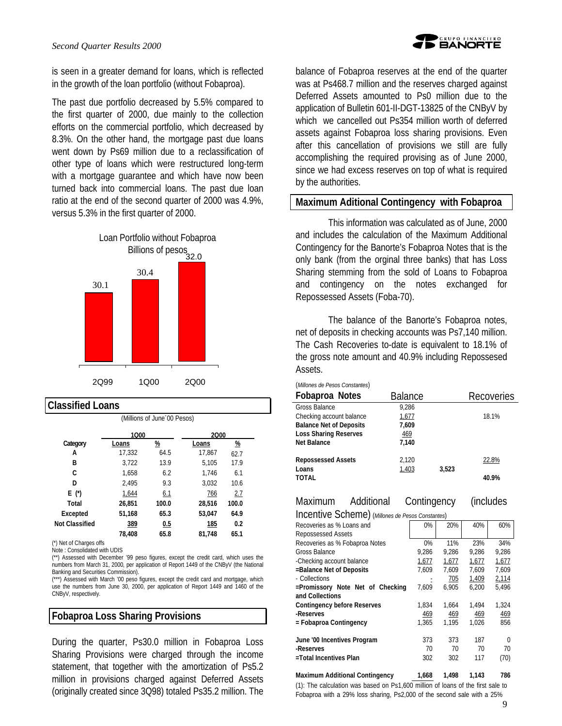

is seen in a greater demand for loans, which is reflected in the growth of the loan portfolio (without Fobaproa).

The past due portfolio decreased by 5.5% compared to the first quarter of 2000, due mainly to the collection efforts on the commercial portfolio, which decreased by 8.3%. On the other hand, the mortgage past due loans went down by Ps69 million due to a reclassification of other type of loans which were restructured long-term with a mortgage guarantee and which have now been turned back into commercial loans. The past due loan ratio at the end of the second quarter of 2000 was 4.9%, versus 5.3% in the first quarter of 2000.



#### **Classified Loans**

(Millions of June´00 Pesos)

|                       | 1000   |               | 2000   |                       |  |
|-----------------------|--------|---------------|--------|-----------------------|--|
| Category              | Loans  | $\frac{9}{6}$ | Loans  | $\frac{\%}{\sqrt{2}}$ |  |
| А                     | 17,332 | 64.5          | 17.867 | 62.7                  |  |
| в                     | 3.722  | 13.9          | 5,105  | 17.9                  |  |
| C                     | 1,658  | 6.2           | 1.746  | 6.1                   |  |
| D                     | 2.495  | 9.3           | 3,032  | 10.6                  |  |
| E (*)                 | 1,644  | <u>6.1</u>    | 766    | 2.7                   |  |
| Total                 | 26,851 | 100.0         | 28,516 | 100.0                 |  |
| Excepted              | 51,168 | 65.3          | 53,047 | 64.9                  |  |
| <b>Not Classified</b> | 389    | 0.5           | 185    | 0.2                   |  |
|                       | 78,408 | 65.8          | 81.748 | 65.1                  |  |

(\*) Net of Charges offs

Note : Consolidated with UDIS

(\*\*) Assessed with December '99 peso figures, except the credit card, which uses the numbers from March 31, 2000, per application of Report 1449 of the CNByV (the National Banking and Securities Commission).

(\*\*\*) Assessed with March '00 peso figures, except the credit card and mortgage, which use the numbers from June 30, 2000, per application of Report 1449 and 1460 of the CNByV, respectively.

### **Fobaproa Loss Sharing Provisions**

During the quarter, Ps30.0 million in Fobaproa Loss Sharing Provisions were charged through the income statement, that together with the amortization of Ps5.2 million in provisions charged against Deferred Assets (originally created since 3Q98) totaled Ps35.2 million. The balance of Fobaproa reserves at the end of the quarter was at Ps468.7 million and the reserves charged against Deferred Assets amounted to Ps0 million due to the application of Bulletin 601-II-DGT-13825 of the CNByV by which we cancelled out Ps354 million worth of deferred assets against Fobaproa loss sharing provisions. Even after this cancellation of provisions we still are fully accomplishing the required provising as of June 2000, since we had excess reserves on top of what is required by the authorities.

#### **Maximum Aditional Contingency with Fobaproa**

This information was calculated as of June, 2000 and includes the calculation of the Maximum Additional Contingency for the Banorte's Fobaproa Notes that is the only bank (from the orginal three banks) that has Loss Sharing stemming from the sold of Loans to Fobaproa and contingency on the notes exchanged for Repossessed Assets (Foba-70).

The balance of the Banorte's Fobaproa notes, net of deposits in checking accounts was Ps7,140 million. The Cash Recoveries to-date is equivalent to 18.1% of the gross note amount and 40.9% including Repossesed Assets.

#### (*Millones de Pesos Constantes*)

| Fobaproa Notes                 | <b>Balance</b> |       | <b>Recoveries</b> |
|--------------------------------|----------------|-------|-------------------|
| <b>Gross Balance</b>           | 9.286          |       |                   |
| Checking account balance       | 1,677          |       | 18.1%             |
| <b>Balance Net of Deposits</b> | 7,609          |       |                   |
| <b>Loss Sharing Reserves</b>   | 469            |       |                   |
| <b>Net Balance</b>             | 7,140          |       |                   |
| <b>Repossessed Assets</b>      | 2.120          |       | 22.8%             |
| Loans                          | 1,403          | 3.523 |                   |
| <b>TOTAL</b>                   |                |       | 40.9%             |

### Maximum Additional Contingency (includes

Incentive Scheme) (*Millones de Pesos Constantes*)

| 0%    | 20%   | 40%   | 60%   |
|-------|-------|-------|-------|
|       |       |       |       |
| 0%    | 11%   | 23%   | 34%   |
| 9.286 | 9.286 | 9.286 | 9,286 |
| 1,677 | 1,677 | 1,677 | 1,677 |
| 7.609 | 7.609 | 7.609 | 7.609 |
|       | 705   | 1,409 | 2,114 |
| 7.609 | 6.905 | 6.200 | 5,496 |
|       |       |       |       |
| 1,834 | 1,664 | 1.494 | 1,324 |
| 469   | 469   | 469   | 469   |
| 1.365 | 1.195 | 1.026 | 856   |
|       |       |       |       |
| 373   | 373   | 187   | ∩     |
| 70    | 70    | 70    | 70    |
| 302   | 302   | 117   | (70)  |
|       |       |       |       |
|       |       |       |       |

## **Maximum Additional Contingency 1,668 1,498 1,143 786**

(1): The calculation was based on Ps1,600 million of loans of the first sale to Fobaproa with a 29% loss sharing, Ps2,000 of the second sale with a 25%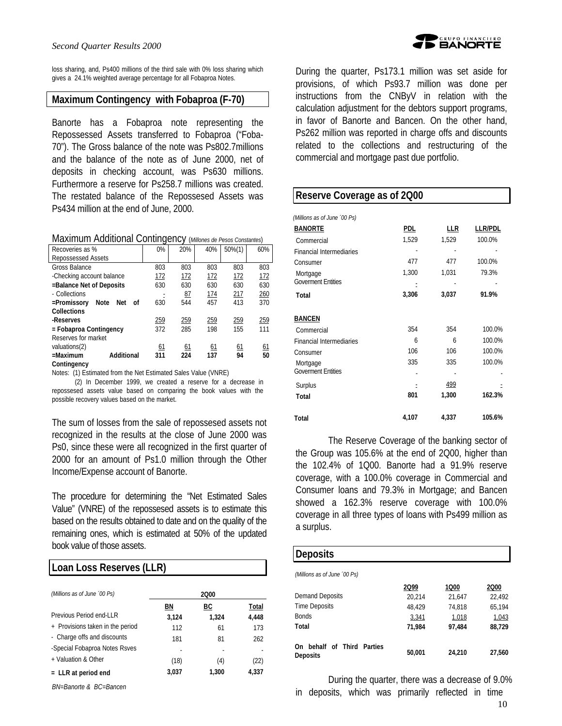

loss sharing, and, Ps400 millions of the third sale with 0% loss sharing which gives a 24.1% weighted average percentage for all Fobaproa Notes.

### **Maximum Contingency with Fobaproa (F-70)**

Banorte has a Fobaproa note representing the Repossessed Assets transferred to Fobaproa ("Foba-70"). The Gross balance of the note was Ps802.7millions and the balance of the note as of June 2000, net of deposits in checking account, was Ps630 millions. Furthermore a reserve for Ps258.7 millions was created. The restated balance of the Repossesed Assets was Ps434 million at the end of June, 2000.

Maximum Additional Contingency (*Millones de Pesos Constantes*)

| Recoveries as %                  | 0%          | 20%         | 40%         | $50\% (1)$  | 60%        |
|----------------------------------|-------------|-------------|-------------|-------------|------------|
| Repossessed Assets               |             |             |             |             |            |
| Gross Balance                    | 803         | 803         | 803         | 803         | 803        |
| -Checking account balance        | 172         | <u> 172</u> | <u>172</u>  | <u> 172</u> | <u>172</u> |
| =Balance Net of Deposits         | 630         | 630         | 630         | 630         | 630        |
| - Collections                    |             | 87          | <u> 174</u> | 217         | 260        |
| Note<br>=Promissory<br>Net<br>οf | 630         | 544         | 457         | 413         | 370        |
| <b>Collections</b>               |             |             |             |             |            |
| -Reserves                        | <u> 259</u> | 259         | <u>259</u>  | <u>259</u>  | 259        |
| = Fobaproa Contingency           | 372         | 285         | 198         | 155         | 111        |
| Reserves for market              |             |             |             |             |            |
| valuations(2)                    | 61          | <u>61</u>   | <u>61</u>   | <u>61</u>   | 61         |
| Additional<br>$=$ Maximum        | 311         | 224         | 137         | 94          | 50         |
| Contingency                      |             |             |             |             |            |

Notes: (1) Estimated from the Net Estimated Sales Value (VNRE)

 (2) In December 1999, we created a reserve for a decrease in repossesed assets value based on comparing the book values with the possible recovery values based on the market.

The sum of losses from the sale of repossesed assets not recognized in the results at the close of June 2000 was Ps0, since these were all recognized in the first quarter of 2000 for an amount of Ps1.0 million through the Other Income/Expense account of Banorte.

The procedure for determining the "Net Estimated Sales Value" (VNRE) of the repossesed assets is to estimate this based on the results obtained to date and on the quality of the remaining ones, which is estimated at 50% of the updated book value of those assets.

# **Loan Loss Reserves (LLR)**

| (Millions as of June '00 Ps)     |       | 2000  |       |
|----------------------------------|-------|-------|-------|
|                                  | ΒN    | ВC    | Total |
| Previous Period end-LLR          | 3.124 | 1.324 | 4,448 |
| + Provisions taken in the period | 112   | 61    | 173   |
| - Charge offs and discounts      | 181   | 81    | 262   |
| -Special Fobaproa Notes Rsves    |       |       |       |
| + Valuation & Other              | (18)  | (4)   | (22)  |
| $=$ LLR at period end            | 3,037 | 1,300 | 4.337 |

*BN=Banorte & BC=Bancen*

During the quarter, Ps173.1 million was set aside for provisions, of which Ps93.7 million was done per instructions from the CNByV in relation with the calculation adjustment for the debtors support programs, in favor of Banorte and Bancen. On the other hand, Ps262 million was reported in charge offs and discounts related to the collections and restructuring of the commercial and mortgage past due portfolio.

# **Reserve Coverage as of 2Q00**  *(Millions as of June ´00 Ps)* **BANORTE PDL LLR LLR/PDL** Commercial 1,529 1,529 100.0% Financial Intermediaries Consumer 477 477 100.0% Mortgage 1,300 1,031 79.3% Government Entities  $\frac{1}{2}$  **Total 3,306 3,037 91.9% BANCEN** Commercial 354 354 100.0% Financial Intermediaries 6 6 6 100.0% Consumer 106 106 100.0% Mortgage 335 335 100.0% Goverment Entities - - - Surplus **- 499 - 499 - 499 - 499 - 499 - 499 - 499** - 499 - 499 - 499 - 499 - 499 - 499 - 499 - 499 - 499 - 499 - 499 - 499 - 499 - 499 - 499 - 499 - 499 - 499 - 499 - 499 - 499 - 499 - 499 - 499 - 499 - 499 - 499 - 499 -  **Total 801 1,300 162.3% Total 4,107 4,337 105.6%**

The Reserve Coverage of the banking sector of the Group was 105.6% at the end of 2Q00, higher than the 102.4% of 1Q00. Banorte had a 91.9% reserve coverage, with a 100.0% coverage in Commercial and Consumer loans and 79.3% in Mortgage; and Bancen showed a 162.3% reserve coverage with 100.0% coverage in all three types of loans with Ps499 million as a surplus.

#### **Deposits**

| (Millions as of June '00 Ps)           |        |        |        |
|----------------------------------------|--------|--------|--------|
|                                        | 2Q99   | 1Q00   | 2000   |
| Demand Deposits                        | 20.214 | 21,647 | 22.492 |
| <b>Time Deposits</b>                   | 48.429 | 74.818 | 65,194 |
| <b>Bonds</b>                           | 3,341  | 1,018  | 1,043  |
| Total                                  | 71.984 | 97.484 | 88,729 |
| On behalf of Third Parties<br>Deposits | 50,001 | 24,210 | 27,560 |

During the quarter, there was a decrease of 9.0% in deposits, which was primarily reflected in time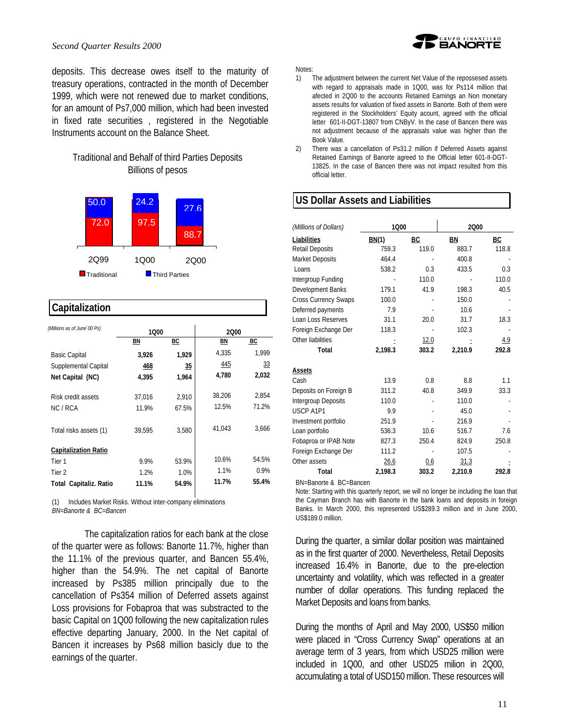deposits. This decrease owes itself to the maturity of treasury operations, contracted in the month of December 1999, which were not renewed due to market conditions, for an amount of Ps7,000 million, which had been invested in fixed rate securities , registered in the Negotiable Instruments account on the Balance Sheet.

### Traditional and Behalf of third Parties Deposits Billions of pesos



### **Capitalization**

| (Millions as of June '00 Ps)  | 1000   |       | 2000   |       |
|-------------------------------|--------|-------|--------|-------|
|                               | ΒN     | ВC    | BN     | BC    |
| Basic Capital                 | 3,926  | 1,929 | 4,335  | 1,999 |
| Supplemental Capital          | 468    | 35    | 445    | 33    |
| Net Capital (NC)              | 4,395  | 1,964 | 4,780  | 2,032 |
| Risk credit assets            | 37,016 | 2,910 | 38,206 | 2,854 |
| NC / RCA                      | 11.9%  | 67.5% | 12.5%  | 71.2% |
| Total risks assets (1)        | 39.595 | 3.580 | 41.043 | 3.666 |
| <b>Capitalization Ratio</b>   |        |       |        |       |
| Tier 1                        | 9.9%   | 53.9% | 10.6%  | 54.5% |
| Tier 2                        | 1.2%   | 1.0%  | 1.1%   | 0.9%  |
| <b>Total Capitaliz. Ratio</b> | 11.1%  | 54.9% | 11.7%  | 55.4% |

(1) Includes Market Risks. Without inter-company eliminations *BN=Banorte & BC=Bancen*

The capitalization ratios for each bank at the close of the quarter were as follows: Banorte 11.7%, higher than the 11.1% of the previous quarter, and Bancen 55.4%, higher than the 54.9%. The net capital of Banorte increased by Ps385 million principally due to the cancellation of Ps354 million of Deferred assets against Loss provisions for Fobaproa that was substracted to the basic Capital on 1Q00 following the new capitalization rules effective departing January, 2000. In the Net capital of Bancen it increases by Ps68 million basicly due to the earnings of the quarter.

Notes:

- 1) The adjustment between the current Net Value of the repossesed assets with regard to appraisals made in 1Q00, was for Ps114 million that afected in 2Q00 to the accounts Retained Earnings an Non monetary assets results for valuation of fixed assets in Banorte. Both of them were registered in the Stockholders' Equity acount, agreed with the official letter 601-II-DGT-13807 from CNByV. In the case of Bancen there was not adjustment because of the appraisals value was higher than the Book Value.
- 2) There was a cancellation of Ps31.2 million if Deferred Assets against Retained Earnings of Banorte agreed to the Official letter 601-II-DGT-13825. In the case of Bancen there was not impact resulted from this official letter.

# **US Dollar Assets and Liabilities**

| (Millions of Dollars)       | 1000    |       | 2000    |       |
|-----------------------------|---------|-------|---------|-------|
| Liabilities                 | BN(1)   | BC    | ΒN      | ВC    |
| <b>Retail Deposits</b>      | 759.3   | 119.0 | 883.7   | 118.8 |
| <b>Market Deposits</b>      | 464.4   |       | 400.8   |       |
| Loans                       | 538.2   | 0.3   | 433.5   | 0.3   |
| Intergroup Funding          |         | 110.0 |         | 110.0 |
| Development Banks           | 179.1   | 41.9  | 198.3   | 40.5  |
| <b>Cross Currency Swaps</b> | 100.0   |       | 150.0   |       |
| Deferred payments           | 7.9     |       | 10.6    |       |
| Loan Loss Reserves          | 31.1    | 20.0  | 31.7    | 18.3  |
| Foreign Exchange Der        | 118.3   |       | 102.3   |       |
| Other liabilities           |         | 12.0  |         | 4.9   |
| Total                       | 2.198.3 | 303.2 | 2,210.9 | 292.8 |
| Assets                      |         |       |         |       |
| Cash                        | 13.9    | 08    | 8.8     | 11    |
| Deposits on Foreign B       | 311.2   | 40.8  | 349.9   | 33.3  |
| Intergroup Deposits         | 110.0   |       | 110.0   |       |
| USCP A1P1                   | 9.9     |       | 45.0    |       |
| Investment portfolio        | 251.9   |       | 216.9   |       |
| Loan portfolio              | 536.3   | 10.6  | 516.7   | 76    |
| Fobaproa or IPAB Note       | 827.3   | 250.4 | 824.9   | 250.8 |
| Foreign Exchange Der        | 111.2   |       | 107.5   |       |
| Other assets                | 26.6    | 0.6   | 31.3    |       |
| Total                       | 2,198.3 | 303.2 | 2,210.9 | 292.8 |

BN=Banorte & BC=Bancen

Note: Starting with this quarterly report, we will no longer be including the loan that the Cayman Branch has with Banorte in the bank loans and deposits in foreign Banks. In March 2000, this represented US\$289.3 million and in June 2000, US\$189.0 million.

During the quarter, a similar dollar position was maintained as in the first quarter of 2000. Nevertheless, Retail Deposits increased 16.4% in Banorte, due to the pre-election uncertainty and volatility, which was reflected in a greater number of dollar operations. This funding replaced the Market Deposits and loans from banks.

During the months of April and May 2000, US\$50 million were placed in "Cross Currency Swap" operations at an average term of 3 years, from which USD25 million were included in 1Q00, and other USD25 milion in 2Q00, accumulating a total of USD150 million. These resources will



11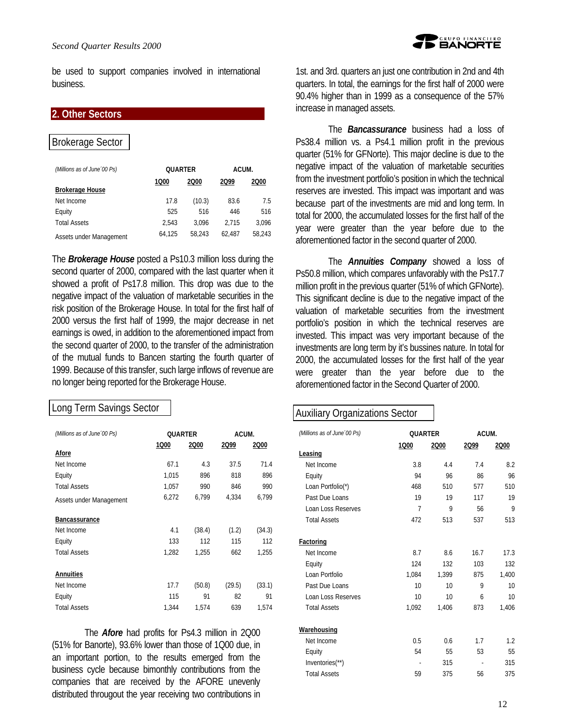be used to support companies involved in international business.

### **2. Other Sectors**

### Brokerage Sector

| (Millions as of June '00 Ps) | <b>OUARTER</b> |        | ACUM.  |        |  |
|------------------------------|----------------|--------|--------|--------|--|
| <b>Brokerage House</b>       | 1000           | 2000   | 2Q99   | 2000   |  |
| Net Income                   | 17.8           | (10.3) | 83.6   | 7.5    |  |
| Equity                       | 525            | 516    | 446    | 516    |  |
| <b>Total Assets</b>          | 2.543          | 3.096  | 2.715  | 3.096  |  |
| Assets under Management      | 64.125         | 58.243 | 62.487 | 58.243 |  |

The *Brokerage House* posted a Ps10.3 million loss during the second quarter of 2000, compared with the last quarter when it showed a profit of Ps17.8 million. This drop was due to the negative impact of the valuation of marketable securities in the risk position of the Brokerage House. In total for the first half of 2000 versus the first half of 1999, the major decrease in net earnings is owed, in addition to the aforementioned impact from the second quarter of 2000, to the transfer of the administration of the mutual funds to Bancen starting the fourth quarter of 1999. Because of this transfer, such large inflows of revenue are no longer being reported for the Brokerage House.

### Long Term Savings Sector

| (Millions as of June '00 Ps) | QUARTER |        | ACUM.  |        |  |
|------------------------------|---------|--------|--------|--------|--|
|                              | 1Q00    | 2000   | 2Q99   | 2000   |  |
| Afore                        |         |        |        |        |  |
| Net Income                   | 67.1    | 4.3    | 37.5   | 71.4   |  |
| Equity                       | 1,015   | 896    | 818    | 896    |  |
| <b>Total Assets</b>          | 1,057   | 990    | 846    | 990    |  |
| Assets under Management      | 6,272   | 6,799  | 4,334  | 6,799  |  |
| <b>Bancassurance</b>         |         |        |        |        |  |
| Net Income                   | 4.1     | (38.4) | (1.2)  | (34.3) |  |
| Equity                       | 133     | 112    | 115    | 112    |  |
| <b>Total Assets</b>          | 1,282   | 1,255  | 662    | 1,255  |  |
| <b>Annuities</b>             |         |        |        |        |  |
| Net Income                   | 17.7    | (50.8) | (29.5) | (33.1) |  |
| Equity                       | 115     | 91     | 82     | 91     |  |
| <b>Total Assets</b>          | 1.344   | 1.574  | 639    | 1,574  |  |

The *Afore* had profits for Ps4.3 million in 2Q00 (51% for Banorte), 93.6% lower than those of 1Q00 due, in an important portion, to the results emerged from the business cycle because bimonthly contributions from the companies that are received by the AFORE unevenly distributed througout the year receiving two contributions in 1st. and 3rd. quarters an just one contribution in 2nd and 4th quarters. In total, the earnings for the first half of 2000 were 90.4% higher than in 1999 as a consequence of the 57% increase in managed assets.

The *Bancassurance* business had a loss of Ps38.4 million vs. a Ps4.1 million profit in the previous quarter (51% for GFNorte). This major decline is due to the negative impact of the valuation of marketable securities from the investment portfolio's position in which the technical reserves are invested. This impact was important and was because part of the investments are mid and long term. In total for 2000, the accumulated losses for the first half of the year were greater than the year before due to the aforementioned factor in the second quarter of 2000.

The *Annuities Company* showed a loss of Ps50.8 million, which compares unfavorably with the Ps17.7 million profit in the previous quarter (51% of which GFNorte). This significant decline is due to the negative impact of the valuation of marketable securities from the investment portfolio's position in which the technical reserves are invested. This impact was very important because of the investments are long term by it's bussines nature. In total for 2000, the accumulated losses for the first half of the year were greater than the year before due to the aforementioned factor in the Second Quarter of 2000.

# Auxiliary Organizations Sector

| (Millions as of June '00 Ps) | QUARTER |       | ACUM. |       |  |  |
|------------------------------|---------|-------|-------|-------|--|--|
|                              | 1000    | 2000  | 2Q99  | 2Q00  |  |  |
| Leasing                      |         |       |       |       |  |  |
| Net Income                   | 3.8     | 4.4   | 74    | 8.2   |  |  |
| Equity                       | 94      | 96    | 86    | 96    |  |  |
| Loan Portfolio(*)            | 468     | 510   | 577   | 510   |  |  |
| Past Due Loans               | 19      | 19    | 117   | 19    |  |  |
| Loan Loss Reserves           | 7       | 9     | 56    | 9     |  |  |
| <b>Total Assets</b>          | 472     | 513   | 537   | 513   |  |  |
| <b>Factoring</b>             |         |       |       |       |  |  |
| Net Income                   | 8.7     | 86    | 167   | 17.3  |  |  |
| Equity                       | 124     | 132   | 103   | 132   |  |  |
| Loan Portfolio               | 1.084   | 1.399 | 875   | 1,400 |  |  |
| Past Due Loans               | 10      | 10    | 9     | 10    |  |  |
| Loan Loss Reserves           | 10      | 10    | 6     | 10    |  |  |
| <b>Total Assets</b>          | 1,092   | 1,406 | 873   | 1,406 |  |  |
| Warehousing                  |         |       |       |       |  |  |
| Net Income                   | 0.5     | 0.6   | 1.7   | 1.2   |  |  |
| Equity                       | 54      | 55    | 53    | 55    |  |  |
| Inventories(**)              | ÷,      | 315   |       | 315   |  |  |
| <b>Total Assets</b>          | 59      | 375   | 56    | 375   |  |  |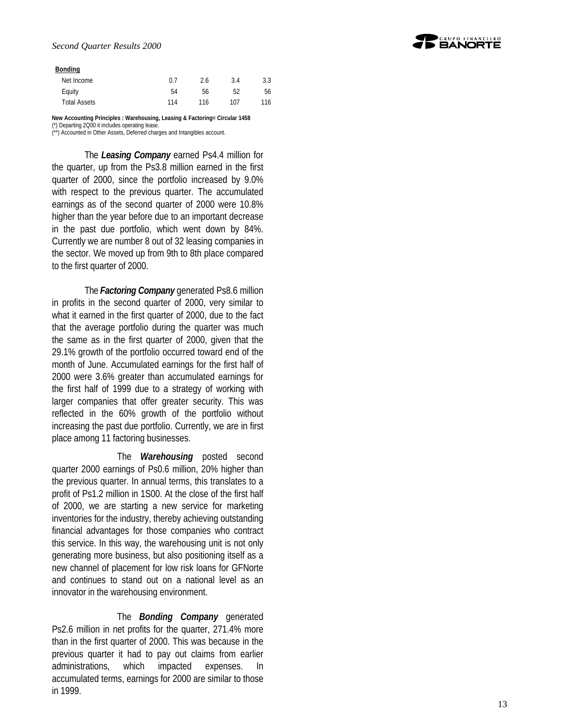#### **Bonding**

| Net Income          | 0.7 | 2.6 | 3.4 | 3.3 |
|---------------------|-----|-----|-----|-----|
| Equity              | 54  | 56  | 52  | 56  |
| <b>Total Assets</b> | 114 | 116 | 107 | 116 |

**New Accounting Principles : Warehousing, Leasing & Factoring= Circular 1458**

(\*) Departing 2Q00 it includes operating lease.

(\*\*) Accounted in Other Assets, Deferred charges and Intangibles account.

The *Leasing Company* earned Ps4.4 million for the quarter, up from the Ps3.8 million earned in the first quarter of 2000, since the portfolio increased by 9.0% with respect to the previous quarter. The accumulated earnings as of the second quarter of 2000 were 10.8% higher than the year before due to an important decrease in the past due portfolio, which went down by 84%. Currently we are number 8 out of 32 leasing companies in the sector. We moved up from 9th to 8th place compared to the first quarter of 2000.

The *Factoring Company* generated Ps8.6 million in profits in the second quarter of 2000, very similar to what it earned in the first quarter of 2000, due to the fact that the average portfolio during the quarter was much the same as in the first quarter of 2000, given that the 29.1% growth of the portfolio occurred toward end of the month of June. Accumulated earnings for the first half of 2000 were 3.6% greater than accumulated earnings for the first half of 1999 due to a strategy of working with larger companies that offer greater security. This was reflected in the 60% growth of the portfolio without increasing the past due portfolio. Currently, we are in first place among 11 factoring businesses.

The *Warehousing* posted second quarter 2000 earnings of Ps0.6 million, 20% higher than the previous quarter. In annual terms, this translates to a profit of Ps1.2 million in 1S00. At the close of the first half of 2000, we are starting a new service for marketing inventories for the industry, thereby achieving outstanding financial advantages for those companies who contract this service. In this way, the warehousing unit is not only generating more business, but also positioning itself as a new channel of placement for low risk loans for GFNorte and continues to stand out on a national level as an innovator in the warehousing environment.

The *Bonding Company* generated Ps2.6 million in net profits for the quarter, 271.4% more than in the first quarter of 2000. This was because in the previous quarter it had to pay out claims from earlier administrations, which impacted expenses. In accumulated terms, earnings for 2000 are similar to those in 1999.

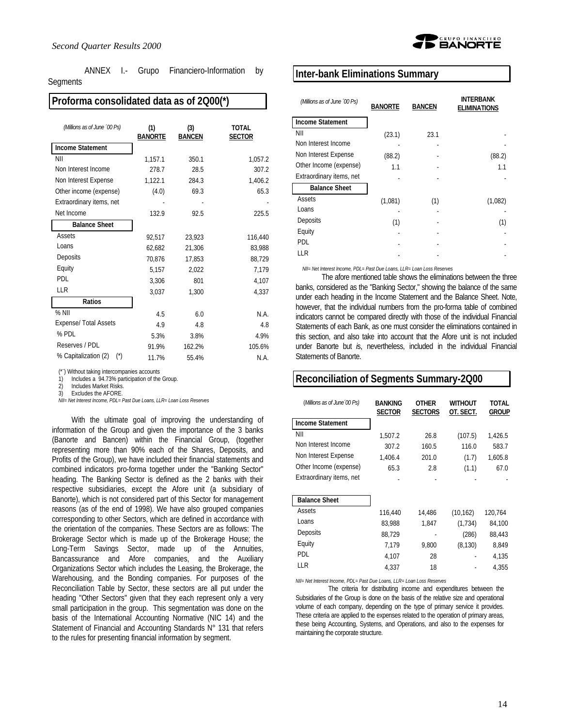ANNEX I.- Grupo Financiero-Information by Segments

### **Proforma consolidated data as of 2Q00(\*)**

| (Millions as of June '00 Ps)           | (1)<br><b>BANORTE</b> | (3)<br><b>BANCEN</b> | <b>TOTAL</b><br><b>SECTOR</b> |
|----------------------------------------|-----------------------|----------------------|-------------------------------|
| <b>Income Statement</b>                |                       |                      |                               |
| ΝIΙ                                    | 1,157.1               | 350.1                | 1,057.2                       |
| Non Interest Income                    | 278.7                 | 28.5                 | 307.2                         |
| Non Interest Expense                   | 1,122.1               | 284.3                | 1,406.2                       |
| Other income (expense)                 | (4.0)                 | 69.3                 | 65.3                          |
| Extraordinary items, net               |                       |                      |                               |
| Net Income                             | 132.9                 | 92.5                 | 225.5                         |
| <b>Balance Sheet</b>                   |                       |                      |                               |
| Assets                                 | 92,517                | 23.923               | 116,440                       |
| Loans                                  | 62,682                | 21,306               | 83,988                        |
| Deposits                               | 70,876                | 17,853               | 88,729                        |
| Equity                                 | 5,157                 | 2,022                | 7,179                         |
| <b>PDI</b>                             | 3,306                 | 801                  | 4,107                         |
| LLR                                    | 3,037                 | 1,300                | 4,337                         |
| Ratios                                 |                       |                      |                               |
| $%$ NII                                | 4.5                   | 6.0                  | N.A.                          |
| <b>Expense/ Total Assets</b>           | 4.9                   | 4.8                  | 4.8                           |
| % PDL                                  | 5.3%                  | 3.8%                 | 4.9%                          |
| Reserves / PDL                         | 91.9%                 | 162.2%               | 105.6%                        |
| % Capitalization (2)<br>$(\tilde{\ })$ | 11.7%                 | 55.4%                | N.A.                          |

(\*¨) Without taking intercompanies accounts

1) Includes a 94.73% participation of the Group.<br>2) Includes Market Risks

2) Includes Market Risks.

Excludes the AFORE.

*NII= Net Interest Income, PDL= Past Due Loans, LLR= Loan Loss Reserves*

With the ultimate goal of improving the understanding of information of the Group and given the importance of the 3 banks (Banorte and Bancen) within the Financial Group, (together representing more than 90% each of the Shares, Deposits, and Profits of the Group), we have included their financial statements and combined indicators pro-forma together under the "Banking Sector" heading. The Banking Sector is defined as the 2 banks with their respective subsidiaries, except the Afore unit (a subsidiary of Banorte), which is not considered part of this Sector for management reasons (as of the end of 1998). We have also grouped companies corresponding to other Sectors, which are defined in accordance with the orientation of the companies. These Sectors are as follows: The Brokerage Sector which is made up of the Brokerage House; the Long-Term Savings Sector, made up of the Annuities, Bancassurance and Afore companies, and the Auxiliary Organizations Sector which includes the Leasing, the Brokerage, the Warehousing, and the Bonding companies. For purposes of the Reconciliation Table by Sector, these sectors are all put under the heading "Other Sectors" given that they each represent only a very small participation in the group. This segmentation was done on the basis of the International Accounting Normative (NIC 14) and the Statement of Financial and Accounting Standards N° 131 that refers to the rules for presenting financial information by segment.



#### **Inter-bank Eliminations Summary**

| (Millions as of June '00 Ps) | <b>BANORTE</b> | <b>BANCEN</b> | INTERBANK<br><b>ELIMINATIONS</b> |
|------------------------------|----------------|---------------|----------------------------------|
| <b>Income Statement</b>      |                |               |                                  |
| NII                          | (23.1)         | 23.1          |                                  |
| Non Interest Income          |                |               |                                  |
| Non Interest Expense         | (88.2)         |               | (88.2)                           |
| Other Income (expense)       | 1.1            |               | 1.1                              |
| Extraordinary items, net     |                |               |                                  |
| <b>Balance Sheet</b>         |                |               |                                  |
| Assets                       | (1,081)        | (1)           | (1,082)                          |
| Loans                        |                |               |                                  |
| Deposits                     | (1)            |               | (1)                              |
| Equity                       |                |               |                                  |
| <b>PDL</b>                   |                |               |                                  |
| LLR                          |                |               |                                  |

*NII= Net Interest Income, PDL= Past Due Loans, LLR= Loan Loss Reserves*

The afore mentioned table shows the eliminations between the three banks, considered as the "Banking Sector," showing the balance of the same under each heading in the Income Statement and the Balance Sheet. Note, however, that the individual numbers from the pro-forma table of combined indicators cannot be compared directly with those of the individual Financial Statements of each Bank, as one must consider the eliminations contained in this section, and also take into account that the Afore unit is not included under Banorte but *i*s, nevertheless, included in the individual Financial Statements of Banorte.

### **Reconciliation of Segments Summary-2Q00**

| <b>BANKING</b><br><b>SECTOR</b> | <b>OTHER</b><br><b>SECTORS</b> | WITHOUT<br>OT. SECT. | TOTAL<br>Group |
|---------------------------------|--------------------------------|----------------------|----------------|
|                                 |                                |                      |                |
| 1,507.2                         | 26.8                           | (107.5)              | 1,426.5        |
| 307.2                           | 160.5                          | 116.0                | 583.7          |
| 1,406.4                         | 201.0                          | (1.7)                | 1,605.8        |
| 65.3                            | 2.8                            | (1.1)                | 67.0           |
|                                 |                                |                      |                |
|                                 |                                |                      |                |
|                                 |                                |                      |                |
| 116,440                         | 14,486                         | (10, 162)            | 120,764        |
| 83.988                          | 1,847                          | (1,734)              | 84,100         |
| 88,729                          |                                | (286)                | 88,443         |
| 7,179                           | 9,800                          | (8, 130)             | 8,849          |
| 4,107                           | 28                             |                      | 4,135          |
| 4.337                           | 18                             |                      | 4.355          |
|                                 |                                |                      |                |

*NII= Net Interest Income, PDL= Past Due Loans, LLR= Loan Loss Reserves*

The criteria for distributing income and expenditures between the Subsidiaries of the Group is done on the basis of the relative size and operational volume of each company, depending on the type of primary service it provides. These criteria are applied to the expenses related to the operation of primary areas, these being Accounting, Systems, and Operations, and also to the expenses for maintaining the corporate structure.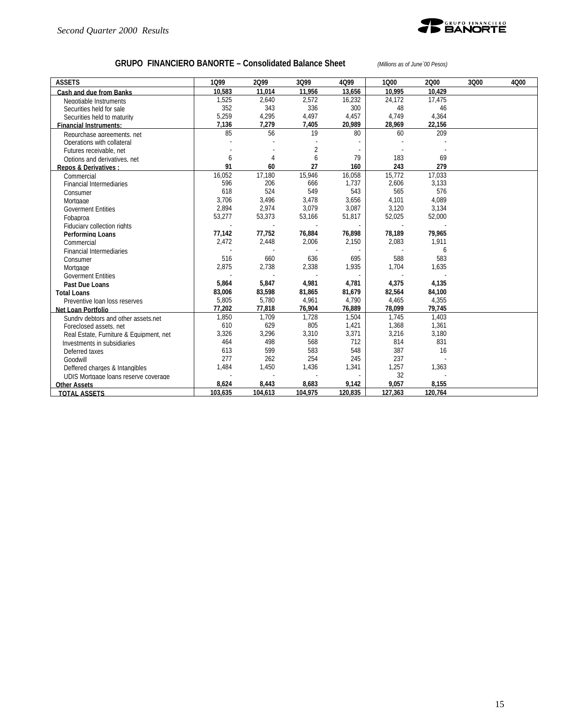

## **GRUPO FINANCIERO BANORTE – Consolidated Balance Sheet** *(Millions as of June´00 Pesos)*

| <b>ASSETS</b>                           | 1099    | 2099    | 3Q99           | 4Q99    | 1000    | 2000    | 3Q00 | 4Q00 |
|-----------------------------------------|---------|---------|----------------|---------|---------|---------|------|------|
| Cash and due from Banks                 | 10.583  | 11.014  | 11,956         | 13,656  | 10.995  | 10.429  |      |      |
| Negotiable Instruments                  | 1,525   | 2,640   | 2,572          | 16,232  | 24,172  | 17,475  |      |      |
| Securities held for sale                | 352     | 343     | 336            | 300     | 48      | 46      |      |      |
| Securities held to maturity             | 5,259   | 4,295   | 4,497          | 4,457   | 4,749   | 4,364   |      |      |
| <b>Financial Instruments:</b>           | 7.136   | 7,279   | 7,405          | 20,989  | 28,969  | 22.156  |      |      |
| Repurchase agreements, net              | 85      | 56      | 19             | 80      | 60      | 209     |      |      |
| Operations with collateral              |         |         |                |         |         |         |      |      |
| Futures receivable, net                 |         |         | $\overline{2}$ |         |         |         |      |      |
| Options and derivatives, net            | 6       | 4       | 6              | 79      | 183     | 69      |      |      |
| <b>Repos &amp; Derivatives:</b>         | 91      | 60      | 27             | 160     | 243     | 279     |      |      |
| Commercial                              | 16,052  | 17,180  | 15,946         | 16,058  | 15,772  | 17,033  |      |      |
| <b>Financial Intermediaries</b>         | 596     | 206     | 666            | 1,737   | 2,606   | 3,133   |      |      |
| Consumer                                | 618     | 524     | 549            | 543     | 565     | 576     |      |      |
| Mortgage                                | 3,706   | 3,496   | 3,478          | 3,656   | 4,101   | 4.089   |      |      |
| <b>Goverment Entities</b>               | 2,894   | 2,974   | 3.079          | 3,087   | 3,120   | 3,134   |      |      |
| Fobaproa                                | 53,277  | 53,373  | 53,166         | 51,817  | 52,025  | 52,000  |      |      |
| Fiduciary collection rights             |         |         |                |         |         |         |      |      |
| Performing Loans                        | 77,142  | 77,752  | 76,884         | 76,898  | 78,189  | 79,965  |      |      |
| Commercial                              | 2,472   | 2,448   | 2,006          | 2,150   | 2,083   | 1.911   |      |      |
| <b>Financial Intermediaries</b>         |         |         |                |         |         | 6       |      |      |
| Consumer                                | 516     | 660     | 636            | 695     | 588     | 583     |      |      |
| Mortgage                                | 2,875   | 2,738   | 2,338          | 1,935   | 1,704   | 1,635   |      |      |
| <b>Goverment Entities</b>               |         | $\sim$  |                |         |         |         |      |      |
| Past Due Loans                          | 5,864   | 5,847   | 4,981          | 4,781   | 4,375   | 4,135   |      |      |
| <b>Total Loans</b>                      | 83,006  | 83,598  | 81,865         | 81,679  | 82,564  | 84,100  |      |      |
| Preventive loan loss reserves           | 5,805   | 5,780   | 4,961          | 4,790   | 4,465   | 4,355   |      |      |
| Net Loan Portfolio                      | 77,202  | 77,818  | 76,904         | 76,889  | 78,099  | 79,745  |      |      |
| Sundry debtors and other assets net     | 1,850   | 1,709   | 1,728          | 1,504   | 1,745   | 1,403   |      |      |
| Foreclosed assets, net                  | 610     | 629     | 805            | 1,421   | 1,368   | 1,361   |      |      |
| Real Estate, Furniture & Equipment, net | 3,326   | 3,296   | 3,310          | 3,371   | 3,216   | 3,180   |      |      |
| Investments in subsidiaries             | 464     | 498     | 568            | 712     | 814     | 831     |      |      |
| Deferred taxes                          | 613     | 599     | 583            | 548     | 387     | 16      |      |      |
| Goodwill                                | 277     | 262     | 254            | 245     | 237     |         |      |      |
| Deffered charges & Intangibles          | 1,484   | 1,450   | 1,436          | 1,341   | 1,257   | 1,363   |      |      |
| UDIS Mortgage loans reserve coverage    |         | $\sim$  |                |         | 32      |         |      |      |
| <b>Other Assets</b>                     | 8,624   | 8,443   | 8,683          | 9,142   | 9,057   | 8,155   |      |      |
| <b>TOTAL ASSETS</b>                     | 103,635 | 104,613 | 104,975        | 120,835 | 127,363 | 120,764 |      |      |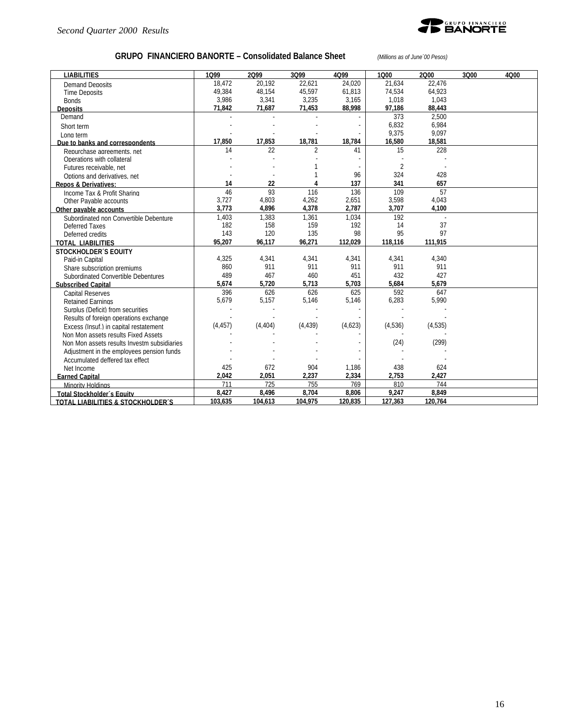

## **GRUPO FINANCIERO BANORTE – Consolidated Balance Sheet** *(Millions as of June´00 Pesos)*

| <b>LIABILITIES</b>                          | 1099     | 2099     | 3Q99           | 4Q99    | 1000           | 2000    | 3Q00 | 4Q00 |
|---------------------------------------------|----------|----------|----------------|---------|----------------|---------|------|------|
| Demand Deposits                             | 18.472   | 20.192   | 22.621         | 24.020  | 21.634         | 22.476  |      |      |
| <b>Time Deposits</b>                        | 49,384   | 48,154   | 45,597         | 61,813  | 74,534         | 64,923  |      |      |
| <b>Bonds</b>                                | 3,986    | 3,341    | 3,235          | 3,165   | 1,018          | 1.043   |      |      |
| <b>Deposits</b>                             | 71,842   | 71,687   | 71,453         | 88,998  | 97,186         | 88.443  |      |      |
| Demand                                      |          |          |                |         | 373            | 2.500   |      |      |
| Short term                                  |          |          |                |         | 6,832          | 6.984   |      |      |
| Long term                                   |          |          |                |         | 9,375          | 9,097   |      |      |
| Due to banks and correspondents             | 17,850   | 17,853   | 18,781         | 18,784  | 16,580         | 18,581  |      |      |
| Repurchase agreements, net                  | 14       | 22       | $\overline{2}$ | 41      | 15             | 228     |      |      |
| Operations with collateral                  |          |          |                |         |                |         |      |      |
| Futures receivable, net                     |          |          |                |         | $\overline{2}$ |         |      |      |
| Options and derivatives, net                |          |          |                | 96      | 324            | 428     |      |      |
| <b>Repos &amp; Derivatives:</b>             | 14       | 22       |                | 137     | 341            | 657     |      |      |
| Income Tax & Profit Sharing                 | 46       | 93       | 116            | 136     | 109            | 57      |      |      |
| Other Pavable accounts                      | 3,727    | 4,803    | 4,262          | 2,651   | 3,598          | 4,043   |      |      |
| Other pavable accounts                      | 3,773    | 4,896    | 4,378          | 2,787   | 3,707          | 4,100   |      |      |
| Subordinated non Convertible Debenture      | 1.403    | 1.383    | 1.361          | 1.034   | 192            |         |      |      |
| Deferred Taxes                              | 182      | 158      | 159            | 192     | 14             | 37      |      |      |
| Deferred credits                            | 143      | 120      | 135            | 98      | 95             | 97      |      |      |
| <b>TOTAL LIABILITIES</b>                    | 95,207   | 96,117   | 96,271         | 112,029 | 118,116        | 111,915 |      |      |
| <b>STOCKHOLDER'S EQUITY</b>                 |          |          |                |         |                |         |      |      |
| Paid-in Capital                             | 4,325    | 4,341    | 4,341          | 4,341   | 4,341          | 4,340   |      |      |
| Share subscription premiums                 | 860      | 911      | 911            | 911     | 911            | 911     |      |      |
| Subordinated Convertible Debentures         | 489      | 467      | 460            | 451     | 432            | 427     |      |      |
| <b>Subscribed Capital</b>                   | 5,674    | 5,720    | 5,713          | 5,703   | 5,684          | 5,679   |      |      |
| <b>Capital Reserves</b>                     | 396      | 626      | 626            | 625     | 592            | 647     |      |      |
| <b>Retained Earnings</b>                    | 5,679    | 5,157    | 5,146          | 5,146   | 6,283          | 5,990   |      |      |
| Surplus (Deficit) from securities           |          |          |                |         |                |         |      |      |
| Results of foreign operations exchange      |          |          |                |         |                |         |      |      |
| Excess (Insuf.) in capital restatement      | (4, 457) | (4, 404) | (4, 439)       | (4,623) | (4,536)        | (4,535) |      |      |
| Non Mon assets results Fixed Assets         |          |          |                |         |                |         |      |      |
| Non Mon assets results Investm subsidiaries |          |          |                |         | (24)           | (299)   |      |      |
| Adjustment in the employees pension funds   |          |          |                |         |                |         |      |      |
| Accumulated deffered tax effect             |          |          |                |         |                |         |      |      |
| Net Income                                  | 425      | 672      | 904            | 1,186   | 438            | 624     |      |      |
| <b>Earned Capital</b>                       | 2,042    | 2,051    | 2,237          | 2,334   | 2,753          | 2,427   |      |      |
| Minority Holdings                           | 711      | 725      | 755            | 769     | 810            | 744     |      |      |
| Total Stockholder's Equity                  | 8.427    | 8.496    | 8.704          | 8.806   | 9.247          | 8.849   |      |      |
| TOTAL LIABILITIES & STOCKHOLDER'S           | 103,635  | 104,613  | 104,975        | 120,835 | 127,363        | 120,764 |      |      |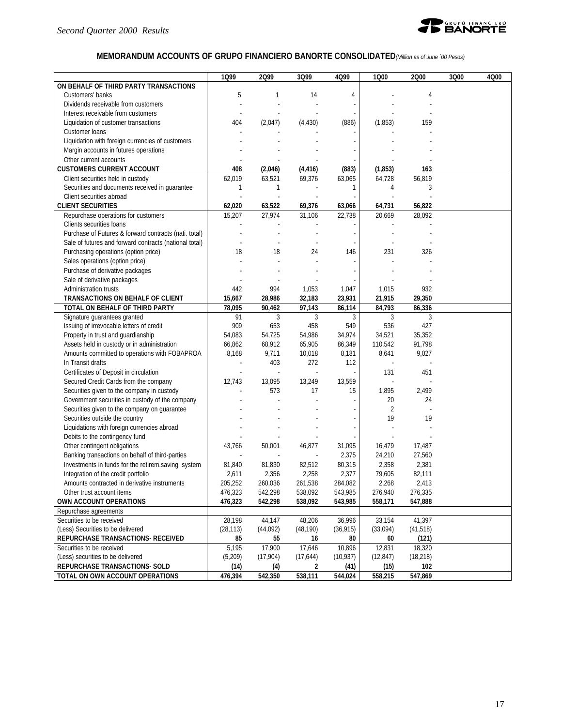

## **MEMORANDUM ACCOUNTS OF GRUPO FINANCIERO BANORTE CONSOLIDATED***(Million as of June ´00 Pesos)*

|                                                        | 1Q99         | 2099         | 3Q99      | 4Q99      | 1000           | 2000      | 3Q00 | 4Q00 |
|--------------------------------------------------------|--------------|--------------|-----------|-----------|----------------|-----------|------|------|
| ON BEHALF OF THIRD PARTY TRANSACTIONS                  |              |              |           |           |                |           |      |      |
| Customers' banks                                       | 5            | $\mathbf{1}$ | 14        | 4         |                | 4         |      |      |
| Dividends receivable from customers                    |              |              |           |           |                |           |      |      |
| Interest receivable from customers                     |              |              |           |           |                |           |      |      |
| Liquidation of customer transactions                   | 404          | (2,047)      | (4, 430)  | (886)     | (1,853)        | 159       |      |      |
| Customer loans                                         |              |              |           |           |                |           |      |      |
| Liquidation with foreign currencies of customers       |              |              |           |           |                |           |      |      |
| Margin accounts in futures operations                  |              |              |           |           |                |           |      |      |
| Other current accounts                                 |              |              |           |           |                |           |      |      |
| <b>CUSTOMERS CURRENT ACCOUNT</b>                       | 408          | (2,046)      | (4, 416)  | (883)     | (1, 853)       | 163       |      |      |
| Client securities held in custody                      | 62,019       | 63,521       | 69,376    | 63,065    | 64,728         | 56,819    |      |      |
| Securities and documents received in quarantee         | $\mathbf{1}$ | 1            |           | 1         | 4              | 3         |      |      |
| Client securities abroad                               |              |              |           |           |                |           |      |      |
| <b>CLIENT SECURITIES</b>                               | 62,020       | 63,522       | 69,376    | 63,066    | 64,731         | 56,822    |      |      |
| Repurchase operations for customers                    | 15,207       | 27,974       | 31,106    | 22,738    | 20,669         | 28,092    |      |      |
| Clients securities loans                               |              |              |           |           |                |           |      |      |
| Purchase of Futures & forward contracts (nati. total)  |              |              |           |           |                |           |      |      |
| Sale of futures and forward contracts (national total) |              |              |           |           |                |           |      |      |
| Purchasing operations (option price)                   | 18           | 18           | 24        | 146       | 231            | 326       |      |      |
| Sales operations (option price)                        |              |              |           |           |                |           |      |      |
| Purchase of derivative packages                        |              |              |           |           |                |           |      |      |
| Sale of derivative packages                            |              |              |           |           |                |           |      |      |
| Administration trusts                                  | 442          | 994          | 1,053     | 1,047     | 1,015          | 932       |      |      |
| TRANSACTIONS ON BEHALF OF CLIENT                       | 15,667       | 28,986       | 32,183    | 23,931    | 21,915         | 29,350    |      |      |
| TOTAL ON BEHALF OF THIRD PARTY                         | 78,095       | 90,462       | 97,143    | 86,114    | 84,793         | 86,336    |      |      |
| Signature guarantees granted                           | 91           | 3            | 3         | 3         | 3              | 3         |      |      |
| Issuing of irrevocable letters of credit               | 909          | 653          | 458       | 549       | 536            | 427       |      |      |
| Property in trust and guardianship                     | 54,083       | 54,725       | 54,986    | 34,974    | 34,521         | 35,352    |      |      |
| Assets held in custody or in administration            | 66,862       | 68,912       | 65,905    | 86,349    | 110,542        | 91,798    |      |      |
| Amounts committed to operations with FOBAPROA          | 8,168        | 9,711        | 10,018    | 8,181     | 8,641          | 9,027     |      |      |
| In Transit drafts                                      |              | 403          | 272       | 112       |                |           |      |      |
| Certificates of Deposit in circulation                 |              |              | $\sim$    |           | 131            | 451       |      |      |
| Secured Credit Cards from the company                  | 12,743       | 13,095       | 13,249    | 13,559    |                |           |      |      |
| Securities given to the company in custody             |              | 573          | 17        | 15        | 1,895          | 2,499     |      |      |
| Government securities in custody of the company        |              |              |           |           | 20             | 24        |      |      |
| Securities given to the company on guarantee           |              |              |           |           | $\overline{2}$ |           |      |      |
| Securities outside the country                         |              |              |           |           | 19             | 19        |      |      |
| Liquidations with foreign currencies abroad            |              |              |           |           |                |           |      |      |
| Debits to the contingency fund                         |              |              |           |           |                |           |      |      |
| Other contingent obligations                           | 43,766       | 50,001       | 46,877    | 31,095    | 16,479         | 17,487    |      |      |
| Banking transactions on behalf of third-parties        |              |              |           | 2,375     | 24,210         | 27,560    |      |      |
| Investments in funds for the retirem.saving system     | 81,840       | 81,830       | 82,512    | 80,315    | 2,358          | 2,381     |      |      |
| Integration of the credit portfolio                    | 2,611        | 2,356        | 2,258     | 2,377     | 79,605         | 82,111    |      |      |
| Amounts contracted in derivative instruments           | 205,252      | 260,036      | 261,538   | 284,082   | 2,268          | 2,413     |      |      |
| Other trust account items                              | 476,323      | 542,298      | 538,092   | 543,985   | 276,940        | 276,335   |      |      |
| OWN ACCOUNT OPERATIONS                                 | 476.323      | 542,298      | 538,092   | 543,985   | 558,171        | 547,888   |      |      |
| Repurchase agreements                                  |              |              |           |           |                |           |      |      |
| Securities to be received                              | 28,198       | 44,147       | 48,206    | 36,996    | 33,154         | 41,397    |      |      |
| (Less) Securities to be delivered                      | (28, 113)    | (44,092)     | (48, 190) | (36, 915) | (33,094)       | (41, 518) |      |      |
| REPURCHASE TRANSACTIONS- RECEIVED                      | 85           | 55           | 16        | 80        | 60             | (121)     |      |      |
| Securities to be received                              | 5,195        | 17,900       | 17,646    | 10,896    | 12,831         | 18,320    |      |      |
| (Less) securities to be delivered                      | (5,209)      | (17,904)     | (17, 644) | (10, 937) | (12, 847)      | (18, 218) |      |      |
| REPURCHASE TRANSACTIONS- SOLD                          | (14)         | (4)          | 2         | (41)      | (15)           | 102       |      |      |
| TOTAL ON OWN ACCOUNT OPERATIONS                        | 476,394      | 542,350      | 538,111   | 544,024   | 558,215        | 547,869   |      |      |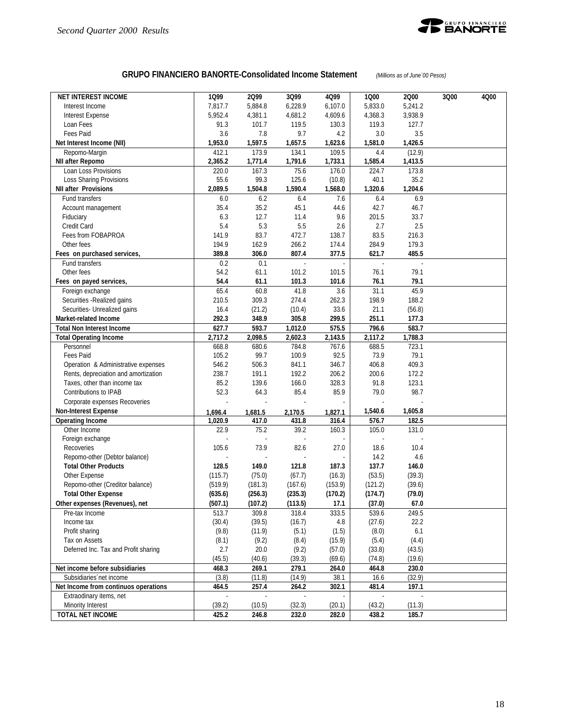

#### **GRUPO FINANCIERO BANORTE-Consolidated Income Statement** *(Millions as of June´00 Pesos)*

| 7,817.7<br>5,884.8<br>6,228.9<br>6,107.0<br>5,833.0<br>5,241.2<br>Interest Income<br>3,938.9<br>5,952.4<br>4,381.1<br>4,681.2<br>4,609.6<br>4,368.3<br>Interest Expense<br>Loan Fees<br>91.3<br>101.7<br>119.5<br>119.3<br>127.7<br>130.3<br>Fees Paid<br>3.6<br>7.8<br>9.7<br>4.2<br>$3.0\,$<br>3.5<br>1,597.5<br>Net Interest Income (NII)<br>1,953.0<br>1,657.5<br>1,623.6<br>1,581.0<br>1,426.5<br>Repomo-Margin<br>412.1<br>173.9<br>134.1<br>109.5<br>(12.9)<br>4.4<br>2,365.2<br>1,771.4<br>1,791.6<br>1,733.1<br>1,585.4<br>1,413.5<br>NII after Repomo<br>167.3<br>Loan Loss Provisions<br>220.0<br>75.6<br>176.0<br>224.7<br>173.8<br>55.6<br>99.3<br>125.6<br>35.2<br>Loss Sharing Provisions<br>(10.8)<br>40.1<br>2,089.5<br>1,590.4<br>1,320.6<br>1,204.6<br><b>NII after Provisions</b><br>1,504.8<br>1,568.0<br>6.2<br>6.9<br>6.0<br>7.6<br>Fund transfers<br>6.4<br>6.4<br>35.4<br>35.2<br>45.1<br>44.6<br>42.7<br>46.7<br>Account management<br>6.3<br>9.6<br>201.5<br>33.7<br>Fiduciary<br>12.7<br>11.4<br>5.4<br>5.3<br>5.5<br>2.6<br>2.7<br>2.5<br>Credit Card<br>141.9<br>83.7<br>472.7<br>138.7<br>83.5<br>216.3<br>Fees from FOBAPROA<br>194.9<br>162.9<br>266.2<br>284.9<br>179.3<br>Other fees<br>174.4<br>389.8<br>807.4<br>377.5<br>485.5<br>306.0<br>621.7<br>Fees on purchased services,<br>0.2<br>Fund transfers<br>0.1<br>$\overline{\phantom{a}}$<br>$\overline{\phantom{a}}$<br>$\bar{\mathbb{Z}}$<br>$\sim$<br>54.2<br>101.5<br>76.1<br>Other fees<br>61.1<br>101.2<br>79.1<br>54.4<br>76.1<br>61.1<br>101.3<br>101.6<br>79.1<br>Fees on payed services,<br>65.4<br>60.8<br>31.1<br>45.9<br>Foreign exchange<br>41.8<br>3.6<br>210.5<br>309.3<br>274.4<br>262.3<br>198.9<br>188.2<br>Securities - Realized gains<br>16.4<br>33.6<br>21.1<br>Securities- Unrealized gains<br>(21.2)<br>(10.4)<br>(56.8)<br>292.3<br>299.5<br>251.1<br>Market-related Income<br>348.9<br>305.8<br>177.3<br>627.7<br>796.6<br>583.7<br>593.7<br>1,012.0<br>575.5<br><b>Total Non Interest Income</b><br>2,117.2<br>2,717.2<br>2,098.5<br>2,602.3<br>2,143.5<br>1,788.3<br><b>Total Operating Income</b><br>784.8<br>767.6<br>688.5<br>723.1<br>668.8<br>680.6<br>Personnel<br>99.7<br>92.5<br>73.9<br>79.1<br>Fees Paid<br>105.2<br>100.9<br>546.2<br>346.7<br>409.3<br>Operation & Administrative expenses<br>506.3<br>841.1<br>406.8<br>238.7<br>191.1<br>192.2<br>206.2<br>200.6<br>172.2<br>Rents, depreciation and amortization<br>85.2<br>328.3<br>91.8<br>123.1<br>Taxes, other than income tax<br>139.6<br>166.0<br>98.7<br>Contributions to IPAB<br>52.3<br>64.3<br>85.4<br>85.9<br>79.0<br>Corporate expenses Recoveries<br><b>Non-Interest Expense</b><br>1,540.6<br>1,605.8<br>1,696.4<br>1,681.5<br>2,170.5<br>1,827.1<br>576.7<br>182.5<br><b>Operating Income</b><br>1,020.9<br>417.0<br>431.8<br>316.4<br>75.2<br>39.2<br>105.0<br>131.0<br>Other Income<br>22.9<br>160.3<br>Foreign exchange<br>105.6<br>Recoveries<br>73.9<br>82.6<br>27.0<br>18.6<br>10.4<br>Repomo-other (Debtor balance)<br>14.2<br>4.6<br>149.0<br>121.8<br>187.3<br>137.7<br>146.0<br><b>Total Other Products</b><br>128.5<br>(75.0)<br>(67.7)<br>(53.5)<br>(39.3)<br>Other Expense<br>(115.7)<br>(16.3)<br>Repomo-other (Creditor balance)<br>(519.9)<br>(181.3)<br>(167.6)<br>(153.9)<br>(121.2)<br>(39.6)<br><b>Total Other Expense</b><br>(635.6)<br>(256.3)<br>(235.3)<br>(170.2)<br>(174.7)<br>(79.0)<br>Other expenses (Revenues), net<br>(507.1)<br>(10/2)<br>(113.5)<br>17.1<br>(31.0)<br>67.0<br>309.8<br>318.4<br>333.5<br>539.6<br>513.7<br>249.5<br>Pre-tax Income<br>(30.4)<br>(39.5)<br>(16.7)<br>(27.6)<br>22.2<br>Income tax<br>4.8<br>(9.8)<br>6.1<br>Profit sharing<br>(11.9)<br>(5.1)<br>(1.5)<br>(8.0)<br>(5.4)<br>Tax on Assets<br>(8.1)<br>(9.2)<br>(8.4)<br>(15.9)<br>(4.4)<br>2.7<br>Deferred Inc. Tax and Profit sharing<br>20.0<br>(9.2)<br>(57.0)<br>(33.8)<br>(43.5)<br>(45.5)<br>(69.6)<br>(74.8)<br>(40.6)<br>(39.3)<br>(19.6)<br>Net income before subsidiaries<br>468.3<br>269.1<br>279.1<br>464.8<br>264.0<br>230.0<br>(32.9)<br>(3.8)<br>(11.8)<br>(14.9)<br>38.1<br>16.6<br>Subsidiaries net income<br>Net Income from continuos operations<br>464.5<br>257.4<br>264.2<br>302.1<br>481.4<br>197.1<br>Extraodinary items, net<br>(39.2)<br>Minority Interest<br>(10.5)<br>(32.3)<br>(20.1)<br>(43.2)<br>(11.3) | <b>NET INTEREST INCOME</b> | 1099  | 2Q99  | 3Q99  | 4Q99  | 1Q00  | 2Q00  | 3Q00 | 4Q00 |
|---------------------------------------------------------------------------------------------------------------------------------------------------------------------------------------------------------------------------------------------------------------------------------------------------------------------------------------------------------------------------------------------------------------------------------------------------------------------------------------------------------------------------------------------------------------------------------------------------------------------------------------------------------------------------------------------------------------------------------------------------------------------------------------------------------------------------------------------------------------------------------------------------------------------------------------------------------------------------------------------------------------------------------------------------------------------------------------------------------------------------------------------------------------------------------------------------------------------------------------------------------------------------------------------------------------------------------------------------------------------------------------------------------------------------------------------------------------------------------------------------------------------------------------------------------------------------------------------------------------------------------------------------------------------------------------------------------------------------------------------------------------------------------------------------------------------------------------------------------------------------------------------------------------------------------------------------------------------------------------------------------------------------------------------------------------------------------------------------------------------------------------------------------------------------------------------------------------------------------------------------------------------------------------------------------------------------------------------------------------------------------------------------------------------------------------------------------------------------------------------------------------------------------------------------------------------------------------------------------------------------------------------------------------------------------------------------------------------------------------------------------------------------------------------------------------------------------------------------------------------------------------------------------------------------------------------------------------------------------------------------------------------------------------------------------------------------------------------------------------------------------------------------------------------------------------------------------------------------------------------------------------------------------------------------------------------------------------------------------------------------------------------------------------------------------------------------------------------------------------------------------------------------------------------------------------------------------------------------------------------------------------------------------------------------------------------------------------------------------------------------------------------------------------------------------------------------------------------------------------------------------------------------------------------------------------------------------------------------------------------------------------------------------------------------------------------------------------------------------------------------------------------------------------------------------------------------------------------------------------------------------------------------------------------------------------------------------------------------------|----------------------------|-------|-------|-------|-------|-------|-------|------|------|
|                                                                                                                                                                                                                                                                                                                                                                                                                                                                                                                                                                                                                                                                                                                                                                                                                                                                                                                                                                                                                                                                                                                                                                                                                                                                                                                                                                                                                                                                                                                                                                                                                                                                                                                                                                                                                                                                                                                                                                                                                                                                                                                                                                                                                                                                                                                                                                                                                                                                                                                                                                                                                                                                                                                                                                                                                                                                                                                                                                                                                                                                                                                                                                                                                                                                                                                                                                                                                                                                                                                                                                                                                                                                                                                                                                                                                                                                                                                                                                                                                                                                                                                                                                                                                                                                                                                                                         |                            |       |       |       |       |       |       |      |      |
|                                                                                                                                                                                                                                                                                                                                                                                                                                                                                                                                                                                                                                                                                                                                                                                                                                                                                                                                                                                                                                                                                                                                                                                                                                                                                                                                                                                                                                                                                                                                                                                                                                                                                                                                                                                                                                                                                                                                                                                                                                                                                                                                                                                                                                                                                                                                                                                                                                                                                                                                                                                                                                                                                                                                                                                                                                                                                                                                                                                                                                                                                                                                                                                                                                                                                                                                                                                                                                                                                                                                                                                                                                                                                                                                                                                                                                                                                                                                                                                                                                                                                                                                                                                                                                                                                                                                                         |                            |       |       |       |       |       |       |      |      |
|                                                                                                                                                                                                                                                                                                                                                                                                                                                                                                                                                                                                                                                                                                                                                                                                                                                                                                                                                                                                                                                                                                                                                                                                                                                                                                                                                                                                                                                                                                                                                                                                                                                                                                                                                                                                                                                                                                                                                                                                                                                                                                                                                                                                                                                                                                                                                                                                                                                                                                                                                                                                                                                                                                                                                                                                                                                                                                                                                                                                                                                                                                                                                                                                                                                                                                                                                                                                                                                                                                                                                                                                                                                                                                                                                                                                                                                                                                                                                                                                                                                                                                                                                                                                                                                                                                                                                         |                            |       |       |       |       |       |       |      |      |
|                                                                                                                                                                                                                                                                                                                                                                                                                                                                                                                                                                                                                                                                                                                                                                                                                                                                                                                                                                                                                                                                                                                                                                                                                                                                                                                                                                                                                                                                                                                                                                                                                                                                                                                                                                                                                                                                                                                                                                                                                                                                                                                                                                                                                                                                                                                                                                                                                                                                                                                                                                                                                                                                                                                                                                                                                                                                                                                                                                                                                                                                                                                                                                                                                                                                                                                                                                                                                                                                                                                                                                                                                                                                                                                                                                                                                                                                                                                                                                                                                                                                                                                                                                                                                                                                                                                                                         |                            |       |       |       |       |       |       |      |      |
|                                                                                                                                                                                                                                                                                                                                                                                                                                                                                                                                                                                                                                                                                                                                                                                                                                                                                                                                                                                                                                                                                                                                                                                                                                                                                                                                                                                                                                                                                                                                                                                                                                                                                                                                                                                                                                                                                                                                                                                                                                                                                                                                                                                                                                                                                                                                                                                                                                                                                                                                                                                                                                                                                                                                                                                                                                                                                                                                                                                                                                                                                                                                                                                                                                                                                                                                                                                                                                                                                                                                                                                                                                                                                                                                                                                                                                                                                                                                                                                                                                                                                                                                                                                                                                                                                                                                                         |                            |       |       |       |       |       |       |      |      |
|                                                                                                                                                                                                                                                                                                                                                                                                                                                                                                                                                                                                                                                                                                                                                                                                                                                                                                                                                                                                                                                                                                                                                                                                                                                                                                                                                                                                                                                                                                                                                                                                                                                                                                                                                                                                                                                                                                                                                                                                                                                                                                                                                                                                                                                                                                                                                                                                                                                                                                                                                                                                                                                                                                                                                                                                                                                                                                                                                                                                                                                                                                                                                                                                                                                                                                                                                                                                                                                                                                                                                                                                                                                                                                                                                                                                                                                                                                                                                                                                                                                                                                                                                                                                                                                                                                                                                         |                            |       |       |       |       |       |       |      |      |
|                                                                                                                                                                                                                                                                                                                                                                                                                                                                                                                                                                                                                                                                                                                                                                                                                                                                                                                                                                                                                                                                                                                                                                                                                                                                                                                                                                                                                                                                                                                                                                                                                                                                                                                                                                                                                                                                                                                                                                                                                                                                                                                                                                                                                                                                                                                                                                                                                                                                                                                                                                                                                                                                                                                                                                                                                                                                                                                                                                                                                                                                                                                                                                                                                                                                                                                                                                                                                                                                                                                                                                                                                                                                                                                                                                                                                                                                                                                                                                                                                                                                                                                                                                                                                                                                                                                                                         |                            |       |       |       |       |       |       |      |      |
|                                                                                                                                                                                                                                                                                                                                                                                                                                                                                                                                                                                                                                                                                                                                                                                                                                                                                                                                                                                                                                                                                                                                                                                                                                                                                                                                                                                                                                                                                                                                                                                                                                                                                                                                                                                                                                                                                                                                                                                                                                                                                                                                                                                                                                                                                                                                                                                                                                                                                                                                                                                                                                                                                                                                                                                                                                                                                                                                                                                                                                                                                                                                                                                                                                                                                                                                                                                                                                                                                                                                                                                                                                                                                                                                                                                                                                                                                                                                                                                                                                                                                                                                                                                                                                                                                                                                                         |                            |       |       |       |       |       |       |      |      |
|                                                                                                                                                                                                                                                                                                                                                                                                                                                                                                                                                                                                                                                                                                                                                                                                                                                                                                                                                                                                                                                                                                                                                                                                                                                                                                                                                                                                                                                                                                                                                                                                                                                                                                                                                                                                                                                                                                                                                                                                                                                                                                                                                                                                                                                                                                                                                                                                                                                                                                                                                                                                                                                                                                                                                                                                                                                                                                                                                                                                                                                                                                                                                                                                                                                                                                                                                                                                                                                                                                                                                                                                                                                                                                                                                                                                                                                                                                                                                                                                                                                                                                                                                                                                                                                                                                                                                         |                            |       |       |       |       |       |       |      |      |
|                                                                                                                                                                                                                                                                                                                                                                                                                                                                                                                                                                                                                                                                                                                                                                                                                                                                                                                                                                                                                                                                                                                                                                                                                                                                                                                                                                                                                                                                                                                                                                                                                                                                                                                                                                                                                                                                                                                                                                                                                                                                                                                                                                                                                                                                                                                                                                                                                                                                                                                                                                                                                                                                                                                                                                                                                                                                                                                                                                                                                                                                                                                                                                                                                                                                                                                                                                                                                                                                                                                                                                                                                                                                                                                                                                                                                                                                                                                                                                                                                                                                                                                                                                                                                                                                                                                                                         |                            |       |       |       |       |       |       |      |      |
|                                                                                                                                                                                                                                                                                                                                                                                                                                                                                                                                                                                                                                                                                                                                                                                                                                                                                                                                                                                                                                                                                                                                                                                                                                                                                                                                                                                                                                                                                                                                                                                                                                                                                                                                                                                                                                                                                                                                                                                                                                                                                                                                                                                                                                                                                                                                                                                                                                                                                                                                                                                                                                                                                                                                                                                                                                                                                                                                                                                                                                                                                                                                                                                                                                                                                                                                                                                                                                                                                                                                                                                                                                                                                                                                                                                                                                                                                                                                                                                                                                                                                                                                                                                                                                                                                                                                                         |                            |       |       |       |       |       |       |      |      |
|                                                                                                                                                                                                                                                                                                                                                                                                                                                                                                                                                                                                                                                                                                                                                                                                                                                                                                                                                                                                                                                                                                                                                                                                                                                                                                                                                                                                                                                                                                                                                                                                                                                                                                                                                                                                                                                                                                                                                                                                                                                                                                                                                                                                                                                                                                                                                                                                                                                                                                                                                                                                                                                                                                                                                                                                                                                                                                                                                                                                                                                                                                                                                                                                                                                                                                                                                                                                                                                                                                                                                                                                                                                                                                                                                                                                                                                                                                                                                                                                                                                                                                                                                                                                                                                                                                                                                         |                            |       |       |       |       |       |       |      |      |
|                                                                                                                                                                                                                                                                                                                                                                                                                                                                                                                                                                                                                                                                                                                                                                                                                                                                                                                                                                                                                                                                                                                                                                                                                                                                                                                                                                                                                                                                                                                                                                                                                                                                                                                                                                                                                                                                                                                                                                                                                                                                                                                                                                                                                                                                                                                                                                                                                                                                                                                                                                                                                                                                                                                                                                                                                                                                                                                                                                                                                                                                                                                                                                                                                                                                                                                                                                                                                                                                                                                                                                                                                                                                                                                                                                                                                                                                                                                                                                                                                                                                                                                                                                                                                                                                                                                                                         |                            |       |       |       |       |       |       |      |      |
|                                                                                                                                                                                                                                                                                                                                                                                                                                                                                                                                                                                                                                                                                                                                                                                                                                                                                                                                                                                                                                                                                                                                                                                                                                                                                                                                                                                                                                                                                                                                                                                                                                                                                                                                                                                                                                                                                                                                                                                                                                                                                                                                                                                                                                                                                                                                                                                                                                                                                                                                                                                                                                                                                                                                                                                                                                                                                                                                                                                                                                                                                                                                                                                                                                                                                                                                                                                                                                                                                                                                                                                                                                                                                                                                                                                                                                                                                                                                                                                                                                                                                                                                                                                                                                                                                                                                                         |                            |       |       |       |       |       |       |      |      |
|                                                                                                                                                                                                                                                                                                                                                                                                                                                                                                                                                                                                                                                                                                                                                                                                                                                                                                                                                                                                                                                                                                                                                                                                                                                                                                                                                                                                                                                                                                                                                                                                                                                                                                                                                                                                                                                                                                                                                                                                                                                                                                                                                                                                                                                                                                                                                                                                                                                                                                                                                                                                                                                                                                                                                                                                                                                                                                                                                                                                                                                                                                                                                                                                                                                                                                                                                                                                                                                                                                                                                                                                                                                                                                                                                                                                                                                                                                                                                                                                                                                                                                                                                                                                                                                                                                                                                         |                            |       |       |       |       |       |       |      |      |
|                                                                                                                                                                                                                                                                                                                                                                                                                                                                                                                                                                                                                                                                                                                                                                                                                                                                                                                                                                                                                                                                                                                                                                                                                                                                                                                                                                                                                                                                                                                                                                                                                                                                                                                                                                                                                                                                                                                                                                                                                                                                                                                                                                                                                                                                                                                                                                                                                                                                                                                                                                                                                                                                                                                                                                                                                                                                                                                                                                                                                                                                                                                                                                                                                                                                                                                                                                                                                                                                                                                                                                                                                                                                                                                                                                                                                                                                                                                                                                                                                                                                                                                                                                                                                                                                                                                                                         |                            |       |       |       |       |       |       |      |      |
|                                                                                                                                                                                                                                                                                                                                                                                                                                                                                                                                                                                                                                                                                                                                                                                                                                                                                                                                                                                                                                                                                                                                                                                                                                                                                                                                                                                                                                                                                                                                                                                                                                                                                                                                                                                                                                                                                                                                                                                                                                                                                                                                                                                                                                                                                                                                                                                                                                                                                                                                                                                                                                                                                                                                                                                                                                                                                                                                                                                                                                                                                                                                                                                                                                                                                                                                                                                                                                                                                                                                                                                                                                                                                                                                                                                                                                                                                                                                                                                                                                                                                                                                                                                                                                                                                                                                                         |                            |       |       |       |       |       |       |      |      |
|                                                                                                                                                                                                                                                                                                                                                                                                                                                                                                                                                                                                                                                                                                                                                                                                                                                                                                                                                                                                                                                                                                                                                                                                                                                                                                                                                                                                                                                                                                                                                                                                                                                                                                                                                                                                                                                                                                                                                                                                                                                                                                                                                                                                                                                                                                                                                                                                                                                                                                                                                                                                                                                                                                                                                                                                                                                                                                                                                                                                                                                                                                                                                                                                                                                                                                                                                                                                                                                                                                                                                                                                                                                                                                                                                                                                                                                                                                                                                                                                                                                                                                                                                                                                                                                                                                                                                         |                            |       |       |       |       |       |       |      |      |
|                                                                                                                                                                                                                                                                                                                                                                                                                                                                                                                                                                                                                                                                                                                                                                                                                                                                                                                                                                                                                                                                                                                                                                                                                                                                                                                                                                                                                                                                                                                                                                                                                                                                                                                                                                                                                                                                                                                                                                                                                                                                                                                                                                                                                                                                                                                                                                                                                                                                                                                                                                                                                                                                                                                                                                                                                                                                                                                                                                                                                                                                                                                                                                                                                                                                                                                                                                                                                                                                                                                                                                                                                                                                                                                                                                                                                                                                                                                                                                                                                                                                                                                                                                                                                                                                                                                                                         |                            |       |       |       |       |       |       |      |      |
|                                                                                                                                                                                                                                                                                                                                                                                                                                                                                                                                                                                                                                                                                                                                                                                                                                                                                                                                                                                                                                                                                                                                                                                                                                                                                                                                                                                                                                                                                                                                                                                                                                                                                                                                                                                                                                                                                                                                                                                                                                                                                                                                                                                                                                                                                                                                                                                                                                                                                                                                                                                                                                                                                                                                                                                                                                                                                                                                                                                                                                                                                                                                                                                                                                                                                                                                                                                                                                                                                                                                                                                                                                                                                                                                                                                                                                                                                                                                                                                                                                                                                                                                                                                                                                                                                                                                                         |                            |       |       |       |       |       |       |      |      |
|                                                                                                                                                                                                                                                                                                                                                                                                                                                                                                                                                                                                                                                                                                                                                                                                                                                                                                                                                                                                                                                                                                                                                                                                                                                                                                                                                                                                                                                                                                                                                                                                                                                                                                                                                                                                                                                                                                                                                                                                                                                                                                                                                                                                                                                                                                                                                                                                                                                                                                                                                                                                                                                                                                                                                                                                                                                                                                                                                                                                                                                                                                                                                                                                                                                                                                                                                                                                                                                                                                                                                                                                                                                                                                                                                                                                                                                                                                                                                                                                                                                                                                                                                                                                                                                                                                                                                         |                            |       |       |       |       |       |       |      |      |
|                                                                                                                                                                                                                                                                                                                                                                                                                                                                                                                                                                                                                                                                                                                                                                                                                                                                                                                                                                                                                                                                                                                                                                                                                                                                                                                                                                                                                                                                                                                                                                                                                                                                                                                                                                                                                                                                                                                                                                                                                                                                                                                                                                                                                                                                                                                                                                                                                                                                                                                                                                                                                                                                                                                                                                                                                                                                                                                                                                                                                                                                                                                                                                                                                                                                                                                                                                                                                                                                                                                                                                                                                                                                                                                                                                                                                                                                                                                                                                                                                                                                                                                                                                                                                                                                                                                                                         |                            |       |       |       |       |       |       |      |      |
|                                                                                                                                                                                                                                                                                                                                                                                                                                                                                                                                                                                                                                                                                                                                                                                                                                                                                                                                                                                                                                                                                                                                                                                                                                                                                                                                                                                                                                                                                                                                                                                                                                                                                                                                                                                                                                                                                                                                                                                                                                                                                                                                                                                                                                                                                                                                                                                                                                                                                                                                                                                                                                                                                                                                                                                                                                                                                                                                                                                                                                                                                                                                                                                                                                                                                                                                                                                                                                                                                                                                                                                                                                                                                                                                                                                                                                                                                                                                                                                                                                                                                                                                                                                                                                                                                                                                                         |                            |       |       |       |       |       |       |      |      |
|                                                                                                                                                                                                                                                                                                                                                                                                                                                                                                                                                                                                                                                                                                                                                                                                                                                                                                                                                                                                                                                                                                                                                                                                                                                                                                                                                                                                                                                                                                                                                                                                                                                                                                                                                                                                                                                                                                                                                                                                                                                                                                                                                                                                                                                                                                                                                                                                                                                                                                                                                                                                                                                                                                                                                                                                                                                                                                                                                                                                                                                                                                                                                                                                                                                                                                                                                                                                                                                                                                                                                                                                                                                                                                                                                                                                                                                                                                                                                                                                                                                                                                                                                                                                                                                                                                                                                         |                            |       |       |       |       |       |       |      |      |
|                                                                                                                                                                                                                                                                                                                                                                                                                                                                                                                                                                                                                                                                                                                                                                                                                                                                                                                                                                                                                                                                                                                                                                                                                                                                                                                                                                                                                                                                                                                                                                                                                                                                                                                                                                                                                                                                                                                                                                                                                                                                                                                                                                                                                                                                                                                                                                                                                                                                                                                                                                                                                                                                                                                                                                                                                                                                                                                                                                                                                                                                                                                                                                                                                                                                                                                                                                                                                                                                                                                                                                                                                                                                                                                                                                                                                                                                                                                                                                                                                                                                                                                                                                                                                                                                                                                                                         |                            |       |       |       |       |       |       |      |      |
|                                                                                                                                                                                                                                                                                                                                                                                                                                                                                                                                                                                                                                                                                                                                                                                                                                                                                                                                                                                                                                                                                                                                                                                                                                                                                                                                                                                                                                                                                                                                                                                                                                                                                                                                                                                                                                                                                                                                                                                                                                                                                                                                                                                                                                                                                                                                                                                                                                                                                                                                                                                                                                                                                                                                                                                                                                                                                                                                                                                                                                                                                                                                                                                                                                                                                                                                                                                                                                                                                                                                                                                                                                                                                                                                                                                                                                                                                                                                                                                                                                                                                                                                                                                                                                                                                                                                                         |                            |       |       |       |       |       |       |      |      |
|                                                                                                                                                                                                                                                                                                                                                                                                                                                                                                                                                                                                                                                                                                                                                                                                                                                                                                                                                                                                                                                                                                                                                                                                                                                                                                                                                                                                                                                                                                                                                                                                                                                                                                                                                                                                                                                                                                                                                                                                                                                                                                                                                                                                                                                                                                                                                                                                                                                                                                                                                                                                                                                                                                                                                                                                                                                                                                                                                                                                                                                                                                                                                                                                                                                                                                                                                                                                                                                                                                                                                                                                                                                                                                                                                                                                                                                                                                                                                                                                                                                                                                                                                                                                                                                                                                                                                         |                            |       |       |       |       |       |       |      |      |
|                                                                                                                                                                                                                                                                                                                                                                                                                                                                                                                                                                                                                                                                                                                                                                                                                                                                                                                                                                                                                                                                                                                                                                                                                                                                                                                                                                                                                                                                                                                                                                                                                                                                                                                                                                                                                                                                                                                                                                                                                                                                                                                                                                                                                                                                                                                                                                                                                                                                                                                                                                                                                                                                                                                                                                                                                                                                                                                                                                                                                                                                                                                                                                                                                                                                                                                                                                                                                                                                                                                                                                                                                                                                                                                                                                                                                                                                                                                                                                                                                                                                                                                                                                                                                                                                                                                                                         |                            |       |       |       |       |       |       |      |      |
|                                                                                                                                                                                                                                                                                                                                                                                                                                                                                                                                                                                                                                                                                                                                                                                                                                                                                                                                                                                                                                                                                                                                                                                                                                                                                                                                                                                                                                                                                                                                                                                                                                                                                                                                                                                                                                                                                                                                                                                                                                                                                                                                                                                                                                                                                                                                                                                                                                                                                                                                                                                                                                                                                                                                                                                                                                                                                                                                                                                                                                                                                                                                                                                                                                                                                                                                                                                                                                                                                                                                                                                                                                                                                                                                                                                                                                                                                                                                                                                                                                                                                                                                                                                                                                                                                                                                                         |                            |       |       |       |       |       |       |      |      |
|                                                                                                                                                                                                                                                                                                                                                                                                                                                                                                                                                                                                                                                                                                                                                                                                                                                                                                                                                                                                                                                                                                                                                                                                                                                                                                                                                                                                                                                                                                                                                                                                                                                                                                                                                                                                                                                                                                                                                                                                                                                                                                                                                                                                                                                                                                                                                                                                                                                                                                                                                                                                                                                                                                                                                                                                                                                                                                                                                                                                                                                                                                                                                                                                                                                                                                                                                                                                                                                                                                                                                                                                                                                                                                                                                                                                                                                                                                                                                                                                                                                                                                                                                                                                                                                                                                                                                         |                            |       |       |       |       |       |       |      |      |
|                                                                                                                                                                                                                                                                                                                                                                                                                                                                                                                                                                                                                                                                                                                                                                                                                                                                                                                                                                                                                                                                                                                                                                                                                                                                                                                                                                                                                                                                                                                                                                                                                                                                                                                                                                                                                                                                                                                                                                                                                                                                                                                                                                                                                                                                                                                                                                                                                                                                                                                                                                                                                                                                                                                                                                                                                                                                                                                                                                                                                                                                                                                                                                                                                                                                                                                                                                                                                                                                                                                                                                                                                                                                                                                                                                                                                                                                                                                                                                                                                                                                                                                                                                                                                                                                                                                                                         |                            |       |       |       |       |       |       |      |      |
|                                                                                                                                                                                                                                                                                                                                                                                                                                                                                                                                                                                                                                                                                                                                                                                                                                                                                                                                                                                                                                                                                                                                                                                                                                                                                                                                                                                                                                                                                                                                                                                                                                                                                                                                                                                                                                                                                                                                                                                                                                                                                                                                                                                                                                                                                                                                                                                                                                                                                                                                                                                                                                                                                                                                                                                                                                                                                                                                                                                                                                                                                                                                                                                                                                                                                                                                                                                                                                                                                                                                                                                                                                                                                                                                                                                                                                                                                                                                                                                                                                                                                                                                                                                                                                                                                                                                                         |                            |       |       |       |       |       |       |      |      |
|                                                                                                                                                                                                                                                                                                                                                                                                                                                                                                                                                                                                                                                                                                                                                                                                                                                                                                                                                                                                                                                                                                                                                                                                                                                                                                                                                                                                                                                                                                                                                                                                                                                                                                                                                                                                                                                                                                                                                                                                                                                                                                                                                                                                                                                                                                                                                                                                                                                                                                                                                                                                                                                                                                                                                                                                                                                                                                                                                                                                                                                                                                                                                                                                                                                                                                                                                                                                                                                                                                                                                                                                                                                                                                                                                                                                                                                                                                                                                                                                                                                                                                                                                                                                                                                                                                                                                         |                            |       |       |       |       |       |       |      |      |
|                                                                                                                                                                                                                                                                                                                                                                                                                                                                                                                                                                                                                                                                                                                                                                                                                                                                                                                                                                                                                                                                                                                                                                                                                                                                                                                                                                                                                                                                                                                                                                                                                                                                                                                                                                                                                                                                                                                                                                                                                                                                                                                                                                                                                                                                                                                                                                                                                                                                                                                                                                                                                                                                                                                                                                                                                                                                                                                                                                                                                                                                                                                                                                                                                                                                                                                                                                                                                                                                                                                                                                                                                                                                                                                                                                                                                                                                                                                                                                                                                                                                                                                                                                                                                                                                                                                                                         |                            |       |       |       |       |       |       |      |      |
|                                                                                                                                                                                                                                                                                                                                                                                                                                                                                                                                                                                                                                                                                                                                                                                                                                                                                                                                                                                                                                                                                                                                                                                                                                                                                                                                                                                                                                                                                                                                                                                                                                                                                                                                                                                                                                                                                                                                                                                                                                                                                                                                                                                                                                                                                                                                                                                                                                                                                                                                                                                                                                                                                                                                                                                                                                                                                                                                                                                                                                                                                                                                                                                                                                                                                                                                                                                                                                                                                                                                                                                                                                                                                                                                                                                                                                                                                                                                                                                                                                                                                                                                                                                                                                                                                                                                                         |                            |       |       |       |       |       |       |      |      |
|                                                                                                                                                                                                                                                                                                                                                                                                                                                                                                                                                                                                                                                                                                                                                                                                                                                                                                                                                                                                                                                                                                                                                                                                                                                                                                                                                                                                                                                                                                                                                                                                                                                                                                                                                                                                                                                                                                                                                                                                                                                                                                                                                                                                                                                                                                                                                                                                                                                                                                                                                                                                                                                                                                                                                                                                                                                                                                                                                                                                                                                                                                                                                                                                                                                                                                                                                                                                                                                                                                                                                                                                                                                                                                                                                                                                                                                                                                                                                                                                                                                                                                                                                                                                                                                                                                                                                         |                            |       |       |       |       |       |       |      |      |
|                                                                                                                                                                                                                                                                                                                                                                                                                                                                                                                                                                                                                                                                                                                                                                                                                                                                                                                                                                                                                                                                                                                                                                                                                                                                                                                                                                                                                                                                                                                                                                                                                                                                                                                                                                                                                                                                                                                                                                                                                                                                                                                                                                                                                                                                                                                                                                                                                                                                                                                                                                                                                                                                                                                                                                                                                                                                                                                                                                                                                                                                                                                                                                                                                                                                                                                                                                                                                                                                                                                                                                                                                                                                                                                                                                                                                                                                                                                                                                                                                                                                                                                                                                                                                                                                                                                                                         |                            |       |       |       |       |       |       |      |      |
|                                                                                                                                                                                                                                                                                                                                                                                                                                                                                                                                                                                                                                                                                                                                                                                                                                                                                                                                                                                                                                                                                                                                                                                                                                                                                                                                                                                                                                                                                                                                                                                                                                                                                                                                                                                                                                                                                                                                                                                                                                                                                                                                                                                                                                                                                                                                                                                                                                                                                                                                                                                                                                                                                                                                                                                                                                                                                                                                                                                                                                                                                                                                                                                                                                                                                                                                                                                                                                                                                                                                                                                                                                                                                                                                                                                                                                                                                                                                                                                                                                                                                                                                                                                                                                                                                                                                                         |                            |       |       |       |       |       |       |      |      |
|                                                                                                                                                                                                                                                                                                                                                                                                                                                                                                                                                                                                                                                                                                                                                                                                                                                                                                                                                                                                                                                                                                                                                                                                                                                                                                                                                                                                                                                                                                                                                                                                                                                                                                                                                                                                                                                                                                                                                                                                                                                                                                                                                                                                                                                                                                                                                                                                                                                                                                                                                                                                                                                                                                                                                                                                                                                                                                                                                                                                                                                                                                                                                                                                                                                                                                                                                                                                                                                                                                                                                                                                                                                                                                                                                                                                                                                                                                                                                                                                                                                                                                                                                                                                                                                                                                                                                         |                            |       |       |       |       |       |       |      |      |
|                                                                                                                                                                                                                                                                                                                                                                                                                                                                                                                                                                                                                                                                                                                                                                                                                                                                                                                                                                                                                                                                                                                                                                                                                                                                                                                                                                                                                                                                                                                                                                                                                                                                                                                                                                                                                                                                                                                                                                                                                                                                                                                                                                                                                                                                                                                                                                                                                                                                                                                                                                                                                                                                                                                                                                                                                                                                                                                                                                                                                                                                                                                                                                                                                                                                                                                                                                                                                                                                                                                                                                                                                                                                                                                                                                                                                                                                                                                                                                                                                                                                                                                                                                                                                                                                                                                                                         |                            |       |       |       |       |       |       |      |      |
|                                                                                                                                                                                                                                                                                                                                                                                                                                                                                                                                                                                                                                                                                                                                                                                                                                                                                                                                                                                                                                                                                                                                                                                                                                                                                                                                                                                                                                                                                                                                                                                                                                                                                                                                                                                                                                                                                                                                                                                                                                                                                                                                                                                                                                                                                                                                                                                                                                                                                                                                                                                                                                                                                                                                                                                                                                                                                                                                                                                                                                                                                                                                                                                                                                                                                                                                                                                                                                                                                                                                                                                                                                                                                                                                                                                                                                                                                                                                                                                                                                                                                                                                                                                                                                                                                                                                                         |                            |       |       |       |       |       |       |      |      |
|                                                                                                                                                                                                                                                                                                                                                                                                                                                                                                                                                                                                                                                                                                                                                                                                                                                                                                                                                                                                                                                                                                                                                                                                                                                                                                                                                                                                                                                                                                                                                                                                                                                                                                                                                                                                                                                                                                                                                                                                                                                                                                                                                                                                                                                                                                                                                                                                                                                                                                                                                                                                                                                                                                                                                                                                                                                                                                                                                                                                                                                                                                                                                                                                                                                                                                                                                                                                                                                                                                                                                                                                                                                                                                                                                                                                                                                                                                                                                                                                                                                                                                                                                                                                                                                                                                                                                         |                            |       |       |       |       |       |       |      |      |
|                                                                                                                                                                                                                                                                                                                                                                                                                                                                                                                                                                                                                                                                                                                                                                                                                                                                                                                                                                                                                                                                                                                                                                                                                                                                                                                                                                                                                                                                                                                                                                                                                                                                                                                                                                                                                                                                                                                                                                                                                                                                                                                                                                                                                                                                                                                                                                                                                                                                                                                                                                                                                                                                                                                                                                                                                                                                                                                                                                                                                                                                                                                                                                                                                                                                                                                                                                                                                                                                                                                                                                                                                                                                                                                                                                                                                                                                                                                                                                                                                                                                                                                                                                                                                                                                                                                                                         |                            |       |       |       |       |       |       |      |      |
|                                                                                                                                                                                                                                                                                                                                                                                                                                                                                                                                                                                                                                                                                                                                                                                                                                                                                                                                                                                                                                                                                                                                                                                                                                                                                                                                                                                                                                                                                                                                                                                                                                                                                                                                                                                                                                                                                                                                                                                                                                                                                                                                                                                                                                                                                                                                                                                                                                                                                                                                                                                                                                                                                                                                                                                                                                                                                                                                                                                                                                                                                                                                                                                                                                                                                                                                                                                                                                                                                                                                                                                                                                                                                                                                                                                                                                                                                                                                                                                                                                                                                                                                                                                                                                                                                                                                                         |                            |       |       |       |       |       |       |      |      |
|                                                                                                                                                                                                                                                                                                                                                                                                                                                                                                                                                                                                                                                                                                                                                                                                                                                                                                                                                                                                                                                                                                                                                                                                                                                                                                                                                                                                                                                                                                                                                                                                                                                                                                                                                                                                                                                                                                                                                                                                                                                                                                                                                                                                                                                                                                                                                                                                                                                                                                                                                                                                                                                                                                                                                                                                                                                                                                                                                                                                                                                                                                                                                                                                                                                                                                                                                                                                                                                                                                                                                                                                                                                                                                                                                                                                                                                                                                                                                                                                                                                                                                                                                                                                                                                                                                                                                         |                            |       |       |       |       |       |       |      |      |
|                                                                                                                                                                                                                                                                                                                                                                                                                                                                                                                                                                                                                                                                                                                                                                                                                                                                                                                                                                                                                                                                                                                                                                                                                                                                                                                                                                                                                                                                                                                                                                                                                                                                                                                                                                                                                                                                                                                                                                                                                                                                                                                                                                                                                                                                                                                                                                                                                                                                                                                                                                                                                                                                                                                                                                                                                                                                                                                                                                                                                                                                                                                                                                                                                                                                                                                                                                                                                                                                                                                                                                                                                                                                                                                                                                                                                                                                                                                                                                                                                                                                                                                                                                                                                                                                                                                                                         |                            |       |       |       |       |       |       |      |      |
|                                                                                                                                                                                                                                                                                                                                                                                                                                                                                                                                                                                                                                                                                                                                                                                                                                                                                                                                                                                                                                                                                                                                                                                                                                                                                                                                                                                                                                                                                                                                                                                                                                                                                                                                                                                                                                                                                                                                                                                                                                                                                                                                                                                                                                                                                                                                                                                                                                                                                                                                                                                                                                                                                                                                                                                                                                                                                                                                                                                                                                                                                                                                                                                                                                                                                                                                                                                                                                                                                                                                                                                                                                                                                                                                                                                                                                                                                                                                                                                                                                                                                                                                                                                                                                                                                                                                                         |                            |       |       |       |       |       |       |      |      |
|                                                                                                                                                                                                                                                                                                                                                                                                                                                                                                                                                                                                                                                                                                                                                                                                                                                                                                                                                                                                                                                                                                                                                                                                                                                                                                                                                                                                                                                                                                                                                                                                                                                                                                                                                                                                                                                                                                                                                                                                                                                                                                                                                                                                                                                                                                                                                                                                                                                                                                                                                                                                                                                                                                                                                                                                                                                                                                                                                                                                                                                                                                                                                                                                                                                                                                                                                                                                                                                                                                                                                                                                                                                                                                                                                                                                                                                                                                                                                                                                                                                                                                                                                                                                                                                                                                                                                         |                            |       |       |       |       |       |       |      |      |
|                                                                                                                                                                                                                                                                                                                                                                                                                                                                                                                                                                                                                                                                                                                                                                                                                                                                                                                                                                                                                                                                                                                                                                                                                                                                                                                                                                                                                                                                                                                                                                                                                                                                                                                                                                                                                                                                                                                                                                                                                                                                                                                                                                                                                                                                                                                                                                                                                                                                                                                                                                                                                                                                                                                                                                                                                                                                                                                                                                                                                                                                                                                                                                                                                                                                                                                                                                                                                                                                                                                                                                                                                                                                                                                                                                                                                                                                                                                                                                                                                                                                                                                                                                                                                                                                                                                                                         |                            |       |       |       |       |       |       |      |      |
|                                                                                                                                                                                                                                                                                                                                                                                                                                                                                                                                                                                                                                                                                                                                                                                                                                                                                                                                                                                                                                                                                                                                                                                                                                                                                                                                                                                                                                                                                                                                                                                                                                                                                                                                                                                                                                                                                                                                                                                                                                                                                                                                                                                                                                                                                                                                                                                                                                                                                                                                                                                                                                                                                                                                                                                                                                                                                                                                                                                                                                                                                                                                                                                                                                                                                                                                                                                                                                                                                                                                                                                                                                                                                                                                                                                                                                                                                                                                                                                                                                                                                                                                                                                                                                                                                                                                                         |                            |       |       |       |       |       |       |      |      |
|                                                                                                                                                                                                                                                                                                                                                                                                                                                                                                                                                                                                                                                                                                                                                                                                                                                                                                                                                                                                                                                                                                                                                                                                                                                                                                                                                                                                                                                                                                                                                                                                                                                                                                                                                                                                                                                                                                                                                                                                                                                                                                                                                                                                                                                                                                                                                                                                                                                                                                                                                                                                                                                                                                                                                                                                                                                                                                                                                                                                                                                                                                                                                                                                                                                                                                                                                                                                                                                                                                                                                                                                                                                                                                                                                                                                                                                                                                                                                                                                                                                                                                                                                                                                                                                                                                                                                         |                            |       |       |       |       |       |       |      |      |
|                                                                                                                                                                                                                                                                                                                                                                                                                                                                                                                                                                                                                                                                                                                                                                                                                                                                                                                                                                                                                                                                                                                                                                                                                                                                                                                                                                                                                                                                                                                                                                                                                                                                                                                                                                                                                                                                                                                                                                                                                                                                                                                                                                                                                                                                                                                                                                                                                                                                                                                                                                                                                                                                                                                                                                                                                                                                                                                                                                                                                                                                                                                                                                                                                                                                                                                                                                                                                                                                                                                                                                                                                                                                                                                                                                                                                                                                                                                                                                                                                                                                                                                                                                                                                                                                                                                                                         |                            |       |       |       |       |       |       |      |      |
|                                                                                                                                                                                                                                                                                                                                                                                                                                                                                                                                                                                                                                                                                                                                                                                                                                                                                                                                                                                                                                                                                                                                                                                                                                                                                                                                                                                                                                                                                                                                                                                                                                                                                                                                                                                                                                                                                                                                                                                                                                                                                                                                                                                                                                                                                                                                                                                                                                                                                                                                                                                                                                                                                                                                                                                                                                                                                                                                                                                                                                                                                                                                                                                                                                                                                                                                                                                                                                                                                                                                                                                                                                                                                                                                                                                                                                                                                                                                                                                                                                                                                                                                                                                                                                                                                                                                                         |                            |       |       |       |       |       |       |      |      |
|                                                                                                                                                                                                                                                                                                                                                                                                                                                                                                                                                                                                                                                                                                                                                                                                                                                                                                                                                                                                                                                                                                                                                                                                                                                                                                                                                                                                                                                                                                                                                                                                                                                                                                                                                                                                                                                                                                                                                                                                                                                                                                                                                                                                                                                                                                                                                                                                                                                                                                                                                                                                                                                                                                                                                                                                                                                                                                                                                                                                                                                                                                                                                                                                                                                                                                                                                                                                                                                                                                                                                                                                                                                                                                                                                                                                                                                                                                                                                                                                                                                                                                                                                                                                                                                                                                                                                         |                            |       |       |       |       |       |       |      |      |
|                                                                                                                                                                                                                                                                                                                                                                                                                                                                                                                                                                                                                                                                                                                                                                                                                                                                                                                                                                                                                                                                                                                                                                                                                                                                                                                                                                                                                                                                                                                                                                                                                                                                                                                                                                                                                                                                                                                                                                                                                                                                                                                                                                                                                                                                                                                                                                                                                                                                                                                                                                                                                                                                                                                                                                                                                                                                                                                                                                                                                                                                                                                                                                                                                                                                                                                                                                                                                                                                                                                                                                                                                                                                                                                                                                                                                                                                                                                                                                                                                                                                                                                                                                                                                                                                                                                                                         | <b>TOTAL NET INCOME</b>    | 425.2 | 246.8 | 232.0 | 282.0 | 438.2 | 185.7 |      |      |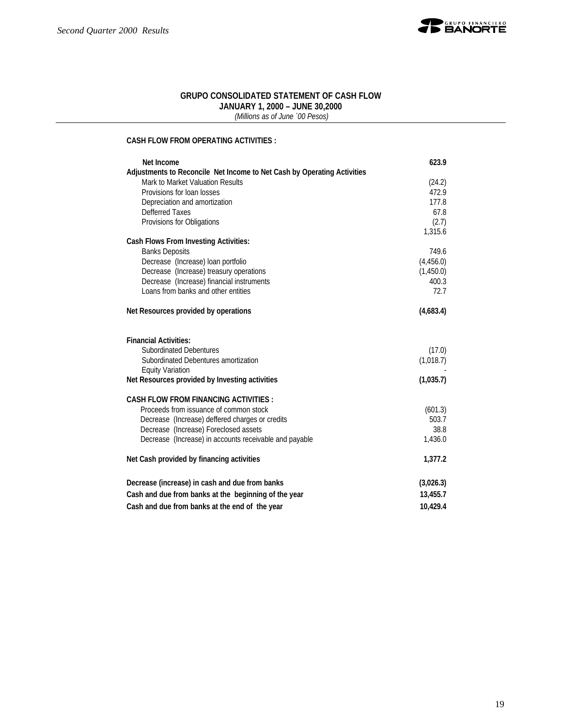

#### **GRUPO CONSOLIDATED STATEMENT OF CASH FLOW JANUARY 1, 2000 – JUNE 30,2000**

 *(Millions as of June ´00 Pesos)*

#### **CASH FLOW FROM OPERATING ACTIVITIES :**

| Net Income                                                              | 623.9           |
|-------------------------------------------------------------------------|-----------------|
| Adjustments to Reconcile Net Income to Net Cash by Operating Activities |                 |
| Mark to Market Valuation Results<br>Provisions for loan losses          | (24.2)<br>472.9 |
| Depreciation and amortization                                           | 177.8           |
| Defferred Taxes                                                         | 67.8            |
| Provisions for Obligations                                              | (2.7)           |
|                                                                         | 1,315.6         |
| <b>Cash Flows From Investing Activities:</b>                            |                 |
| <b>Banks Deposits</b>                                                   | 749.6           |
| Decrease (Increase) loan portfolio                                      | (4,456.0)       |
| Decrease (Increase) treasury operations                                 | (1,450.0)       |
| Decrease (Increase) financial instruments                               | 400.3           |
| Loans from banks and other entities                                     | 72.7            |
| Net Resources provided by operations                                    | (4,683.4)       |
| <b>Financial Activities:</b>                                            |                 |
| <b>Subordinated Debentures</b>                                          | (17.0)          |
| Subordinated Debentures amortization                                    | (1,018.7)       |
| <b>Equity Variation</b>                                                 |                 |
| Net Resources provided by Investing activities                          | (1,035.7)       |
| <b>CASH FLOW FROM FINANCING ACTIVITIES:</b>                             |                 |
| Proceeds from issuance of common stock                                  | (601.3)         |
| Decrease (Increase) deffered charges or credits                         | 503.7           |
| Decrease (Increase) Foreclosed assets                                   | 38.8            |
| Decrease (Increase) in accounts receivable and payable                  | 1,436.0         |
| Net Cash provided by financing activities                               | 1,377.2         |
| Decrease (increase) in cash and due from banks                          | (3,026.3)       |
| Cash and due from banks at the beginning of the year                    | 13,455.7        |
| Cash and due from banks at the end of the year                          | 10,429.4        |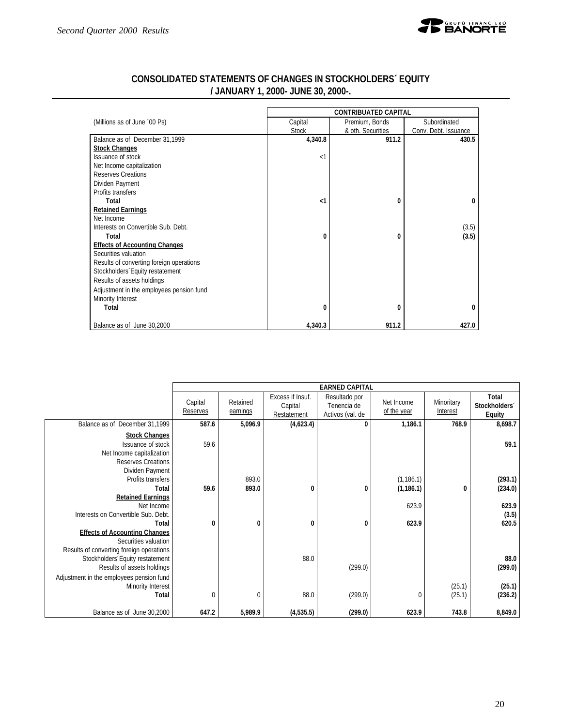

|                                          | <b>CONTRIBUATED CAPITAL</b> |                   |                      |  |  |  |  |  |
|------------------------------------------|-----------------------------|-------------------|----------------------|--|--|--|--|--|
| (Millions as of June '00 Ps)             | Capital                     | Premium, Bonds    | Subordinated         |  |  |  |  |  |
|                                          | <b>Stock</b>                | & oth. Securities | Conv. Debt. Issuance |  |  |  |  |  |
| Balance as of December 31,1999           | 4,340.8                     | 911.2             | 430.5                |  |  |  |  |  |
| <b>Stock Changes</b>                     |                             |                   |                      |  |  |  |  |  |
| Issuance of stock                        | $\leq$ 1                    |                   |                      |  |  |  |  |  |
| Net Income capitalization                |                             |                   |                      |  |  |  |  |  |
| <b>Reserves Creations</b>                |                             |                   |                      |  |  |  |  |  |
| Dividen Payment                          |                             |                   |                      |  |  |  |  |  |
| Profits transfers                        |                             |                   |                      |  |  |  |  |  |
| Total                                    | $\leq$ 1                    | 0                 | 0                    |  |  |  |  |  |
| <b>Retained Earnings</b>                 |                             |                   |                      |  |  |  |  |  |
| Net Income                               |                             |                   |                      |  |  |  |  |  |
| Interests on Convertible Sub. Debt.      |                             |                   | (3.5)                |  |  |  |  |  |
| Total                                    | 0                           | 0                 | (3.5)                |  |  |  |  |  |
| <b>Effects of Accounting Changes</b>     |                             |                   |                      |  |  |  |  |  |
| Securities valuation                     |                             |                   |                      |  |  |  |  |  |
| Results of converting foreign operations |                             |                   |                      |  |  |  |  |  |
| Stockholders Equity restatement          |                             |                   |                      |  |  |  |  |  |
| Results of assets holdings               |                             |                   |                      |  |  |  |  |  |
| Adjustment in the employees pension fund |                             |                   |                      |  |  |  |  |  |
| Minority Interest                        |                             |                   |                      |  |  |  |  |  |
| Total                                    | 0                           | 0                 | 0                    |  |  |  |  |  |
| Balance as of June 30,2000               | 4,340.3                     | 911.2             | 427.0                |  |  |  |  |  |

# **CONSOLIDATED STATEMENTS OF CHANGES IN STOCKHOLDERS´ EQUITY / JANUARY 1, 2000- JUNE 30, 2000-.**

|                                                                                                                        |                     |                      |                                            | <b>EARNED CAPITAL</b>                            |                           |                               |                                                     |
|------------------------------------------------------------------------------------------------------------------------|---------------------|----------------------|--------------------------------------------|--------------------------------------------------|---------------------------|-------------------------------|-----------------------------------------------------|
|                                                                                                                        | Capital<br>Reserves | Retained<br>earnings | Excess if Insuf.<br>Capital<br>Restatement | Resultado por<br>Tenencia de<br>Activos (val. de | Net Income<br>of the year | Minoritary<br><b>Interest</b> | Total<br>Stockholders <sup>®</sup><br><b>Equity</b> |
| Balance as of December 31,1999                                                                                         | 587.6               | 5,096.9              | (4,623.4)                                  | $\bf{0}$                                         | 1,186.1                   | 768.9                         | 8,698.7                                             |
| <b>Stock Changes</b><br>Issuance of stock<br>Net Income capitalization<br><b>Reserves Creations</b><br>Dividen Payment | 59.6                |                      |                                            |                                                  |                           |                               | 59.1                                                |
| Profits transfers<br>Total<br><b>Retained Earnings</b>                                                                 | 59.6                | 893.0<br>893.0       | 0                                          | 0                                                | (1, 186.1)<br>(1, 186.1)  | 0                             | (293.1)<br>(234.0)                                  |
| Net Income<br>Interests on Convertible Sub. Debt.<br>Total                                                             | $\bf{0}$            | $\bf{0}$             | $\bf{0}$                                   | 0                                                | 623.9<br>623.9            |                               | 623.9<br>(3.5)<br>620.5                             |
| <b>Effects of Accounting Changes</b><br>Securities valuation<br>Results of converting foreign operations               |                     |                      |                                            |                                                  |                           |                               |                                                     |
| Stockholders Equity restatement<br>Results of assets holdings<br>Adjustment in the employees pension fund              |                     |                      | 88.0                                       | (299.0)                                          |                           |                               | 88.0<br>(299.0)                                     |
| Minority Interest<br>Total                                                                                             | $\overline{0}$      | $\mathbf 0$          | 88.0                                       | (299.0)                                          |                           | (25.1)<br>(25.1)              | (25.1)<br>(236.2)                                   |
| Balance as of June 30,2000                                                                                             | 647.2               | 5,989.9              | (4,535.5)                                  | (299.0)                                          | 623.9                     | 743.8                         | 8,849.0                                             |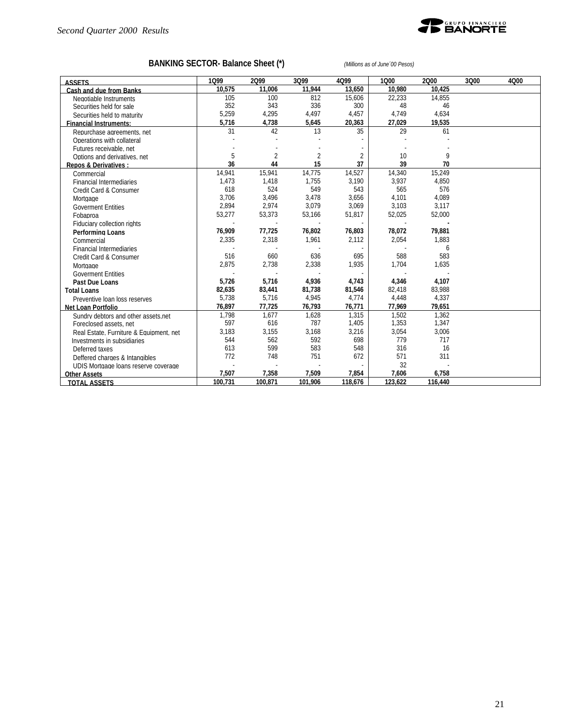

# **BANKING SECTOR- Balance Sheet (\*)** *(Millions as of June´00 Pesos)*

| <b>ASSETS</b>                           | 1099    | 2099           | 3Q99           | 4Q99           | 1000    | 2000    | 3Q00 | 4000 |
|-----------------------------------------|---------|----------------|----------------|----------------|---------|---------|------|------|
| Cash and due from Banks                 | 10.575  | 11.006         | 11.944         | 13.650         | 10.980  | 10.425  |      |      |
| Negotiable Instruments                  | 105     | 100            | 812            | 15,606         | 22,233  | 14,855  |      |      |
| Securities held for sale                | 352     | 343            | 336            | 300            | 48      | 46      |      |      |
| Securities held to maturity             | 5,259   | 4,295          | 4,497          | 4,457          | 4,749   | 4,634   |      |      |
| <b>Financial Instruments:</b>           | 5,716   | 4,738          | 5,645          | 20,363         | 27,029  | 19,535  |      |      |
| Repurchase agreements, net              | 31      | 42             | 13             | 35             | 29      | 61      |      |      |
| Operations with collateral              |         |                |                |                |         |         |      |      |
| Futures receivable, net                 |         |                |                |                |         |         |      |      |
| Options and derivatives, net            | 5       | $\overline{2}$ | $\overline{2}$ | $\overline{2}$ | 10      | 9       |      |      |
| <b>Repos &amp; Derivatives:</b>         | 36      | 44             | 15             | 37             | 39      | 70      |      |      |
| Commercial                              | 14,941  | 15,941         | 14,775         | 14,527         | 14,340  | 15,249  |      |      |
| <b>Financial Intermediaries</b>         | 1,473   | 1,418          | 1.755          | 3,190          | 3,937   | 4,850   |      |      |
| Credit Card & Consumer                  | 618     | 524            | 549            | 543            | 565     | 576     |      |      |
| Mortgage                                | 3,706   | 3,496          | 3,478          | 3,656          | 4,101   | 4,089   |      |      |
| <b>Goverment Entities</b>               | 2,894   | 2,974          | 3,079          | 3,069          | 3,103   | 3,117   |      |      |
| Fobaproa                                | 53,277  | 53,373         | 53,166         | 51,817         | 52,025  | 52,000  |      |      |
| <b>Fiduciary collection rights</b>      |         |                |                |                |         |         |      |      |
| Performing Loans                        | 76,909  | 77,725         | 76,802         | 76,803         | 78,072  | 79,881  |      |      |
| Commercial                              | 2,335   | 2,318          | 1,961          | 2,112          | 2,054   | 1,883   |      |      |
| <b>Financial Intermediaries</b>         |         |                |                |                |         | 6       |      |      |
| Credit Card & Consumer                  | 516     | 660            | 636            | 695            | 588     | 583     |      |      |
| Mortgage                                | 2,875   | 2,738          | 2,338          | 1,935          | 1,704   | 1,635   |      |      |
| <b>Goverment Entities</b>               |         |                |                |                |         |         |      |      |
| Past Due Loans                          | 5,726   | 5,716          | 4,936          | 4,743          | 4,346   | 4,107   |      |      |
| <b>Total Loans</b>                      | 82,635  | 83,441         | 81,738         | 81,546         | 82,418  | 83,988  |      |      |
| Preventive loan loss reserves           | 5,738   | 5,716          | 4,945          | 4,774          | 4,448   | 4,337   |      |      |
| Net Loan Portfolio                      | 76,897  | 77,725         | 76,793         | 76,771         | 77,969  | 79,651  |      |      |
| Sundry debtors and other assets.net     | 1,798   | 1,677          | 1,628          | 1,315          | 1,502   | 1,362   |      |      |
| Foreclosed assets, net                  | 597     | 616            | 787            | 1,405          | 1,353   | 1,347   |      |      |
| Real Estate, Furniture & Equipment, net | 3,183   | 3,155          | 3,168          | 3,216          | 3,054   | 3,006   |      |      |
| Investments in subsidiaries             | 544     | 562            | 592            | 698            | 779     | 717     |      |      |
| Deferred taxes                          | 613     | 599            | 583            | 548            | 316     | 16      |      |      |
| Deffered charges & Intangibles          | 772     | 748            | 751            | 672            | 571     | 311     |      |      |
| UDIS Mortgage loans reserve coverage    |         |                |                |                | 32      |         |      |      |
| <b>Other Assets</b>                     | 7,507   | 7,358          | 7,509          | 7,854          | 7,606   | 6,758   |      |      |
| <b>TOTAL ASSETS</b>                     | 100.731 | 100.871        | 101.906        | 118,676        | 123.622 | 116,440 |      |      |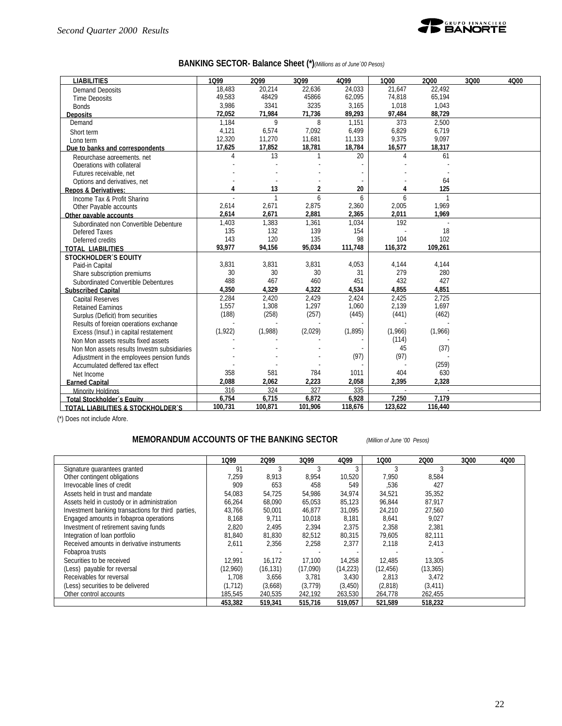

# **BANKING SECTOR- Balance Sheet (\*)***(Millions as of June´00 Pesos)*

| <b>LIABILITIES</b>                           | 1099           | 2099         | 3Q99    | 4Q99    | 1000    | 2000         | 3Q00 | 4000 |
|----------------------------------------------|----------------|--------------|---------|---------|---------|--------------|------|------|
| <b>Demand Deposits</b>                       | 18.483         | 20.214       | 22.636  | 24,033  | 21.647  | 22.492       |      |      |
| <b>Time Deposits</b>                         | 49.583         | 48429        | 45866   | 62,095  | 74,818  | 65,194       |      |      |
| <b>Bonds</b>                                 | 3,986          | 3341         | 3235    | 3,165   | 1,018   | 1,043        |      |      |
| <b>Deposits</b>                              | 72,052         | 71,984       | 71,736  | 89,293  | 97,484  | 88,729       |      |      |
| Demand                                       | 1.184          | 9            | 8       | 1,151   | 373     | 2.500        |      |      |
| Short term                                   | 4,121          | 6,574        | 7,092   | 6,499   | 6,829   | 6.719        |      |      |
| Long term                                    | 12,320         | 11,270       | 11,681  | 11,133  | 9,375   | 9,097        |      |      |
| Due to banks and correspondents              | 17,625         | 17,852       | 18,781  | 18,784  | 16,577  | 18,317       |      |      |
| Repurchase agreements, net                   | $\overline{4}$ | 13           | 1       | 20      | 4       | 61           |      |      |
| Operations with collateral                   |                |              |         |         |         |              |      |      |
| Futures receivable, net                      |                |              |         |         |         |              |      |      |
| Options and derivatives, net                 |                |              |         |         |         | 64           |      |      |
| <b>Repos &amp; Derivatives:</b>              | 4              | 13           | 2       | 20      | 4       | 125          |      |      |
| Income Tax & Profit Sharing                  |                | $\mathbf{1}$ | 6       | 6       | 6       | $\mathbf{1}$ |      |      |
| Other Pavable accounts                       | 2,614          | 2,671        | 2,875   | 2,360   | 2,005   | 1.969        |      |      |
| Other pavable accounts                       | 2,614          | 2,671        | 2,881   | 2,365   | 2,011   | 1,969        |      |      |
| Subordinated non Convertible Debenture       | 1,403          | 1,383        | 1,361   | 1,034   | 192     | L.           |      |      |
| Defered Taxes                                | 135            | 132          | 139     | 154     |         | 18           |      |      |
| Deferred credits                             | 143            | 120          | 135     | 98      | 104     | 102          |      |      |
| <b>TOTAL LIABILITIES</b>                     | 93,977         | 94,156       | 95,034  | 111,748 | 116,372 | 109,261      |      |      |
| <b>STOCKHOLDER'S EQUITY</b>                  |                |              |         |         |         |              |      |      |
| Paid-in Capital                              | 3,831          | 3,831        | 3,831   | 4,053   | 4,144   | 4,144        |      |      |
| Share subscription premiums                  | 30             | 30           | 30      | 31      | 279     | 280          |      |      |
| Subordinated Convertible Debentures          | 488            | 467          | 460     | 451     | 432     | 427          |      |      |
| <b>Subscribed Capital</b>                    | 4,350          | 4,329        | 4,322   | 4,534   | 4,855   | 4,851        |      |      |
| <b>Capital Reserves</b>                      | 2,284          | 2,420        | 2,429   | 2,424   | 2.425   | 2,725        |      |      |
| <b>Retained Earnings</b>                     | 1,557          | 1,308        | 1,297   | 1,060   | 2,139   | 1.697        |      |      |
| Surplus (Deficit) from securities            | (188)          | (258)        | (257)   | (445)   | (441)   | (462)        |      |      |
| Results of foreign operations exchange       |                |              |         |         |         |              |      |      |
| Excess (Insuf.) in capital restatement       | (1,922)        | (1,988)      | (2,029) | (1,895) | (1,966) | (1,966)      |      |      |
| Non Mon assets results fixed assets          |                |              |         |         | (114)   |              |      |      |
| Non Mon assets results Investm subsidiaries  |                |              |         |         | 45      | (37)         |      |      |
| Adjustment in the employees pension funds    |                |              |         | (97)    | (97)    |              |      |      |
| Accumulated deffered tax effect              |                |              |         |         |         | (259)        |      |      |
| Net Income                                   | 358            | 581          | 784     | 1011    | 404     | 630          |      |      |
| <b>Earned Capital</b>                        | 2,088          | 2,062        | 2,223   | 2,058   | 2,395   | 2,328        |      |      |
| <b>Minority Holdings</b>                     | 316            | 324          | 327     | 335     |         | L.           |      |      |
| Total Stockholder's Equity                   | 6,754          | 6,715        | 6.872   | 6,928   | 7.250   | 7.179        |      |      |
| <b>TOTAL LIABILITIES &amp; STOCKHOLDER'S</b> | 100,731        | 100,871      | 101,906 | 118,676 | 123,622 | 116,440      |      |      |

(\*) Does not include Afore.

### **MEMORANDUM ACCOUNTS OF THE BANKING SECTOR** *(Million of June '00 Pesos)*

|                                                    | 1099     | 2099      | 3Q99     | 4Q99      | 1000      | 2000      | 3Q00 | 4000 |
|----------------------------------------------------|----------|-----------|----------|-----------|-----------|-----------|------|------|
| Signature quarantees granted                       | 91       |           |          |           |           |           |      |      |
| Other contingent obligations                       | 7,259    | 8,913     | 8,954    | 10,520    | 7,950     | 8,584     |      |      |
| Irrevocable lines of credit                        | 909      | 653       | 458      | 549       | ,536      | 427       |      |      |
| Assets held in trust and mandate                   | 54,083   | 54,725    | 54,986   | 34,974    | 34,521    | 35,352    |      |      |
| Assets held in custody or in administration        | 66.264   | 68,090    | 65.053   | 85,123    | 96.844    | 87.917    |      |      |
| Investment banking transactions for third parties. | 43.766   | 50,001    | 46,877   | 31,095    | 24,210    | 27.560    |      |      |
| Engaged amounts in fobaproa operations             | 8,168    | 9,711     | 10,018   | 8,181     | 8,641     | 9,027     |      |      |
| Investment of retirement saving funds              | 2,820    | 2,495     | 2,394    | 2,375     | 2,358     | 2,381     |      |      |
| Integration of loan portfolio                      | 81,840   | 81,830    | 82,512   | 80,315    | 79,605    | 82,111    |      |      |
| Received amounts in derivative instruments         | 2,611    | 2,356     | 2,258    | 2,377     | 2,118     | 2,413     |      |      |
| Fobaproa trusts                                    |          |           |          |           |           |           |      |      |
| Securities to be received                          | 12.991   | 16.172    | 17,100   | 14,258    | 12,485    | 13,305    |      |      |
| (Less) payable for reversal                        | (12,960) | (16, 131) | (17,090) | (14, 223) | (12, 456) | (13, 365) |      |      |
| Receivables for reversal                           | 1.708    | 3.656     | 3.781    | 3,430     | 2.813     | 3.472     |      |      |
| (Less) securities to be delivered                  | (1.712)  | (3,668)   | (3, 779) | (3, 450)  | (2,818)   | (3, 411)  |      |      |
| Other control accounts                             | 185,545  | 240,535   | 242,192  | 263,530   | 264,778   | 262,455   |      |      |
|                                                    | 453,382  | 519,341   | 515,716  | 519,057   | 521,589   | 518,232   |      |      |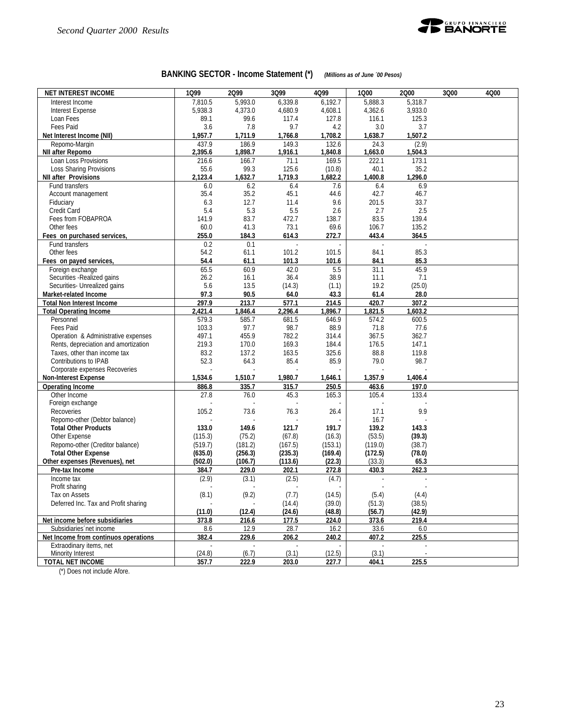

# **BANKING SECTOR - Income Statement (\*)** *(Millions as of June ´00 Pesos)*

| <b>NET INTEREST INCOME</b>                                                  | 1Q99               | 2Q99             | 3Q99             | 4Q99             | 1Q00            | 2000             | 3Q00 | 4Q00 |
|-----------------------------------------------------------------------------|--------------------|------------------|------------------|------------------|-----------------|------------------|------|------|
| Interest Income                                                             | 7,810.5            | 5.993.0          | 6,339.8          | 6,192.7          | 5,888.3         | 5,318.7          |      |      |
| <b>Interest Expense</b>                                                     | 5,938.3            | 4,373.0          | 4,680.9          | 4,608.1          | 4,362.6         | 3,933.0          |      |      |
| Loan Fees                                                                   | 89.1               | 99.6             | 117.4            | 127.8            | 116.1           | 125.3            |      |      |
| Fees Paid                                                                   | 3.6                | 7.8              | 9.7              | 4.2              | 3.0             | 3.7              |      |      |
| Net Interest Income (NII)                                                   | 1,957.7            | 1,711.9          | 1,766.8          | 1,708.2          | 1,638.7         | 1,507.2          |      |      |
| Repomo-Margin<br>NII after Repomo                                           | 437.9<br>2,395.6   | 186.9<br>1,898.7 | 149.3<br>1,916.1 | 132.6<br>1,840.8 | 24.3<br>1,663.0 | (2.9)<br>1,504.3 |      |      |
| Loan Loss Provisions                                                        | 216.6              | 166.7            | 71.1             | 169.5            | 222.1           | 173.1            |      |      |
| Loss Sharing Provisions                                                     | 55.6               | 99.3             | 125.6            | (10.8)           | 40.1            | 35.2             |      |      |
| <b>NII after Provisions</b>                                                 | 2,123.4            | 1,632.7          | 1,719.3          | 1,682.2          | 1,400.8         | 1,296.0          |      |      |
| Fund transfers                                                              | 6.0                | 6.2              | 6.4              | 7.6              | 6.4             | 6.9              |      |      |
| Account management                                                          | 35.4               | 35.2             | 45.1             | 44.6             | 42.7            | 46.7             |      |      |
| Fiduciary                                                                   | 6.3                | 12.7             | 11.4             | 9.6              | 201.5           | 33.7             |      |      |
| Credit Card                                                                 | 5.4                | 5.3              | 5.5              | 2.6              | 2.7             | 2.5              |      |      |
| Fees from FOBAPROA                                                          | 141.9              | 83.7             | 472.7            | 138.7            | 83.5            | 139.4            |      |      |
| Other fees                                                                  | 60.0               | 41.3             | 73.1             | 69.6             | 106.7           | 135.2            |      |      |
| Fees on purchased services,                                                 | 255.0              | 184.3            | 614.3            | 272.7            | 443.4           | 364.5            |      |      |
| Fund transfers                                                              | 0.2                | 0.1              |                  |                  |                 |                  |      |      |
| Other fees                                                                  | 54.2               | 61.1             | 101.2            | 101.5            | 84.1            | 85.3             |      |      |
| Fees on payed services,                                                     | 54.4               | 61.1             | 101.3            | 101.6            | 84.1            | 85.3             |      |      |
| Foreign exchange                                                            | 65.5               | 60.9             | 42.0             | 5.5              | 31.1            | 45.9             |      |      |
| Securities - Realized gains                                                 | 26.2               | 16.1             | 36.4             | 38.9             | 11.1            | 7.1              |      |      |
| Securities- Unrealized gains                                                | 5.6                | 13.5             | (14.3)           | (1.1)            | 19.2            | (25.0)           |      |      |
| Market-related Income                                                       | 97.3               | 90.5             | 64.0             | 43.3             | 61.4            | 28.0             |      |      |
| <b>Total Non Interest Income</b>                                            | 297.9              | 213.7            | 577.1            | 214.5            | 420.7           | 307.2            |      |      |
| <b>Total Operating Income</b>                                               | 2,421.4            | 1,846.4          | 2,296.4          | 1,896.7          | 1,821.5         | 1,603.2          |      |      |
| Personnel                                                                   | 579.3              | 585.7            | 681.5            | 646.9            | 574.2           | 600.5            |      |      |
| Fees Paid                                                                   | 103.3<br>497.1     | 97.7<br>455.9    | 98.7<br>782.2    | 88.9             | 71.8<br>367.5   | 77.6<br>362.7    |      |      |
| Operation & Administrative expenses<br>Rents, depreciation and amortization | 219.3              | 170.0            | 169.3            | 314.4<br>184.4   | 176.5           | 147.1            |      |      |
| Taxes, other than income tax                                                | 83.2               | 137.2            | 163.5            | 325.6            | 88.8            | 119.8            |      |      |
| Contributions to IPAB                                                       | 52.3               | 64.3             | 85.4             | 85.9             | 79.0            | 98.7             |      |      |
| Corporate expenses Recoveries                                               |                    |                  |                  |                  |                 |                  |      |      |
| <b>Non-Interest Expense</b>                                                 | 1,534.6            | 1,510.7          | 1,980.7          | 1,646.1          | 1,357.9         | 1,406.4          |      |      |
| <b>Operating Income</b>                                                     | 886.8              | 335.7            | 315.7            | 250.5            | 463.6           | 197.0            |      |      |
| Other Income                                                                | 27.8               | 76.0             | 45.3             | 165.3            | 105.4           | 133.4            |      |      |
| Foreign exchange                                                            |                    |                  |                  |                  |                 |                  |      |      |
| Recoveries                                                                  | 105.2              | 73.6             | 76.3             | 26.4             | 17.1            | 9.9              |      |      |
| Repomo-other (Debtor balance)                                               |                    |                  |                  |                  | 16.7            |                  |      |      |
| <b>Total Other Products</b>                                                 | 133.0              | 149.6            | 121.7            | 191.7            | 139.2           | 143.3            |      |      |
| Other Expense                                                               | (115.3)            | (75.2)           | (67.8)           | (16.3)           | (53.5)          | (39.3)           |      |      |
| Repomo-other (Creditor balance)                                             | (519.7)            | (181.2)          | (167.5)          | (153.1)          | (119.0)         | (38.7)           |      |      |
| <b>Total Other Expense</b>                                                  | (635.0)            | (256.3)          | (235.3)          | (169.4)          | (172.5)         | (78.0)           |      |      |
| Other expenses (Revenues), net                                              | (502.0)            | (106.7)          | (113.6)          | (22.3)           | (33.3)          | 65.3             |      |      |
| Pre-tax Income                                                              | 384.7              | 229.0            | 202.1            | 272.8            | 430.3           | 262.3            |      |      |
| Income tax                                                                  | (2.9)              | (3.1)            | (2.5)            | (4.7)            |                 |                  |      |      |
| Profit sharing                                                              |                    |                  |                  |                  |                 |                  |      |      |
| Tax on Assets                                                               | (8.1)              | (9.2)            | (7.7)            | (14.5)           | (5.4)           | (4.4)            |      |      |
| Deferred Inc. Tax and Profit sharing                                        |                    |                  | (14.4)           | (39.0)           | (51.3)          | (38.5)           |      |      |
|                                                                             | (11.0)             | (12.4)           | (24.6)           | (48.8)           | (56.7)          | (42.9)           |      |      |
| Net income before subsidiaries                                              | 373.8              | 216.6            | 177.5            | 224.0            | 373.6           | 219.4            |      |      |
| Subsidiaries net income                                                     | 8.6                | 12.9             | 28.7             | 16.2             | 33.6            | 6.0              |      |      |
| Net Income from continuos operations                                        | 382.4              | 229.6            | 206.2            | 240.2            | 407.2           | 225.5            |      |      |
| Extraodinary items, net                                                     | $\omega$<br>(24.8) | $\sim$<br>(6.7)  | $\sim$           |                  | ÷.<br>(3.1)     | ÷.               |      |      |
| Minority Interest<br><b>TOTAL NET INCOME</b>                                | 357.7              | 222.9            | (3.1)<br>203.0   | (12.5)<br>227.7  |                 |                  |      |      |
|                                                                             |                    |                  |                  |                  | 404.1           | 225.5            |      |      |

(\*) Does not include Afore.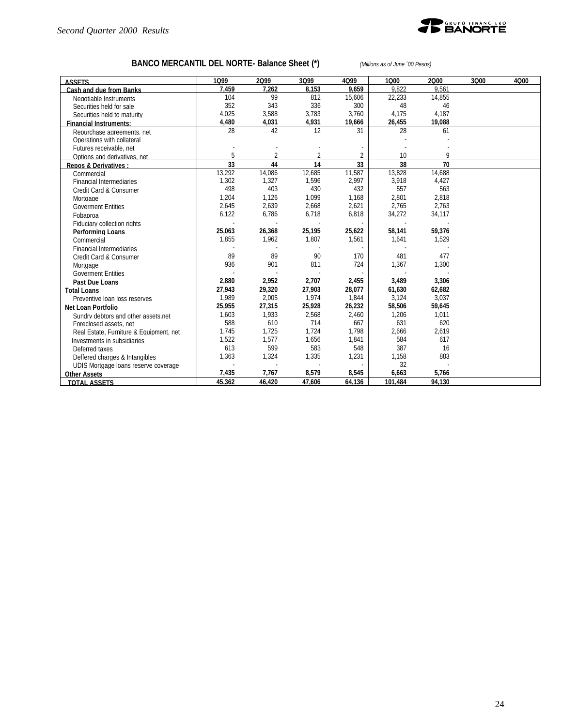

# **BANCO MERCANTIL DEL NORTE- Balance Sheet (\*)** *(Millions as of June ´00 Pesos)*

| <b>ASSETS</b>                           | 1099   | 2099   | 3Q99                     | 4099   | 1000    | 2000   | 3Q00 | 4000 |
|-----------------------------------------|--------|--------|--------------------------|--------|---------|--------|------|------|
| Cash and due from Banks                 | 7.459  | 7.262  | 8.153                    | 9.659  | 9.822   | 9.561  |      |      |
| Negotiable Instruments                  | 104    | 99     | 812                      | 15,606 | 22.233  | 14.855 |      |      |
| Securities held for sale                | 352    | 343    | 336                      | 300    | 48      | 46     |      |      |
| Securities held to maturity             | 4,025  | 3,588  | 3,783                    | 3,760  | 4,175   | 4,187  |      |      |
| <b>Financial Instruments:</b>           | 4,480  | 4,031  | 4,931                    | 19,666 | 26,455  | 19,088 |      |      |
| Repurchase agreements, net              | 28     | 42     | 12                       | 31     | 28      | 61     |      |      |
| Operations with collateral              |        |        |                          |        |         |        |      |      |
| Futures receivable, net                 |        |        |                          |        |         |        |      |      |
| Options and derivatives, net            | 5      |        | $\overline{\mathcal{C}}$ | 2      | 10      | 9      |      |      |
| <b>Repos &amp; Derivatives:</b>         | 33     | 44     | 14                       | 33     | 38      | 70     |      |      |
| Commercial                              | 13,292 | 14,086 | 12,685                   | 11,587 | 13,828  | 14,688 |      |      |
| <b>Financial Intermediaries</b>         | 1,302  | 1,327  | 1,596                    | 2,997  | 3,918   | 4,427  |      |      |
| Credit Card & Consumer                  | 498    | 403    | 430                      | 432    | 557     | 563    |      |      |
| Mortgage                                | 1,204  | 1,126  | 1,099                    | 1,168  | 2,801   | 2,818  |      |      |
| <b>Goverment Entities</b>               | 2,645  | 2,639  | 2,668                    | 2,621  | 2,765   | 2,763  |      |      |
| Fobaproa                                | 6,122  | 6,786  | 6,718                    | 6,818  | 34,272  | 34,117 |      |      |
| Fiduciary collection rights             |        |        |                          |        |         |        |      |      |
| <b>Performing Loans</b>                 | 25,063 | 26,368 | 25,195                   | 25,622 | 58,141  | 59,376 |      |      |
| Commercial                              | 1,855  | 1,962  | 1,807                    | 1,561  | 1,641   | 1,529  |      |      |
| <b>Financial Intermediaries</b>         |        |        |                          |        |         |        |      |      |
| Credit Card & Consumer                  | 89     | 89     | 90                       | 170    | 481     | 477    |      |      |
| Mortgage                                | 936    | 901    | 811                      | 724    | 1,367   | 1,300  |      |      |
| <b>Goverment Entities</b>               |        |        |                          |        |         |        |      |      |
| Past Due Loans                          | 2,880  | 2,952  | 2,707                    | 2,455  | 3,489   | 3,306  |      |      |
| <b>Total Loans</b>                      | 27,943 | 29,320 | 27,903                   | 28,077 | 61,630  | 62,682 |      |      |
| Preventive Ioan loss reserves           | 1,989  | 2,005  | 1,974                    | 1,844  | 3,124   | 3,037  |      |      |
| Net Loan Portfolio                      | 25,955 | 27,315 | 25,928                   | 26,232 | 58,506  | 59,645 |      |      |
| Sundry debtors and other assets net     | 1,603  | 1,933  | 2,568                    | 2,460  | 1,206   | 1,011  |      |      |
| Foreclosed assets, net                  | 588    | 610    | 714                      | 667    | 631     | 620    |      |      |
| Real Estate, Furniture & Equipment, net | 1,745  | 1,725  | 1,724                    | 1,798  | 2,666   | 2,619  |      |      |
| Investments in subsidiaries             | 1,522  | 1,577  | 1,656                    | 1,841  | 584     | 617    |      |      |
| Deferred taxes                          | 613    | 599    | 583                      | 548    | 387     | 16     |      |      |
| Deffered charges & Intangibles          | 1,363  | 1,324  | 1,335                    | 1,231  | 1,158   | 883    |      |      |
| UDIS Mortgage loans reserve coverage    |        |        |                          |        | 32      |        |      |      |
| <b>Other Assets</b>                     | 7,435  | 7,767  | 8,579                    | 8,545  | 6,663   | 5,766  |      |      |
| <b>TOTAL ASSETS</b>                     | 45.362 | 46.420 | 47.606                   | 64.136 | 101.484 | 94.130 |      |      |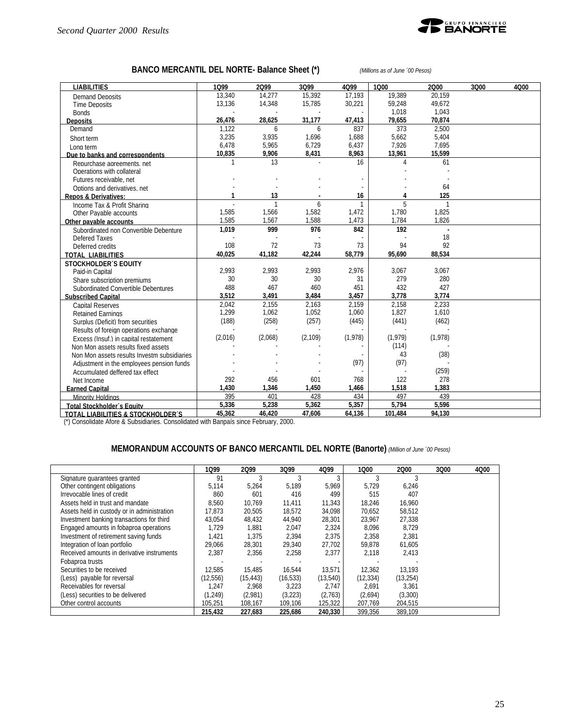

# **BANCO MERCANTIL DEL NORTE- Balance Sheet (\*)** *(Millions as of June ´00 Pesos)*

| <b>LIABILITIES</b>                                                                    | 1099    | 2099         | 3Q99     | 4Q99         | 1000     | 2000           | 3Q00 | 4Q00 |
|---------------------------------------------------------------------------------------|---------|--------------|----------|--------------|----------|----------------|------|------|
| Demand Deposits                                                                       | 13.340  | 14.277       | 15.392   | 17.193       | 19,389   | 20.159         |      |      |
| <b>Time Deposits</b>                                                                  | 13,136  | 14,348       | 15,785   | 30,221       | 59,248   | 49,672         |      |      |
| <b>Bonds</b>                                                                          |         |              |          |              | 1,018    | 1.043          |      |      |
| <b>Deposits</b>                                                                       | 26,476  | 28.625       | 31.177   | 47,413       | 79,655   | 70.874         |      |      |
| Demand                                                                                | 1.122   | 6            | 6        | 837          | 373      | 2.500          |      |      |
| Short term                                                                            | 3,235   | 3,935        | 1,696    | 1,688        | 5,662    | 5,404          |      |      |
| Long term                                                                             | 6.478   | 5.965        | 6,729    | 6,437        | 7,926    | 7,695          |      |      |
| Due to banks and correspondents                                                       | 10,835  | 9,906        | 8,431    | 8,963        | 13,961   | 15,599         |      |      |
| Repurchase agreements, net                                                            |         | 13           |          | 16           | 4        | 61             |      |      |
| Operations with collateral                                                            |         |              |          |              |          |                |      |      |
| Futures receivable, net                                                               |         |              |          |              |          |                |      |      |
| Options and derivatives, net                                                          |         |              |          |              |          | 64             |      |      |
| <b>Repos &amp; Derivatives:</b>                                                       |         | 13           |          | 16           | 4        | 125            |      |      |
| Income Tax & Profit Sharing                                                           |         | $\mathbf{1}$ | 6        | $\mathbf{1}$ | 5        | $\mathbf{1}$   |      |      |
| Other Pavable accounts                                                                | 1,585   | 1,566        | 1,582    | 1,472        | 1,780    | 1,825          |      |      |
| Other pavable accounts                                                                | 1.585   | 1,567        | 1,588    | 1,473        | 1.784    | 1,826          |      |      |
| Subordinated non Convertible Debenture                                                | 1,019   | 999          | 976      | 842          | 192      | $\overline{a}$ |      |      |
| Defered Taxes                                                                         |         |              |          |              |          | 18             |      |      |
| Deferred credits                                                                      | 108     | 72           | 73       | 73           | 94       | 92             |      |      |
| <b>TOTAL LIABILITIES</b>                                                              | 40.025  | 41.182       | 42.244   | 58,779       | 95.690   | 88,534         |      |      |
| <b>STOCKHOLDER'S EQUITY</b>                                                           |         |              |          |              |          |                |      |      |
| Paid-in Capital                                                                       | 2.993   | 2.993        | 2.993    | 2,976        | 3,067    | 3,067          |      |      |
| Share subscription premiums                                                           | 30      | 30           | 30       | 31           | 279      | 280            |      |      |
| Subordinated Convertible Debentures                                                   | 488     | 467          | 460      | 451          | 432      | 427            |      |      |
| <b>Subscribed Capital</b>                                                             | 3.512   | 3.491        | 3.484    | 3.457        | 3.778    | 3.774          |      |      |
| <b>Capital Reserves</b>                                                               | 2.042   | 2,155        | 2,163    | 2,159        | 2,158    | 2,233          |      |      |
| <b>Retained Earnings</b>                                                              | 1,299   | 1,062        | 1,052    | 1,060        | 1,827    | 1,610          |      |      |
| Surplus (Deficit) from securities                                                     | (188)   | (258)        | (257)    | (445)        | (441)    | (462)          |      |      |
| Results of foreign operations exchange                                                |         |              |          |              |          |                |      |      |
| Excess (Insuf.) in capital restatement                                                | (2,016) | (2,068)      | (2, 109) | (1,978)      | (1, 979) | (1,978)        |      |      |
| Non Mon assets results fixed assets                                                   |         |              |          |              | (114)    |                |      |      |
| Non Mon assets results Investm subsidiaries                                           |         |              |          |              | 43       | (38)           |      |      |
| Adjustment in the employees pension funds                                             |         |              |          | (97)         | (97)     |                |      |      |
| Accumulated deffered tax effect                                                       |         |              |          |              |          | (259)          |      |      |
| Net Income                                                                            | 292     | 456          | 601      | 768          | 122      | 278            |      |      |
| <b>Earned Capital</b>                                                                 | 1,430   | 1,346        | 1,450    | 1,466        | 1,518    | 1,383          |      |      |
| Minority Holdings                                                                     | 395     | 401          | 428      | 434          | 497      | 439            |      |      |
| <b>Total Stockholder's Equity</b>                                                     | 5.336   | 5.238        | 5.362    | 5.357        | 5.794    | 5.596          |      |      |
| <b>TOTAL LIABILITIES &amp; STOCKHOLDER'S</b>                                          | 45,362  | 46,420       | 47,606   | 64,136       | 101,484  | 94,130         |      |      |
| (*) Consolidate Afore & Subsidiaries. Consolidated with Banpaís since February, 2000. |         |              |          |              |          |                |      |      |

### **MEMORANDUM ACCOUNTS OF BANCO MERCANTIL DEL NORTE (Banorte)** *(Million of June ´00 Pesos)*

|                                             | 1099      | 2099      | 3Q99      | 4Q99      | 1000      | 2000      | 3Q00 | 4000 |
|---------------------------------------------|-----------|-----------|-----------|-----------|-----------|-----------|------|------|
| Signature guarantees granted                | 91        |           |           |           |           |           |      |      |
| Other contingent obligations                | 5,114     | 5,264     | 5,189     | 5,969     | 5,729     | 6,246     |      |      |
| Irrevocable lines of credit                 | 860       | 601       | 416       | 499       | 515       | 407       |      |      |
| Assets held in trust and mandate            | 8.560     | 10.769    | 11.411    | 11.343    | 18.246    | 16.960    |      |      |
| Assets held in custody or in administration | 17.873    | 20,505    | 18,572    | 34,098    | 70,652    | 58,512    |      |      |
| Investment banking transactions for third   | 43.054    | 48.432    | 44.940    | 28,301    | 23,967    | 27.338    |      |      |
| Engaged amounts in fobaproa operations      | 1,729     | 1,881     | 2,047     | 2,324     | 8,096     | 8,729     |      |      |
| Investment of retirement saving funds       | 1,421     | 1,375     | 2,394     | 2,375     | 2,358     | 2,381     |      |      |
| Integration of loan portfolio               | 29.066    | 28,301    | 29,340    | 27,702    | 59,878    | 61,605    |      |      |
| Received amounts in derivative instruments  | 2.387     | 2.356     | 2.258     | 2,377     | 2.118     | 2.413     |      |      |
| Fobaproa trusts                             |           |           |           |           |           |           |      |      |
| Securities to be received                   | 12.585    | 15.485    | 16.544    | 13,571    | 12.362    | 13.193    |      |      |
| (Less) payable for reversal                 | (12, 556) | (15, 443) | (16, 533) | (13, 540) | (12, 334) | (13, 254) |      |      |
| Receivables for reversal                    | 1.247     | 2.968     | 3.223     | 2.747     | 2.691     | 3.361     |      |      |
| (Less) securities to be delivered           | (1, 249)  | (2,981)   | (3,223)   | (2,763)   | (2,694)   | (3,300)   |      |      |
| Other control accounts                      | 105.251   | 108,167   | 109,106   | 125,322   | 207,769   | 204,515   |      |      |
|                                             | 215,432   | 227,683   | 225.686   | 240,330   | 399,356   | 389,109   |      |      |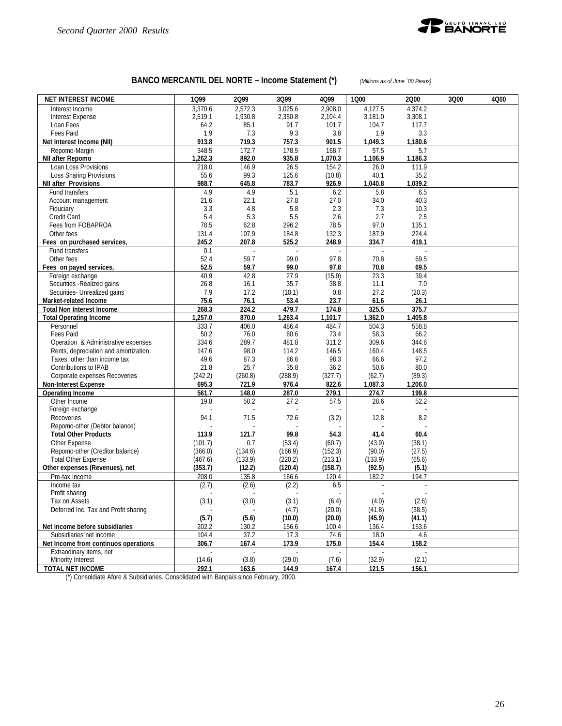

## **BANCO MERCANTIL DEL NORTE – Income Statement (\*)** *(Millions as of June ´00 Pesos)*

| <b>NET INTEREST INCOME</b>           | 1Q99        | 2Q99    | 3Q99    | 4Q99    | 1000    | 2000    | 3Q00 | 4Q00 |
|--------------------------------------|-------------|---------|---------|---------|---------|---------|------|------|
| Interest Income                      | 3.370.6     | 2.572.3 | 3.025.6 | 2.908.0 | 4,127.5 | 4.374.2 |      |      |
| <b>Interest Expense</b>              | 2,519.1     | 1,930.8 | 2,350.8 | 2.104.4 | 3,181.0 | 3,308.1 |      |      |
| Loan Fees                            | 64.2        | 85.1    | 91.7    | 101.7   | 104.7   | 117.7   |      |      |
| Fees Paid                            | 1.9         | 7.3     | 9.3     | 3.8     | 1.9     | 3.3     |      |      |
| Net Interest Income (NII)            | 913.8       | 719.3   | 757.3   | 901.5   | 1,049.3 | 1,180.6 |      |      |
| Repomo-Margin                        | 348.5       | 172.7   | 178.5   | 168.7   | 57.5    | 5.7     |      |      |
| NII after Repomo                     | 1,262.3     | 892.0   | 935.8   | 1,070.3 | 1,106.9 | 1,186.3 |      |      |
| Loan Loss Provisions                 | 218.0       | 146.9   | 26.5    | 154.2   | 26.0    | 111.9   |      |      |
| Loss Sharing Provisions              | 55.6        | 99.3    | 125.6   | (10.8)  | 40.1    | 35.2    |      |      |
| <b>NII after Provisions</b>          | 988.7       | 645.8   | 783.7   | 926.9   | 1,040.8 | 1,039.2 |      |      |
| Fund transfers                       | 4.9         | 4.9     | 5.1     | 6.2     | 5.8     | 6.5     |      |      |
| Account management                   | 21.6        | 22.1    | 27.8    | 27.0    | 34.0    | 40.3    |      |      |
| Fiduciary                            | 3.3         | 4.8     | 5.8     | 2.3     | 7.3     | 10.3    |      |      |
| Credit Card                          | 5.4         | 5.3     | 5.5     | 2.6     | 2.7     | 2.5     |      |      |
| Fees from FOBAPROA                   | 78.5        | 62.8    | 296.2   | 78.5    | 97.0    | 135.1   |      |      |
| Other fees                           | 131.4       | 107.9   | 184.8   | 132.3   | 187.9   | 224.4   |      |      |
| Fees on purchased services,          | 245.2       | 207.8   | 525.2   | 248.9   | 334.7   | 419.1   |      |      |
| Fund transfers<br>Other fees         | 0.1<br>52.4 | 59.7    | 99.0    | 97.8    | 70.8    | 69.5    |      |      |
| Fees on payed services,              | 52.5        | 59.7    | 99.0    | 97.8    | 70.8    | 69.5    |      |      |
| Foreign exchange                     | 40.9        | 42.8    | 27.9    | (15.9)  | 23.3    | 39.4    |      |      |
| Securities - Realized gains          | 26.8        | 16.1    | 35.7    | 38.8    | 11.1    | 7.0     |      |      |
| Securities- Unrealized gains         | 7.9         | 17.2    | (10.1)  | 0.8     | 27.2    | (20.3)  |      |      |
| Market-related Income                | 75.6        | 76.1    | 53.4    | 23.7    | 61.6    | 26.1    |      |      |
| <b>Total Non Interest Income</b>     | 268.3       | 224.2   | 479.7   | 174.8   | 325.5   | 375.7   |      |      |
| <b>Total Operating Income</b>        | 1,257.0     | 870.0   | 1,263.4 | 1,101.7 | 1,362.0 | 1,405.8 |      |      |
| Personnel                            | 333.7       | 406.0   | 486.4   | 484.7   | 504.3   | 558.8   |      |      |
| Fees Paid                            | 50.2        | 76.0    | 60.6    | 73.4    | 58.3    | 66.2    |      |      |
| Operation & Administrative expenses  | 334.6       | 289.7   | 481.8   | 311.2   | 309.6   | 344.6   |      |      |
| Rents, depreciation and amortization | 147.6       | 98.0    | 114.2   | 146.5   | 160.4   | 148.5   |      |      |
| Taxes, other than income tax         | 49.6        | 87.3    | 86.6    | 98.3    | 66.6    | 97.2    |      |      |
| Contributions to IPAB                | 21.8        | 25.7    | 35.8    | 36.2    | 50.6    | 80.0    |      |      |
| Corporate expenses Recoveries        | (242.2)     | (260.8) | (288.9) | (327.7) | (62.7)  | (89.3)  |      |      |
| <b>Non-Interest Expense</b>          | 695.3       | 721.9   | 976.4   | 822.6   | 1,087.3 | 1,206.0 |      |      |
| <b>Operating Income</b>              | 561.7       | 148.0   | 287.0   | 279.1   | 274.7   | 199.8   |      |      |
| Other Income                         | 19.8        | 50.2    | 27.2    | 57.5    | 28.6    | 52.2    |      |      |
| Foreign exchange                     |             |         |         |         |         |         |      |      |
| Recoveries                           | 94.1        | 71.5    | 72.6    | (3.2)   | 12.8    | 8.2     |      |      |
| Repomo-other (Debtor balance)        |             |         |         |         |         |         |      |      |
| <b>Total Other Products</b>          | 113.9       | 121.7   | 99.8    | 54.3    | 41.4    | 60.4    |      |      |
| Other Expense                        | (101.7)     | 0.7     | (53.4)  | (60.7)  | (43.9)  | (38.1)  |      |      |
| Repomo-other (Creditor balance)      | (366.0)     | (134.6) | (166.9) | (152.3) | (90.0)  | (27.5)  |      |      |
| <b>Total Other Expense</b>           | (467.6)     | (133.9) | (220.2) | (213.1) | (133.9) | (65.6)  |      |      |
| Other expenses (Revenues), net       | (353.7)     | (12.2)  | (120.4) | (158.7) | (92.5)  | (5.1)   |      |      |
| Pre-tax Income                       | 208.0       | 135.8   | 166.6   | 120.4   | 182.2   | 194.7   |      |      |
| Income tax<br>Profit sharing         | (2.7)       | (2.6)   | (2.2)   | 6.5     |         |         |      |      |
| Tax on Assets                        | (3.1)       | (3.0)   | (3.1)   | (6.4)   | (4.0)   | (2.6)   |      |      |
| Deferred Inc. Tax and Profit sharing |             |         | (4.7)   | (20.0)  | (41.8)  | (38.5)  |      |      |
|                                      | (5.7)       | (5.6)   | (10.0)  | (20.0)  | (45.9)  | (41.1)  |      |      |
| Net income before subsidiaries       | 202.2       | 130.2   | 156.6   | 100.4   | 136.4   | 153.6   |      |      |
| Subsidiaries net income              | 104.4       | 37.2    | 17.3    | 74.6    | 18.0    | 4.6     |      |      |
| Net Income from continuos operations | 306.7       | 167.4   | 173.9   | 175.0   | 154.4   | 158.2   |      |      |
| Extraodinary items, net              |             |         |         |         |         |         |      |      |
| Minority Interest                    | (14.6)      | (3.8)   | (29.0)  | (7.6)   | (32.9)  | (2.1)   |      |      |
| <b>TOTAL NET INCOME</b>              | 292.1       | 163.6   | 144.9   | 167.4   | 121.5   | 156.1   |      |      |

(\*) Consoldiate Afore & Subsidiaries. Consolidated with Banpaís since February, 2000.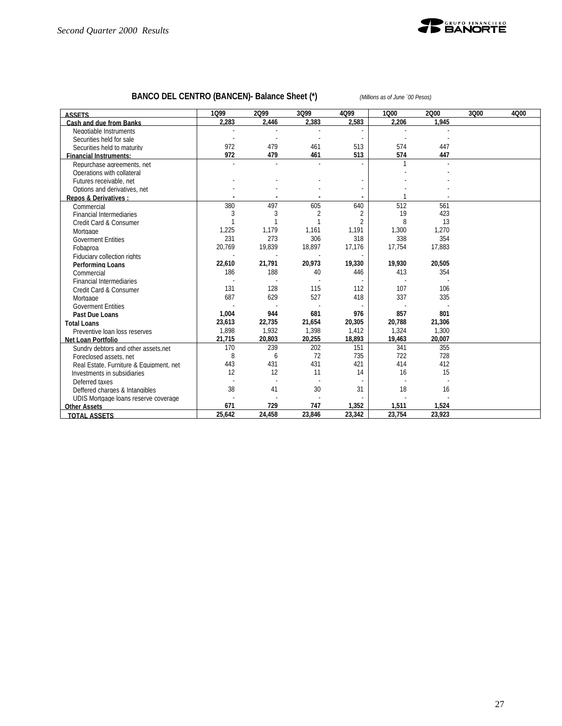

# **BANCO DEL CENTRO (BANCEN)- Balance Sheet (\*)** *(Millions as of June ´00 Pesos)*

| <b>ASSETS</b>                           | 1099   | 2099   | 3Q99   | 4Q99   | 1000   | 2000   | 3Q00 | 4Q00 |
|-----------------------------------------|--------|--------|--------|--------|--------|--------|------|------|
| Cash and due from Banks                 | 2.283  | 2,446  | 2.383  | 2.583  | 2.206  | 1.945  |      |      |
| Negotiable Instruments                  |        |        |        |        |        |        |      |      |
| Securities held for sale                |        |        |        |        |        |        |      |      |
| Securities held to maturity             | 972    | 479    | 461    | 513    | 574    | 447    |      |      |
| <b>Financial Instruments:</b>           | 972    | 479    | 461    | 513    | 574    | 447    |      |      |
| Repurchase agreements, net              |        |        |        |        |        |        |      |      |
| Operations with collateral              |        |        |        |        |        |        |      |      |
| Futures receivable, net                 |        |        |        |        |        |        |      |      |
| Options and derivatives, net            |        |        |        |        |        |        |      |      |
| Repos & Derivatives :                   |        |        |        |        |        |        |      |      |
| Commercial                              | 380    | 497    | 605    | 640    | 512    | 561    |      |      |
| <b>Financial Intermediaries</b>         | 3      | 3      | 2      | 2      | 19     | 423    |      |      |
| Credit Card & Consumer                  |        |        |        | 2      | 8      | 13     |      |      |
| Mortgage                                | 1,225  | 1,179  | 1,161  | 1,191  | 1,300  | 1,270  |      |      |
| <b>Goverment Entities</b>               | 231    | 273    | 306    | 318    | 338    | 354    |      |      |
| Fobaproa                                | 20,769 | 19,839 | 18,897 | 17,176 | 17,754 | 17,883 |      |      |
| Fiduciary collection rights             |        |        |        |        |        |        |      |      |
| <b>Performing Loans</b>                 | 22,610 | 21,791 | 20,973 | 19,330 | 19,930 | 20,505 |      |      |
| Commercial                              | 186    | 188    | 40     | 446    | 413    | 354    |      |      |
| <b>Financial Intermediaries</b>         |        |        |        |        |        |        |      |      |
| Credit Card & Consumer                  | 131    | 128    | 115    | 112    | 107    | 106    |      |      |
| Mortgage                                | 687    | 629    | 527    | 418    | 337    | 335    |      |      |
| <b>Goverment Entities</b>               |        |        |        |        |        |        |      |      |
| Past Due Loans                          | 1,004  | 944    | 681    | 976    | 857    | 801    |      |      |
| <b>Total Loans</b>                      | 23,613 | 22,735 | 21,654 | 20,305 | 20,788 | 21,306 |      |      |
| Preventive Ioan loss reserves           | 1,898  | 1,932  | 1,398  | 1,412  | 1,324  | 1,300  |      |      |
| Net Loan Portfolio                      | 21,715 | 20,803 | 20,255 | 18,893 | 19,463 | 20,007 |      |      |
| Sundry debtors and other assets net     | 170    | 239    | 202    | 151    | 341    | 355    |      |      |
| Foreclosed assets, net                  | 8      | 6      | 72     | 735    | 722    | 728    |      |      |
| Real Estate, Furniture & Equipment, net | 443    | 431    | 431    | 421    | 414    | 412    |      |      |
| Investments in subsidiaries             | 12     | 12     | 11     | 14     | 16     | 15     |      |      |
| Deferred taxes                          |        |        |        |        |        |        |      |      |
| Deffered charges & Intangibles          | 38     | 41     | 30     | 31     | 18     | 16     |      |      |
| UDIS Mortgage loans reserve coverage    |        |        |        |        |        |        |      |      |
| <b>Other Assets</b>                     | 671    | 729    | 747    | 1,352  | 1,511  | 1,524  |      |      |
| <b>TOTAL ASSETS</b>                     | 25,642 | 24,458 | 23,846 | 23,342 | 23,754 | 23,923 |      |      |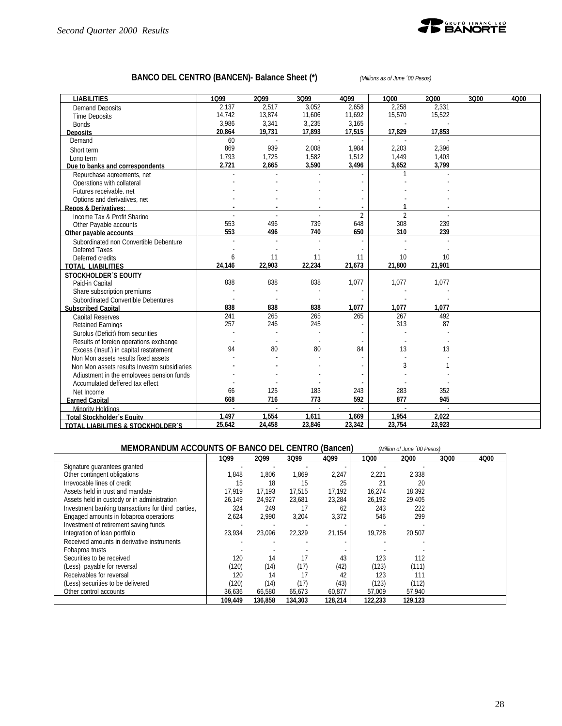

# **BANCO DEL CENTRO (BANCEN)- Balance Sheet (\*)** *(Millions as of June ´00 Pesos)*

| <b>LIABILITIES</b>                           | 1099   | 2099   | 3Q99   | 4Q99           | 1000           | 2000   | 3000 | 4Q00 |
|----------------------------------------------|--------|--------|--------|----------------|----------------|--------|------|------|
| <b>Demand Deposits</b>                       | 2,137  | 2,517  | 3,052  | 2,658          | 2,258          | 2,331  |      |      |
| <b>Time Deposits</b>                         | 14.742 | 13,874 | 11,606 | 11,692         | 15,570         | 15,522 |      |      |
| <b>Bonds</b>                                 | 3,986  | 3,341  | 3,235  | 3,165          |                |        |      |      |
| <b>Deposits</b>                              | 20,864 | 19,731 | 17.893 | 17,515         | 17,829         | 17.853 |      |      |
| Demand                                       | 60     | ÷.     | ÷.     |                |                |        |      |      |
| Short term                                   | 869    | 939    | 2.008  | 1,984          | 2,203          | 2.396  |      |      |
| Long term                                    | 1,793  | 1,725  | 1,582  | 1,512          | 1,449          | 1,403  |      |      |
| Due to banks and correspondents              | 2,721  | 2,665  | 3.590  | 3,496          | 3.652          | 3.799  |      |      |
| Repurchase agreements, net                   |        |        |        |                |                |        |      |      |
| Operations with collateral                   |        |        |        |                |                |        |      |      |
| Futures receivable, net                      |        |        |        |                |                |        |      |      |
| Options and derivatives, net                 |        |        |        |                |                |        |      |      |
| <b>Repos &amp; Derivatives:</b>              |        |        |        |                |                |        |      |      |
| Income Tax & Profit Sharing                  |        |        |        | $\overline{2}$ | $\overline{2}$ |        |      |      |
| Other Pavable accounts                       | 553    | 496    | 739    | 648            | 308            | 239    |      |      |
| Other payable accounts                       | 553    | 496    | 740    | 650            | 310            | 239    |      |      |
| Subordinated non Convertible Debenture       |        |        |        |                |                |        |      |      |
| Defered Taxes                                |        |        |        |                |                |        |      |      |
| Deferred credits                             | 6      | 11     | 11     | 11             | 10             | 10     |      |      |
| <b>TOTAL LIABILITIES</b>                     | 24,146 | 22,903 | 22,234 | 21,673         | 21,800         | 21,901 |      |      |
| <b>STOCKHOLDER'S EQUITY</b>                  |        |        |        |                |                |        |      |      |
| Paid-in Capital                              | 838    | 838    | 838    | 1,077          | 1,077          | 1,077  |      |      |
| Share subscription premiums                  |        |        |        |                |                |        |      |      |
| Subordinated Convertible Debentures          |        |        |        |                |                |        |      |      |
| <b>Subscribed Capital</b>                    | 838    | 838    | 838    | 1,077          | 1,077          | 1,077  |      |      |
| <b>Capital Reserves</b>                      | 241    | 265    | 265    | 265            | 267            | 492    |      |      |
| <b>Retained Earnings</b>                     | 257    | 246    | 245    |                | 313            | 87     |      |      |
| Surplus (Deficit) from securities            |        |        |        |                |                |        |      |      |
| Results of foreign operations exchange       |        |        |        |                |                |        |      |      |
| Excess (Insuf.) in capital restatement       | 94     | 80     | 80     | 84             | 13             | 13     |      |      |
| Non Mon assets results fixed assets          |        |        |        |                |                |        |      |      |
| Non Mon assets results Investm subsidiaries  |        |        |        |                | 3              |        |      |      |
| Adjustment in the employees pension funds    |        |        |        |                |                |        |      |      |
| Accumulated deffered tax effect              |        |        |        |                |                |        |      |      |
| Net Income                                   | 66     | 125    | 183    | 243            | 283            | 352    |      |      |
| <b>Earned Capital</b>                        | 668    | 716    | 773    | 592            | 877            | 945    |      |      |
| Minority Holdings                            | $\sim$ | $\sim$ | $\sim$ | $\sim$         | $\overline{a}$ | $\sim$ |      |      |
| <b>Total Stockholder's Equity</b>            | 1.497  | 1.554  | 1,611  | 1,669          | 1.954          | 2.022  |      |      |
| <b>TOTAL LIABILITIES &amp; STOCKHOLDER'S</b> | 25,642 | 24,458 | 23,846 | 23,342         | 23,754         | 23,923 |      |      |

| MEMORANDUM ACCOUNTS OF BANCO DEL CENTRO (Bancen)<br>(Million of June '00 Pesos) |         |         |         |         |         |         |      |      |
|---------------------------------------------------------------------------------|---------|---------|---------|---------|---------|---------|------|------|
|                                                                                 | 1099    | 2099    | 3Q99    | 4Q99    | 1000    | 2000    | 3Q00 | 4Q00 |
| Signature guarantees granted                                                    |         |         |         |         |         |         |      |      |
| Other contingent obligations                                                    | 1.848   | 1.806   | 1,869   | 2,247   | 2,221   | 2.338   |      |      |
| Irrevocable lines of credit                                                     | 15      | 18      | 15      | 25      | 21      | 20      |      |      |
| Assets held in trust and mandate                                                | 17.919  | 17.193  | 17.515  | 17.192  | 16.274  | 18.392  |      |      |
| Assets held in custody or in administration                                     | 26.149  | 24.927  | 23,681  | 23,284  | 26.192  | 29.405  |      |      |
| Investment banking transactions for third parties,                              | 324     | 249     | 17      | 62      | 243     | 222     |      |      |
| Engaged amounts in fobaproa operations                                          | 2,624   | 2.990   | 3,204   | 3,372   | 546     | 299     |      |      |
| Investment of retirement saving funds                                           |         |         |         |         |         |         |      |      |
| Integration of loan portfolio                                                   | 23.934  | 23.096  | 22.329  | 21.154  | 19.728  | 20.507  |      |      |
| Received amounts in derivative instruments                                      |         |         |         |         |         |         |      |      |
| Fobaproa trusts                                                                 |         |         |         |         |         |         |      |      |
| Securities to be received                                                       | 120     | 14      | 17      | 43      | 123     | 112     |      |      |
| (Less) payable for reversal                                                     | (120)   | (14)    | (17)    | (42)    | (123)   | (111)   |      |      |
| Receivables for reversal                                                        | 120     | 14      | 17      | 42      | 123     | 111     |      |      |
| (Less) securities to be delivered                                               | (120)   | (14)    | (17)    | (43)    | (123)   | (112)   |      |      |
| Other control accounts                                                          | 36,636  | 66,580  | 65,673  | 60,877  | 57,009  | 57,940  |      |      |
|                                                                                 | 109.449 | 136.858 | 134,303 | 128,214 | 122.233 | 129.123 |      |      |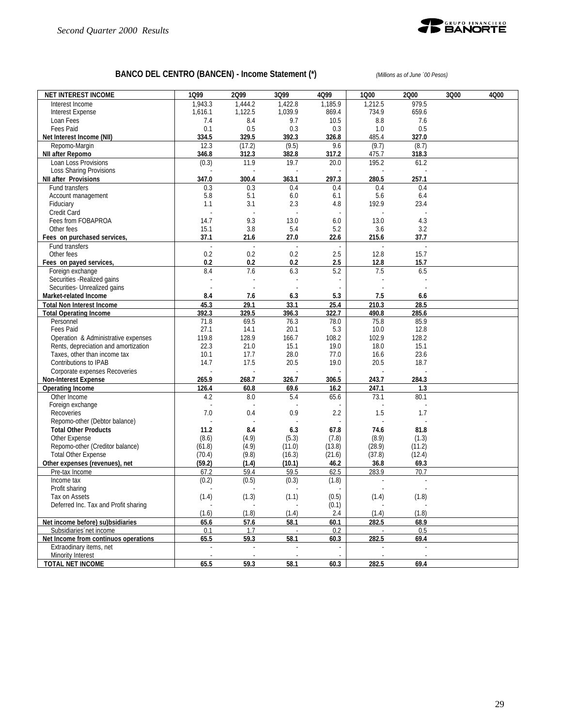

# **BANCO DEL CENTRO (BANCEN) - Income Statement (\*)** *(Millions as of June ´00 Pesos)*

| <b>NET INTEREST INCOME</b>                            | 1Q99           | 2Q99           | 3Q99          | 4Q99          | 1Q00           | 2Q00           | 3Q00 | 4Q00 |
|-------------------------------------------------------|----------------|----------------|---------------|---------------|----------------|----------------|------|------|
| Interest Income                                       | 1.943.3        | 1.444.2        | 1,422.8       | 1.185.9       | 1.212.5        | 979.5          |      |      |
| <b>Interest Expense</b>                               | 1.616.1        | 1.122.5        | 1.039.9       | 869.4         | 734.9          | 659.6          |      |      |
| Loan Fees                                             | 7.4            | 8.4            | 9.7           | 10.5          | 8.8            | 7.6            |      |      |
| Fees Paid                                             | 0.1            | 0.5            | 0.3           | 0.3           | 1.0            | 0.5            |      |      |
| Net Interest Income (NII)                             | 334.5          | 329.5          | 392.3         | 326.8         | 485.4          | 327.0          |      |      |
| Repomo-Margin                                         | 12.3           | (17.2)         | (9.5)         | 9.6           | (9.7)          | (8.7)<br>318.3 |      |      |
| NII after Repomo<br>Loan Loss Provisions              | 346.8<br>(0.3) | 312.3<br>11.9  | 382.8<br>19.7 | 317.2<br>20.0 | 475.7<br>195.2 | 61.2           |      |      |
| Loss Sharing Provisions                               |                |                |               |               |                |                |      |      |
| <b>NII after Provisions</b>                           | 347.0          | 300.4          | 363.1         | 297.3         | 280.5          | 257.1          |      |      |
| Fund transfers                                        | 0.3            | 0.3            | 0.4           | 0.4           | 0.4            | 0.4            |      |      |
| Account management                                    | 5.8            | 5.1            | 6.0           | 6.1           | 5.6            | 6.4            |      |      |
| Fiduciary                                             | 1.1            | 3.1            | 2.3           | 4.8           | 192.9          | 23.4           |      |      |
| Credit Card                                           |                |                |               |               |                |                |      |      |
| Fees from FOBAPROA                                    | 14.7           | 9.3            | 13.0          | 6.0           | 13.0           | 4.3            |      |      |
| Other fees                                            | 15.1           | 3.8            | 5.4           | 5.2           | 3.6            | 3.2            |      |      |
| Fees on purchased services,                           | 37.1           | 21.6           | 27.0          | 22.6          | 215.6          | 37.7           |      |      |
| Fund transfers                                        |                |                |               |               |                |                |      |      |
| Other fees<br>Fees on payed services,                 | 0.2<br>0.2     | 0.2<br>0.2     | 0.2<br>0.2    | 2.5<br>2.5    | 12.8<br>12.8   | 15.7<br>15.7   |      |      |
| Foreign exchange                                      | 8.4            | 7.6            | 6.3           | 5.2           | 7.5            | 6.5            |      |      |
| Securities - Realized gains                           |                |                |               |               |                |                |      |      |
| Securities- Unrealized gains                          | $\overline{a}$ | $\overline{a}$ |               |               |                |                |      |      |
| Market-related Income                                 | 8.4            | 7.6            | 6.3           | 5.3           | 7.5            | 6.6            |      |      |
| <b>Total Non Interest Income</b>                      | 45.3           | 29.1           | 33.1          | 25.4          | 210.3          | 28.5           |      |      |
| <b>Total Operating Income</b>                         | 392.3          | 329.5          | 396.3         | 322.7         | 490.8          | 285.6          |      |      |
| Personnel                                             | 71.8           | 69.5           | 76.3          | 78.0          | 75.8           | 85.9           |      |      |
| Fees Paid                                             | 27.1           | 14.1           | 20.1          | 5.3           | 10.0           | 12.8           |      |      |
| Operation & Administrative expenses                   | 119.8          | 128.9          | 166.7         | 108.2         | 102.9          | 128.2          |      |      |
| Rents, depreciation and amortization                  | 22.3           | 21.0           | 15.1          | 19.0          | 18.0           | 15.1           |      |      |
| Taxes, other than income tax                          | 10.1           | 17.7           | 28.0          | 77.0          | 16.6           | 23.6           |      |      |
| Contributions to IPAB                                 | 14.7           | 17.5           | 20.5          | 19.0          | 20.5           | 18.7           |      |      |
| Corporate expenses Recoveries<br>Non-Interest Expense | 265.9          | 268.7          | 326.7         | 306.5         | 243.7          | 284.3          |      |      |
| <b>Operating Income</b>                               | 126.4          | 60.8           | 69.6          | 16.2          | 247.1          | 1.3            |      |      |
| Other Income                                          | 4.2            | 8.0            | 5.4           | 65.6          | 73.1           | 80.1           |      |      |
| Foreign exchange                                      |                |                |               |               |                |                |      |      |
| Recoveries                                            | 7.0            | 0.4            | 0.9           | 2.2           | 1.5            | 1.7            |      |      |
| Repomo-other (Debtor balance)                         |                |                |               |               |                |                |      |      |
| <b>Total Other Products</b>                           | 11.2           | 8.4            | 6.3           | 67.8          | 74.6           | 81.8           |      |      |
| Other Expense                                         | (8.6)          | (4.9)          | (5.3)         | (7.8)         | (8.9)          | (1.3)          |      |      |
| Repomo-other (Creditor balance)                       | (61.8)         | (4.9)          | (11.0)        | (13.8)        | (28.9)         | (11.2)         |      |      |
| <b>Total Other Expense</b>                            | (70.4)         | (9.8)          | (16.3)        | (21.6)        | (37.8)         | (12.4)         |      |      |
| Other expenses (revenues), net                        | (59.2)         | (1.4)          | (10.1)        | 46.2          | 36.8           | 69.3           |      |      |
| Pre-tax Income                                        | 67.2           | 59.4           | 59.5          | 62.5          | 283.9          | 70.7           |      |      |
| Income tax                                            | (0.2)          | (0.5)          | (0.3)         | (1.8)         |                | $\overline{a}$ |      |      |
| Profit sharing<br>Tax on Assets                       | (1.4)          | (1.3)          | (1.1)         | (0.5)         | (1.4)          | (1.8)          |      |      |
| Deferred Inc. Tax and Profit sharing                  |                |                |               | (0.1)         |                |                |      |      |
|                                                       | (1.6)          | (1.8)          | (1.4)         | 2.4           | (1.4)          | (1.8)          |      |      |
| Net income before) su)bsidiaries                      | 65.6           | 57.6           | 58.1          | 60.1          | 282.5          | 68.9           |      |      |
| Subsidiaries net income                               | 0.1            | 1.7            | $\sim$        | 0.2           |                | 0.5            |      |      |
| Net Income from continuos operations                  | 65.5           | 59.3           | 58.1          | 60.3          | 282.5          | 69.4           |      |      |
| Extraodinary items, net                               | ÷,             |                |               |               |                |                |      |      |
| Minority Interest                                     |                |                |               |               |                |                |      |      |
| <b>TOTAL NET INCOME</b>                               | 65.5           | 59.3           | 58.1          | 60.3          | 282.5          | 69.4           |      |      |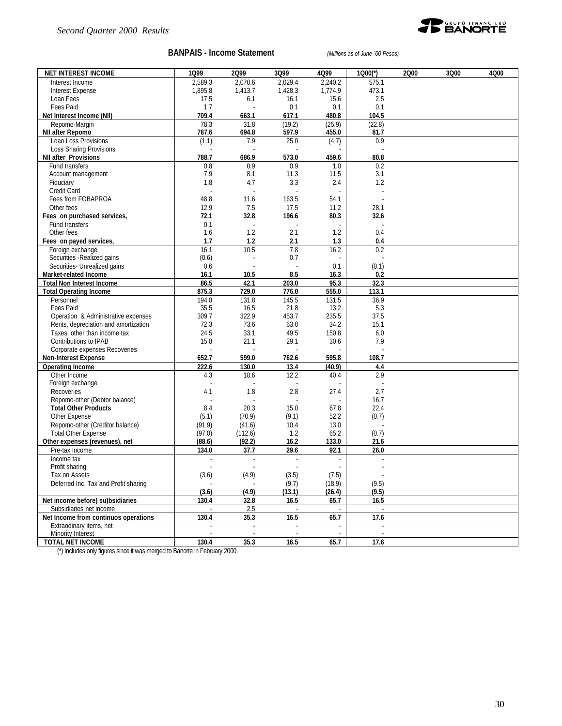

#### **BANPAIS - Income Statement** *(Millions as of June ´00 Pesos)*

| <b>NET INTEREST INCOME</b>           | 1Q99           | 2Q99          | 3Q99              | 4Q99            | 1000(*)        | 2000 | 3Q00 | 4Q00 |
|--------------------------------------|----------------|---------------|-------------------|-----------------|----------------|------|------|------|
| Interest Income                      | 2,589.3        | 2,070.6       | 2,029.4           | 2.240.2         | 575.1          |      |      |      |
| <b>Interest Expense</b>              | 1,895.8        | 1,413.7       | 1,428.3           | 1,774.9         | 473.1          |      |      |      |
| Loan Fees                            | 17.5           | 6.1           | 16.1              | 15.6            | 2.5            |      |      |      |
| Fees Paid                            | 1.7            |               | 0.1               | 0.1             | 0.1            |      |      |      |
| Net Interest Income (NII)            | 709.4          | 663.1         | 617.1             | 480.8           | 104.5          |      |      |      |
| Repomo-Margin<br>NII after Repomo    | 78.3<br>787.6  | 31.8<br>694.8 | (19.2)<br>597.9   | (25.9)<br>455.0 | (22.8)<br>81.7 |      |      |      |
| Loan Loss Provisions                 | (1.1)          | 7.9           | 25.0              | (4.7)           | 0.9            |      |      |      |
| <b>Loss Sharing Provisions</b>       |                |               |                   |                 |                |      |      |      |
| <b>NII after Provisions</b>          | 788.7          | 686.9         | 573.0             | 459.6           | 80.8           |      |      |      |
| Fund transfers                       | 0.8            | 0.9           | 0.9               | 1.0             | 0.2            |      |      |      |
| Account management                   | 7.9            | 8.1           | 11.3              | 11.5            | 3.1            |      |      |      |
| Fiduciary                            | 1.8            | 4.7           | 3.3               | 2.4             | 1.2            |      |      |      |
| Credit Card                          |                |               |                   |                 |                |      |      |      |
| Fees from FOBAPROA                   | 48.8           | 11.6          | 163.5             | 54.1            |                |      |      |      |
| Other fees                           | 12.9           | 7.5           | 17.5              | 11.2            | 28.1           |      |      |      |
| Fees on purchased services,          | 72.1           | 32.8          | 196.6             | 80.3            | 32.6           |      |      |      |
| Fund transfers                       | 0.1            |               |                   |                 |                |      |      |      |
| Other fees                           | 1.6            | 1.2           | 2.1               | 1.2             | 0.4            |      |      |      |
| Fees on payed services,              | 1.7            | 1.2           | 2.1               | 1.3             | 0.4            |      |      |      |
| Foreign exchange                     | 16.1           | 10.5          | 7.8               | 16.2            | 0.2            |      |      |      |
| Securities - Realized gains          | (0.6)          |               | 0.7               |                 |                |      |      |      |
| Securities- Unrealized gains         | 0.6            |               |                   | 0.1             | (0.1)          |      |      |      |
| Market-related Income                | 16.1           | 10.5          | 8.5               | 16.3            | 0.2            |      |      |      |
| <b>Total Non Interest Income</b>     | 86.5           | 42.1          | 203.0             | 95.3            | 32.3           |      |      |      |
| <b>Total Operating Income</b>        | 875.3          | 729.0         | 776.0             | 555.0           | 113.1          |      |      |      |
| Personnel                            | 194.8          | 131.8         | 145.5             | 131.5           | 36.9           |      |      |      |
| Fees Paid                            | 35.5           | 16.5          | 21.8              | 13.2            | 5.3            |      |      |      |
| Operation & Administrative expenses  | 309.7          | 322.9         | 453.7             | 235.5           | 37.5           |      |      |      |
| Rents, depreciation and amortization | 72.3           | 73.6          | 63.0              | 34.2            | 15.1           |      |      |      |
| Taxes, other than income tax         | 24.5           | 33.1          | 49.5              | 150.8           | 6.0            |      |      |      |
| Contributions to IPAB                | 15.8           | 21.1          | 29.1              | 30.6            | 7.9            |      |      |      |
| Corporate expenses Recoveries        |                |               |                   |                 |                |      |      |      |
| <b>Non-Interest Expense</b>          | 652.7          | 599.0         | 762.6             | 595.8           | 108.7          |      |      |      |
| <b>Operating Income</b>              | 222.6          | 130.0         | 13.4              | (40.9)          | 4.4            |      |      |      |
| Other Income<br>Foreign exchange     | 4.3            | 18.6          | 12.2              | 40.4            | 2.9            |      |      |      |
| Recoveries                           | 4.1            | 1.8           | 2.8               | 27.4            | 2.7            |      |      |      |
| Repomo-other (Debtor balance)        |                |               |                   |                 | 16.7           |      |      |      |
| <b>Total Other Products</b>          | 8.4            | 20.3          | 15.0              | 67.8            | 22.4           |      |      |      |
| Other Expense                        | (5.1)          | (70.9)        | (9.1)             | 52.2            | (0.7)          |      |      |      |
| Repomo-other (Creditor balance)      | (91.9)         | (41.6)        | 10.4              | 13.0            |                |      |      |      |
| <b>Total Other Expense</b>           | (97.0)         | (112.6)       | 1.2               | 65.2            | (0.7)          |      |      |      |
| Other expenses (revenues), net       | (88.6)         | (92.2)        | 16.2              | 133.0           | 21.6           |      |      |      |
| Pre-tax Income                       | 134.0          | 37.7          | 29.6              | 92.1            | 26.0           |      |      |      |
| Income tax                           | ÷,             | $\sim$        | $\sim$            |                 |                |      |      |      |
| Profit sharing                       |                |               |                   |                 |                |      |      |      |
| Tax on Assets                        | (3.6)          | (4.9)         | (3.5)             | (7.5)           |                |      |      |      |
| Deferred Inc. Tax and Profit sharing |                |               | (9.7)             | (18.9)          | (9.5)          |      |      |      |
|                                      | (3.6)          | (4.9)         | (13.1)            | (26.4)          | (9.5)          |      |      |      |
| Net income before) su)bsidiaries     | 130.4          | 32.8          | 16.5              | 65.7            | 16.5           |      |      |      |
| Subsidiaries net income              | $\omega$       | 2.5           | $\omega$          |                 | $\sim$         |      |      |      |
| Net Income from continuos operations | 130.4          | 35.3          | $\overline{16.5}$ | 65.7            | 17.6           |      |      |      |
| Extraodinary items, net              | $\mathbb{Z}^2$ | $\mathbb{Z}$  | $\omega$          |                 | $\overline{a}$ |      |      |      |
| Minority Interest                    |                |               |                   |                 |                |      |      |      |
| <b>TOTAL NET INCOME</b>              | 130.4          | 35.3          | 16.5              | 65.7            | 17.6           |      |      |      |

(\*) Includes only figures since it was merged to Banorte in February 2000.